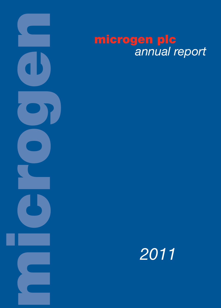

# **microgen plc** *annual report*

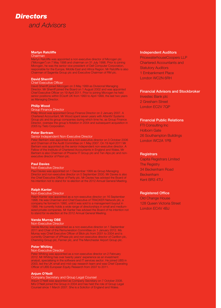

#### **Martyn Ratcliffe**

#### Chairman

Martyn Ratcliffe was appointed a non-executive director of Microgen plc ("Microgen") on 7 May 1998 and chairman on 31 July 1998. Prior to joining Microgen, he was the senior vice-president of Dell Computer Corporation, responsible for the Europe, Middle East and Africa Region. Mr Ratcliffe is also Chairman of Sagentia Group plc and Executive Chairman of RM plc.

#### **David Sherriff**

#### Chief Executive Officer

David Sherriff joined Microgen on 3 May 1999 as Divisional Managing Director. Mr Sherriff joined the Board on 1 August 2002 and was appointed Chief Executive Officer on 19 April 2011. Prior to joining Microgen he held senior positions within ECsoft UK from 1993 to April 1999, the last two years as Managing Director.

#### **Philip Wood**

#### Group Finance Director

Philip Wood was appointed Group Finance Director on 2 January 2007. A Chartered Accountant, Mr Wood spent seven years with Attentiv Systems Group plc and its group companies during which time he, as Group Finance Director, oversaw the group's flotation in 2004 and subsequent acquisition in 2005 by Tieto Corporation.

#### **Peter Bertram**

#### Senior Independent Non-Executive Director

Peter Bertram was appointed as a non-executive director on 3 October 2006 and Chairman of the Audit Committee on 1 May 2007. On 19 April 2011 Mr Bertram was appointed as the senior independent non-executive director. A Fellow of the Institute of Chartered Accountants in England and Wales, Mr Bertram is also Chairman of Phoenix IT Group plc and Ten Alps plc and nonexecutive director of Psion plc.

#### **Paul Davies**

#### Non-Executive Director

Paul Davies was appointed on 1 December 1999 as Group Managing Director and non-executive director on 5 September 2000. Mr Davies is also the Chief Executive Officer of Parity plc. Mr Davies has advised the Board of his intention not to stand for re-election at the 2012 Annual General Meeting.

#### **Ralph Kanter**

#### Non-Executive Director

Ralph Kanter was appointed as a non-executive director on 16 September 1998. He was Chairman and Chief Executive of TRACKER Network plc, a company he formed in 1990, until it was sold to a management buyout in 1999. He currently holds a wide range of directorships in small and mediumsized private companies. Mr Kanter has advised the Board of his intention not to stand for re-election at the 2012 Annual General Meeting.

#### **Vanda Murray OBE**

#### Non-Executive Director

Vanda Murray was appointed as a non-executive director on 1 September 2011 and Chair of the Remuneration Committee on 1 January 2012. Ms Murray was Chief Executive Officer of Blick plc from 2001 to 2004 and is currently Chairman of VPhase plc and non-executive director of Carillion plc, Chemring Group plc, Fenner plc, and The Manchester Airport Group plc.

#### **Peter Whiting**

#### Non-Executive Director

Peter Whiting was appointed as a non-executive director on 2 February 2012. Mr Whiting has over twenty years' experience as an investment analyst, specialising in the software and IT services sector. He joined UBS in 2000, led the UK small and mid-cap research team and was Chief Operating Officer of UBS European Equity Research from 2007 to 2011.

#### **Anjum O'Neill**

#### Company Secretary and Group Legal Counsel

Anjum O'Neill was appointed as Company Secretary on 7 October 2008. Mrs O'Neill joined the Group in 2004 and has held the role of Group Legal Counsel since 1 March 2007. She is a Solicitor of England and Wales.

#### **Independent Auditors**

PricewaterhouseCoopers LLP Chartered Accountants and **Statutory Auditors** 1 Embankment Place London WC2N 6RH

#### **Financial Advisors and Stockbroker**

Investec Bank plc 2 Gresham Street London EC2V 7QP

### **Financial Public Relations**

FTI Consulting Inc Holborn Gate 26 Southampton Buildings London WC2A 1PB

### **Registrars**

Capita Registrars Limited The Registry 34 Beckenham Road Beckenham Kent BR3 4TU

### **Registered Office**

Old Change House 128 Queen Victoria Street London EC4V 4BJ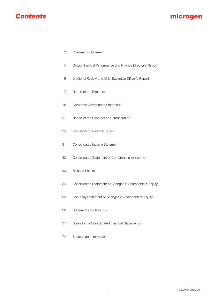

# **microgen**

- 2 Chairman's Statement
- 4 Group Financial Performance and Finance Director's Report
- 5 Divisional Review and Chief Executive Officer's Report
- 7 Report of the Directors
- 15 Corporate Governance Statement
- 21 Report of the Directors on Remuneration
- 29 Independent Auditors' Report
- 31 Consolidated Income Statement
- 32 Consolidated Statement of Comprehensive Income
- 33 Balance Sheets
- 34 Consolidated Statement of Changes in Shareholders' Equity
- 35 Company Statement of Changes in Shareholders' Equity
- 36 Statements of Cash Flow
- 37 Notes to the Consolidated Financial Statements
- 74 Shareholder Information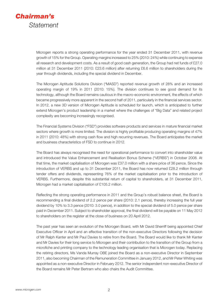

Microgen reports a strong operating performance for the year ended 31 December 2011, with revenue growth of 15% for the Group. Operating margins increased to 25% (2010: 24%) while continuing to expense all research and development costs. As a result of good cash generation, the Group had net funds of £27.0 million at 31 December 2011 (2010: £23.6 million) after returning £6.6 million to shareholders during the year through dividends, including the special dividend in December.

The Microgen Aptitude Solutions Division ("MASD") reported revenue growth of 28% and an increased operating margin of 19% in 2011 (2010: 15%). The division continues to see good demand for its technology, although the Board remains cautious in the macro-economic environment, the effects of which became progressively more apparent in the second half of 2011, particularly in the financial services sector. In 2012, a new 3D version of Microgen Aptitude is scheduled for launch, which is anticipated to further extend Microgen's product leadership in a market where the challenges of "Big Data" and related project complexity are becoming increasingly recognised.

The Financial Systems Division ("FSD") provides software products and services in mature financial market sectors where growth is more limited. The division is highly profitable producing operating margins of 47% in 2011 (2010: 48%) with strong cash flow and high recurring revenues. The Board anticipates the market and business characteristics of FSD to continue in 2012.

The Board has always recognised the need for operational performance to convert into shareholder value and introduced the Value Enhancement and Realisation Bonus Scheme ("VERBS") in October 2008. At that time, the market capitalisation of Microgen was £37.0 million with a share price of 36 pence. Since the introduction of VERBS and up to 31 December 2011, the Board has now returned £28.2 million through tender offers and dividends, representing 76% of the market capitalisation prior to the introduction of VERBS. Furthermore, despite this substantial return of capital to shareholders, at 31 December 2011, Microgen had a market capitalisation of £105.2 million.

Reflecting the strong operating performance in 2011 and the Group's robust balance sheet, the Board is recommending a final dividend of 2.2 pence per share (2010: 2.1 pence), thereby increasing the full year dividend by 10% to 3.3 pence (2010: 3.0 pence), in addition to the special dividend of 5.0 pence per share paid in December 2011. Subject to shareholder approval, the final dividend will be payable on 11 May 2012 to shareholders on the register at the close of business on 20 April 2012.

The past year has seen an evolution of the Microgen Board, with Mr David Sherriff being appointed Chief Executive Officer in April and an effective transition of the non-executive Directors following the decision of Mr Ralph Kanter and Mr Paul Davies to retire from the Board. The Board would like to thank Mr Kanter and Mr Davies for their long service to Microgen and their contribution to the transition of the Group from a microfiche and printing company to the technology leading organisation that is Microgen today. Replacing the retiring directors, Ms Vanda Murray OBE joined the Board as a non-executive Director in September 2011, also becoming Chairman of the Remuneration Committee in January 2012, and Mr Peter Whiting was appointed as a non-executive Director in February 2012. The senior independent non-executive Director of the Board remains Mr Peter Bertram who also chairs the Audit Committee.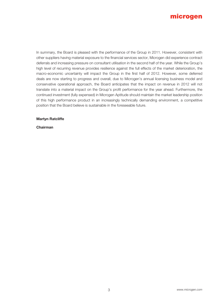

In summary, the Board is pleased with the performance of the Group in 2011. However, consistent with other suppliers having material exposure to the financial services sector, Microgen did experience contract deferrals and increasing pressure on consultant utilisation in the second half of the year. While the Group's high level of recurring revenue provides resilience against the full effects of the market deterioration, the macro-economic uncertainty will impact the Group in the first half of 2012. However, some deferred deals are now starting to progress and overall, due to Microgen's annual licensing business model and conservative operational approach, the Board anticipates that the impact on revenue in 2012 will not translate into a material impact on the Group's profit performance for the year ahead. Furthermore, the continued investment (fully expensed) in Microgen Aptitude should maintain the market leadership position of this high performance product in an increasingly technically demanding environment, a competitive position that the Board believe is sustainable in the foreseeable future.

**Martyn Ratcliffe**

**Chairman**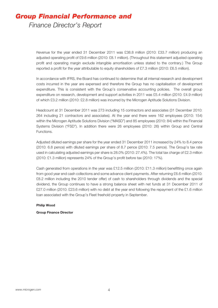# *Group Financial Performance and*

*Finance Director's Report*

Revenue for the year ended 31 December 2011 was £38.8 million (2010: £33.7 million) producing an adjusted operating profit of £9.6 million (2010: £8.1 million). (Throughout this statement adjusted operating profit and operating margin exclude intangible amortisation unless stated to the contrary.) The Group reported a profit for the year attributable to equity shareholders of £7.3 million (2010: £6.5 million).

In accordance with IFRS, the Board has continued to determine that all internal research and development costs incurred in the year are expensed and therefore the Group has no capitalisation of development expenditure. This is consistent with the Group's conservative accounting policies. The overall group expenditure on research, development and support activities in 2011 was £5.4 million (2010: £4.9 million) of which £3.2 million (2010: £2.8 million) was incurred by the Microgen Aptitude Solutions Division.

Headcount at 31 December 2011 was 273 including 15 contractors and associates (31 December 2010: 264 including 21 contractors and associates). At the year end there were 162 employees (2010: 154) within the Microgen Aptitude Solutions Division ("MASD") and 85 employees (2010: 84) within the Financial Systems Division ("FSD"). In addition there were 26 employees (2010: 26) within Group and Central Functions.

Adjusted diluted earnings per share for the year ended 31 December 2011 increased by 24% to 8.4 pence (2010: 6.8 pence) with diluted earnings per share of 8.7 pence (2010: 7.5 pence). The Group's tax rate used in calculating adjusted earnings per share is 28.0% (2010: 27.4%). The total tax charge of £2.3 million (2010: £1.3 million) represents 24% of the Group's profit before tax (2010: 17%).

Cash generated from operations in the year was £12.5 million (2010: £11.3 million) benefitting once again from good year end cash collections and some advance client payments. After returning £6.6 million (2010: £8.2 million including the 2010 tender offer) of cash to shareholders through dividends and the special dividend, the Group continues to have a strong balance sheet with net funds at 31 December 2011 of £27.0 million (2010: £23.6 million) with no debt at the year end following the repayment of the £1.6 million loan associated with the Group's Fleet freehold property in September.

### **Philip Wood**

**Group Finance Director**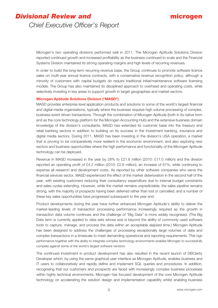# *Divisional Review and*

# **microgen**

*Chief Executive Officer's Report*

Microgen's two operating divisions performed well in 2011. The Microgen Aptitude Solutions Division reported continued growth and increased profitability as the business continued to scale and the Financial Systems Division maintained its strong operating margins and high levels of recurring revenues.

In order to build the long-term recurring revenue base, the Group continues to promote software licence sales on multi-year annual licence contracts, with a conservative revenue recognition policy, although a minority of customers with capital budgets do require traditional initial/maintenance software licensing models. The Group has also maintained its disciplined approach to overhead and operating costs, while selectively investing in key areas to support growth in target geographies and market sectors.

### **Microgen Aptitude Solutions Division ("MASD")**

MASD provides enterprise level application products and solutions to some of the world's largest financial and digital media organisations, typically where the business requires high volume processing of complex, business-event driven transactions. Through the combination of Microgen Aptitude (both in its native form and as the core technology platform for the Microgen Accounting Hub) and the extensive business domain knowledge of the division's consultants, MASD has extended its customer base into the treasury and retail banking sectors in addition to building on its success in the investment banking, insurance and digital media sectors. During 2011, MASD has been investing in the division's USA operation, a market that is proving to be comparatively more resilient in the economic environment, and also exploring new sectors and business opportunities where the high performance and functionality of the Microgen Aptitude technology can be deployed.

Revenue in MASD increased in the year by 28% to £21.8 million (2010: £17.0 million) and the division reported an operating profit of £4.2 million (2010: £2.6 million), an increase of 61%, while continuing to expense all research and development costs. As reported by other software companies who serve the financial services sector, MASD experienced the effect of the market deterioration in the second half of the year, with existing customers reducing their consultancy expenditure due to internal budget constraints and sales cycles extending. However, while the market remains unpredictable, the sales pipeline remains strong, with the majority of prospects having been deferred rather than lost or cancelled, and a number of these key sales opportunities have progressed subsequent to the year end.

Product developments during the year have further enhanced Microgen Aptitude's ability to deliver the market-leading levels of transaction processing performance increasingly required as the growth in transaction data volume continues and the challenge of "Big Data" is more widely recognised. (The Big Data term is currently applied to data sets whose size is beyond the ability of commonly used software tools to capture, manage, and process the data within an acceptable elapsed time.) Microgen Aptitude has been designed to address the challenges of processing exceptionally large volumes of data and complex transactions in a timescale to meet demanding operational and reporting requirements. This high performance together with the ability to integrate complex technology environments enables Microgen to successfully compete against some of the world's largest software vendors.

The continued investment in product development has also resulted in the recent launch of DBClarity Developer which, by using the same graphical user interface as Microgen Aptitude, enables business and IT users to collaboratively and rapidly define and implement SQL queries and procedures. In addition, recognising that our customers and prospects are faced with increasingly complex business processes within highly technical environments, Microgen has focused development of the core Microgen Aptitude technology on accelerating the solution design and implementation capability whilst enabling business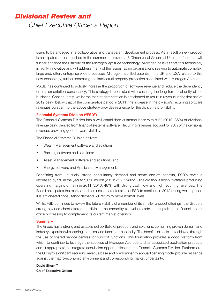# *Divisional Review and*

*Chief Executive Officer's Report*

users to be engaged in a collaborative and transparent development process. As a result a new product is anticipated to be launched in the summer to provide a 3 Dimensional Graphical User Interface that will further enhance the usability of the Microgen Aptitude technology. Microgen believes that this technology is highly innovative and will address many of the issues facing organisations seeking to automate complex, large and, often, enterprise wide processes. Microgen has filed patents in the UK and USA related to this new technology, further increasing the intellectual property protection associated with Microgen Aptitude.

MASD has continued to actively increase the proportion of software revenue and reduce the dependency on implementation consultancy. This strategy is consistent with ensuring the long term scalability of the business. Consequently, whilst the market deterioration is anticipated to result in revenue in the first half of 2012 being below that of the comparative period in 2011, the increase in the division's recurring software revenues pursuant to the above strategy provides resilience for the division's profitability.

### **Financial Systems Division ("FSD")**

The Financial Systems Division has a well-established customer base with 86% (2010: 86%) of divisional revenue being derived from financial systems software. Recurring revenues account for 78% of the divisional revenue, providing good forward visibility.

The Financial Systems Division delivers:

- Wealth Management software and solutions;
- Banking software and solutions;
- Asset Management software and solutions; and
- Energy software and Application Management.

Benefitting from unusually strong consultancy demand and some one-off benefits, FSD's revenue increased by 2% in the year to £17.0 million (2010: £16.7 million). The division is highly profitable producing operating margins of 47% in 2011 (2010: 48%) with strong cash flow and high recurring revenues. The Board anticipates the market and business characteristics of FSD to continue in 2012 during which period it is anticipated consultancy demand will return to more normal levels.

Whilst FSD continues to review the future viability of a number of its smaller product offerings, the Group's strong balance sheet affords the division the capability to evaluate add-on acquisitions in financial back office processing to complement its current market offerings.

### **Summary**

The Group has a strong and established portfolio of products and solutions, combining proven domain and industry expertise with leading technical and functional capability. The benefits of scale are achieved through the use of shared service centres for support functions. This foundation provides a good platform from which to continue to leverage the success of Microgen Aptitude and its associated application products and, if appropriate, to integrate acquisition opportunities into the Financial Systems Division. Furthermore, the Group's significant recurring revenue base and predominantly annual licensing model provide resilience against the macro-economic environment and corresponding market uncertainty.

# **David Sherriff Chief Executive Officer**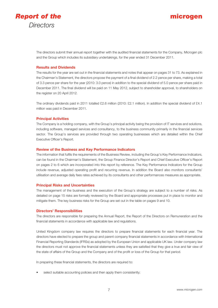

# **microgen**

The directors submit their annual report together with the audited financial statements for the Company, Microgen plc and the Group which includes its subsidiary undertakings, for the year ended 31 December 2011.

### **Results and Dividends**

The results for the year are set out in the financial statements and notes that appear on pages 31 to 73. As explained in the Chairman's Statement, the directors propose the payment of a final dividend of 2.2 pence per share, making a total of 3.3 pence per share for the year (2010: 3.0 pence) in addition to the special dividend of 5.0 pence per share paid in December 2011. The final dividend will be paid on 11 May 2012, subject to shareholder approval, to shareholders on the register on 20 April 2012.

The ordinary dividends paid in 2011 totalled £2.6 million (2010: £2.1 million). In addition the special dividend of £4.1 million was paid in December 2011.

### **Principal Activities**

The Company is a holding company, with the Group's principal activity being the provision of IT services and solutions, including software, managed services and consultancy, to the business community primarily in the financial services sector. The Group's services are provided through two operating businesses which are detailed within the Chief Executive Officer's Report.

### **Review of the Business and Key Performance Indicators**

The information that fulfils the requirements of the Business Review, including the Group's Key Performance Indicators, can be found in the Chairman's Statement, the Group Finance Director's Report and Chief Executive Officer's Report on pages 2 to 6 which are incorporated into this report by reference. The Key Performance Indicators for the Group include revenue, adjusted operating profit and recurring revenue. In addition the Board also monitors consultants' utilisation and average daily fees rates achieved by its consultants and other performances measures as appropriate.

### **Principal Risks and Uncertainties**

The management of the business and the execution of the Group's strategy are subject to a number of risks. As detailed on page 15 risks are formally reviewed by the Board and appropriate processes put in place to monitor and mitigate them. The key business risks for the Group are set out in the table on pages 9 and 10.

### **Directors' Responsibilities**

The directors are responsible for preparing the Annual Report, the Report of the Directors on Remuneration and the financial statements in accordance with applicable law and regulations.

United Kingdom company law requires the directors to prepare financial statements for each financial year. The directors have elected to prepare the group and parent company financial statements in accordance with International Financial Reporting Standards (IFRSs) as adopted by the European Union and applicable UK law. Under company law the directors must not approve the financial statements unless they are satisfied that they give a true and fair view of the state of affairs of the Group and the Company and of the profit or loss of the Group for that period.

In preparing these financial statements, the directors are required to:

select suitable accounting policies and then apply them consistently;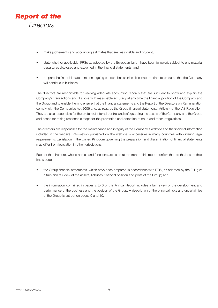

- make judgements and accounting estimates that are reasonable and prudent;
- s state whether applicable IFRSs as adopted by the European Union have been followed, subject to any material departures disclosed and explained in the financial statements; and
- prepare the financial statements on a going concern basis unless it is inappropriate to presume that the Company will continue in business.

The directors are responsible for keeping adequate accounting records that are sufficient to show and explain the Company's transactions and disclose with reasonable accuracy at any time the financial position of the Company and the Group and to enable them to ensure that the financial statements and the Report of the Directors on Remuneration comply with the Companies Act 2006 and, as regards the Group financial statements, Article 4 of the IAS Regulation. They are also responsible for the system of internal control and safeguarding the assets of the Company and the Group and hence for taking reasonable steps for the prevention and detection of fraud and other irregularities.

The directors are responsible for the maintenance and integrity of the Company's website and the financial information included in the website. Information published on the website is accessible in many countries with differing legal requirements. Legislation in the United Kingdom governing the preparation and dissemination of financial statements may differ from legislation in other jurisdictions.

Each of the directors, whose names and functions are listed at the front of this report confirm that, to the best of their knowledge:

- the Group financial statements, which have been prepared in accordance with IFRS, as adopted by the EU, give a true and fair view of the assets, liabilities, financial position and profit of the Group; and
- the information contained in pages 2 to 6 of this Annual Report includes a fair review of the development and performance of the business and the position of the Group. A description of the principal risks and uncertainties of the Group is set out on pages 9 and 10.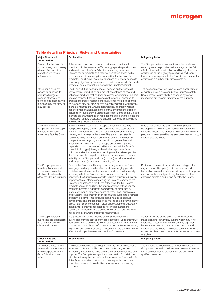# **Table detailing Principal Risks and Uncertainties**

| <b>Major Risks and</b><br><b>Uncertainties</b>                                                                                                                           | <b>Explanation</b>                                                                                                                                                                                                                                                                                                                                                                                                                                                                                                                                                                                                                                                                                                                                                                                                                                                                                                                                                                                                                                                                                                                    | <b>Mitigating Action</b>                                                                                                                                                                                                                                                                                                                                         |
|--------------------------------------------------------------------------------------------------------------------------------------------------------------------------|---------------------------------------------------------------------------------------------------------------------------------------------------------------------------------------------------------------------------------------------------------------------------------------------------------------------------------------------------------------------------------------------------------------------------------------------------------------------------------------------------------------------------------------------------------------------------------------------------------------------------------------------------------------------------------------------------------------------------------------------------------------------------------------------------------------------------------------------------------------------------------------------------------------------------------------------------------------------------------------------------------------------------------------------------------------------------------------------------------------------------------------|------------------------------------------------------------------------------------------------------------------------------------------------------------------------------------------------------------------------------------------------------------------------------------------------------------------------------------------------------------------|
| Demand for the Group's<br>products may be adversely<br>affected if economic and<br>market conditions are<br>unfavourable                                                 | Adverse economic conditions worldwide can contribute to<br>slowdowns in the Information Technology spending environment<br>and may impact the Group's business resulting in reduced<br>demand for its products as a result of decreased spending by<br>customers and increased price competition for the Group's<br>products. The Group's revenues, expenses and operating results<br>could vary significantly from period to period as a result of a variety<br>of factors, some of which are outside the Directors' control.                                                                                                                                                                                                                                                                                                                                                                                                                                                                                                                                                                                                        | The Group's preferred annual licence fee model and<br>recurring revenue provides resilience against the full<br>effects of market deterioration. Additionally, the Group<br>operates in multiple geographic regions and, while it<br>has a material exposure to the financial services sector,<br>operates in a number of business sectors.                      |
| If the Group does not<br>expand or enhance its<br>product offerings or<br>respond effectively to<br>technological change, the<br>business may not grow or<br>may decline | The Group's future performance will depend on the successful<br>development, introduction and market acceptance of new and<br>enhanced products that address customer requirements in a cost<br>effective manner. If the Group does not expand or enhance its<br>product offerings or respond effectively to technological change,<br>its business may not grow or may potentially decline. Additionally,<br>there is a risk that the Group's technological approach will not<br>achieve broad market acceptance or that other technologies or<br>solutions will supplant the Group's approach. Some of the Group's<br>markets are characterised by rapid technological change, frequent<br>introduction of new products, changes in customer requirements<br>and evolving industry standards.                                                                                                                                                                                                                                                                                                                                        | The development of new products and enhancement<br>of existing ones is overseen by the Group's monthly<br>Development Forum which is attended by senior<br>managers from relevant functions of the business.                                                                                                                                                     |
| There is substantial<br>competition in the Group's<br>markets which could<br>adversely affect the Group                                                                  | Some of the markets for the Group's products are intensely<br>competitive, rapidly evolving and subject to rapid technological<br>change. As a result the Group expects competition to persist,<br>intensify and increase in the future. There are no substantial<br>barriers to entry into these markets and some of the Group's<br>competitors are large organisations with far greater financial<br>resources than Microgen. The Group's ability to compete is<br>dependent upon many factors within and beyond the Group's<br>control, including (a) timing and market acceptance of new<br>solutions and enhancements to existing solutions developed by<br>the Group and its competitors (b) performance, ease of use and<br>reliability of the Group's products (c) price (d) customer service<br>and support and (e) sales and marketing efforts.                                                                                                                                                                                                                                                                             | Where appropriate the Group performs product<br>development and marketing activity to improve the<br>competitiveness of its products. In addition significant<br>proposals are reviewed by the executive directors and, if<br>appropriate, the Board.                                                                                                            |
| The Group's products<br>have lengthy sales and<br>implementation cycles,<br>which could adversely<br>affect the Group's business                                         | Sales of the Group's software products may require the Group<br>to engage in a lengthy sales effort, and these lengthy periods<br>or delays in customer deployment of a product could materially<br>adversely affect the Group's operating results or financial<br>condition. The Group's sales efforts include significant education<br>of prospective customers regarding the use and benefits of the<br>Group's products. As a result, the sales cycle for the Group's<br>products varies. In addition, the implementation of the Group's<br>products involves a significant commitment of resources by<br>customers over an extended period of time. The Group's sales<br>and customer implementation cycles may be subject to a number<br>of potential delays. These include delays related to product<br>development and implementation as well as delays over which the<br>Group has little or no control, including (a) customers' budgetary<br>constraints (b) internal acceptance reviews (c) customers'<br>purchasing processes (d) the complexityof customers' technical<br>needs and (e) changing customer requirements. | Business processes in support of each stage in the<br>major contract life cycle (bid, in life, renewal and<br>termination) are well established. All significant proposals<br>and contracts are subject to regular review by the<br>executive directors and, if appropriate, the Board.                                                                          |
| The Group's operating<br>businesses are dependent<br>on a number of major<br>clients and contracts                                                                       | A significant part of the revenue of the Group's operating<br>businesses may be derived from large contracts. Loss of revenue<br>from any one of these clients (either as a result of external factors<br>or other factors such as performance on contracts) as well as any<br>expiry without renewal or delay of these contracts could adversely<br>affect the Group's business and results of operations.                                                                                                                                                                                                                                                                                                                                                                                                                                                                                                                                                                                                                                                                                                                           | Senior managers of the Group regularly meet with<br>major clients to identify any factors which may, if not<br>addressed, result in loss of revenue. Any significant<br>issues are reported to the executive directors and, if<br>appropriate, the Board. The Group continues to aim to<br>expand its client base to reduce its dependency on any<br>one client. |
| Other Risks and<br><b>Uncertainties</b>                                                                                                                                  | <b>Explanations</b>                                                                                                                                                                                                                                                                                                                                                                                                                                                                                                                                                                                                                                                                                                                                                                                                                                                                                                                                                                                                                                                                                                                   | <b>Mitigating Action</b>                                                                                                                                                                                                                                                                                                                                         |
| If the Group loses its key<br>personnel or cannot recruit<br>additional personnel, the<br>Group's business may<br>suffer                                                 | The Group's success greatly depends on its ability to hire, train,<br>retain and motivate qualified personnel, particularly in sales,<br>marketing, research and development, consultancy services and<br>support. The Group faces significant competition for individuals<br>with the skills required to perform the services the Group will offer.<br>If the Group is unable to attract and retain qualified personnel it<br>could be prevented from effectively managing and expanding its<br>business.                                                                                                                                                                                                                                                                                                                                                                                                                                                                                                                                                                                                                            | The Remuneration Committee regularly reviews the<br>Group's compensation policies to endeavour to ensure<br>that it can continue to attract, motivate and retain<br>qualified personnel.                                                                                                                                                                         |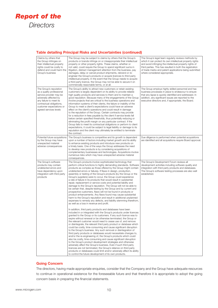

# **Table detailing Principal Risks and Uncertainties (continued)**

| Claims by others that<br>the Group infringes on<br>their intellectual property<br>rights could be costly to<br>defend and could harm the<br>Group's business                                                         | The Group may be subject to claims by others that the Group's<br>products or brands infringe on or misappropriate their intellectual<br>property or other property rights. These claims, whether or<br>not valid, could require the Group to spend significant sums in<br>litigation, distract management attention from the business, pay<br>damages, delay or cancel product shipments, rebrand or re-<br>engineer the Group's products or acquire licences to third party<br>intellectual property. In the event that the Group needs to acquire<br>a third party licence, the Group may not be able to secure it on<br>commercially reasonable terms, or at all.                                                                                                                                                                                                                                                                                                                                                                                                                                                                                                                                                                                                                                                                                                                                                                                                                                                                                                                                                                                                                                                                                                                                                                                                                                                                                                                                                                                                                                                      | The Group's legal team regularly reviews methods by<br>which it can protect its own intellectual property rights<br>and avoid infringing the intellectual property rights of<br>third parties. This has resulted in both the registration<br>of trade marks and patent applications being submitted<br>where considered appropriate. |
|----------------------------------------------------------------------------------------------------------------------------------------------------------------------------------------------------------------------|---------------------------------------------------------------------------------------------------------------------------------------------------------------------------------------------------------------------------------------------------------------------------------------------------------------------------------------------------------------------------------------------------------------------------------------------------------------------------------------------------------------------------------------------------------------------------------------------------------------------------------------------------------------------------------------------------------------------------------------------------------------------------------------------------------------------------------------------------------------------------------------------------------------------------------------------------------------------------------------------------------------------------------------------------------------------------------------------------------------------------------------------------------------------------------------------------------------------------------------------------------------------------------------------------------------------------------------------------------------------------------------------------------------------------------------------------------------------------------------------------------------------------------------------------------------------------------------------------------------------------------------------------------------------------------------------------------------------------------------------------------------------------------------------------------------------------------------------------------------------------------------------------------------------------------------------------------------------------------------------------------------------------------------------------------------------------------------------------------------------------|--------------------------------------------------------------------------------------------------------------------------------------------------------------------------------------------------------------------------------------------------------------------------------------------------------------------------------------|
| The Group's reputation<br>as a quality professional<br>service provider may be<br>adversely affected by<br>any failure to meet its<br>contractual obligations,<br>customer expectations or<br>agreed services levels | The Group's ability to attract new customers or retain existing<br>customers is largely dependent on its ability to provide reliable<br>high quality products and services to them and to maintain a<br>good reputation. Because many of the engagements of the Group<br>involve projects that are critical to the business operations and<br>information systems of their clients, the failure or inability of the<br>Group to meet a client's expectations could have an adverse<br>effect on the client's operations and could result in damage<br>to the reputation of the Group. Certain contracts may provide<br>for a reduction in fees payable by the client if service levels fall<br>below certain specified thresholds, thus potentially reducing or<br>eliminating the profit margin on any particular contract. If the<br>Group fails to meet its contractual obligations or perform to client<br>expectations, it could be subject to legal liability or damage to its<br>reputation and the client may ultimately be entitled to terminate<br>the contract.                                                                                                                                                                                                                                                                                                                                                                                                                                                                                                                                                                                                                                                                                                                                                                                                                                                                                                                                                                                                                                                | The Group employs highly skilled personnel and has<br>business processes in place to endeavour to ensure<br>that any lapse is quickly identified and addressed. In<br>addition, any significant issues are reported to the<br>executive directors and, if appropriate, the Board.                                                    |
| Potential future acquisitions<br>by the Group may have<br>unexpected material<br>adverse consequences                                                                                                                | The Group's business is competitive and its growth is dependent<br>upon a number of factors including market growth and its ability<br>to enhance existing products and introduce new products on<br>a timely basis. One of the ways the Group addresses the need<br>to develop new products is by considering acquisitions of<br>complementary businesses and technologies. Acquisitions involve<br>numerous risks which may have unexpected adverse material<br>consequences.                                                                                                                                                                                                                                                                                                                                                                                                                                                                                                                                                                                                                                                                                                                                                                                                                                                                                                                                                                                                                                                                                                                                                                                                                                                                                                                                                                                                                                                                                                                                                                                                                                           | Due diligence is performed when potential acquisitions<br>are identified and all acquisitions require Board approval.                                                                                                                                                                                                                |
| The Group's software<br>products may contain<br>undetected errors and<br>have dependency upon<br>integration with third party<br>products                                                                            | The Group's products involve sophisticated technology that<br>perform critical functions to highly demanding standards. Software<br>products as complex as those offered by the Group might contain<br>undetected errors or failures. If flaws in design, production,<br>assembly or testing of the Group's products (by the Group or the<br>Group's suppliers) were to occur, the Group could experience<br>a rate of failure in its products that would result in substantial<br>repair, replacement or service costs and potential liability and<br>damage to the Group's reputation. The Group will not be able to<br>be certain that, despite testing by the Group and by current and<br>prospective customers, flaws will not be found in products or<br>product enhancements. Any flaws found may cause substantial<br>harm to the Group's reputation and result in additional unplanned<br>expenses to remedy any defects, and liability stemming therefrom,<br>as well as a loss in revenue and profit.<br>In addition, third party products and databases have been<br>included in or integrated with the Group's products under licences<br>granted to the Group or its customers. If any such licence was to<br>expire without renewal or be otherwise terminated, the Group or<br>the relevant customer would need to cease use of, and remove<br>or disintegrate, the relevant third party product or database which<br>could be costly, time-consuming and cause significant disruption<br>to the Group's business. Any such removal or disintegration of<br>third party products or databases would necessitate changes to,<br>and/or the re-engineering of, the Group's products which could<br>also be costly, time-consuming and cause significant disruption<br>to the Group's product development strategies and otherwise<br>adversely affect the Group's business. Even if such third party<br>licences are not terminated, the Group's reliance on third party<br>products or databases could limit and/or adversely affect its ability<br>to control the future development of its own products. | The Group's Development Forum reviews all<br>development activities including software quality and<br>integration with third party products and databases.<br>The Group's software testing processes are also well<br>established.                                                                                                   |

### **Going Concern**

The directors, having made appropriate enquiries, consider that the Company and the Group have adequate resources to continue in operational existence for the foreseeable future and that therefore it is appropriate to adopt the going concern basis in preparing the financial statements.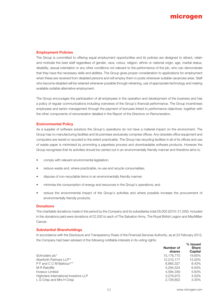# **microgen**

# **Employment Policies**

The Group is committed to offering equal employment opportunities and its policies are designed to attract, retain and motivate the best staff regardless of gender, race, colour, religion, ethnic or national origin, age, marital status, disability, sexual orientation or any other conditions not relevant to the performance of the job, who can demonstrate that they have the necessary skills and abilities. The Group gives proper consideration to applications for employment when these are received from disabled persons and will employ them in posts whenever suitable vacancies arise. Staff who become disabled will be retained whenever possible through retraining, use of appropriate technology and making available suitable alternative employment.

The Group encourages the participation of all employees in the operation and development of the business and has a policy of regular communications including overviews of the Group's financial performance. The Group incentivises employees and senior management through the payment of bonuses linked to performance objectives, together with the other components of remuneration detailed in the Report of the Directors on Remuneration.

### **Environmental Policy**

As a supplier of software solutions the Group's operations do not have a material impact on the environment. The Group has no manufacturing facilities and its premises exclusively comprise offices. Any obsolete office equipment and computers are resold or recycled to the extent practicable. The Group has recycling facilities in all of its offices and use of waste paper is minimised by promoting a paperless process and downloadable software products. However the Group recognises that its activities should be carried out in an environmentally friendly manner and therefore aims to

- comply with relevant environmental legislation;
- reduce waste and, where practicable, re-use and recycle consumables;
- dispose of non-recyclable items in an environmentally friendly manner;
- minimise the consumption of energy and resources in the Group's operations; and
- reduce the environmental impact of the Group's activities and where possible increase the procurement of environmentally friendly products.

### **Donations**

The charitable donations made in the period by the Company and its subsidiaries total £8,000 (2010: £1,000). Included in the donations paid were donations of £2,500 to each of The Salvation Army, The Royal British Legion and MacMillan Cancer.

### **Substantial Shareholdings**

In accordance with the Disclosure and Transparency Rules of the Financial Services Authority, as at 22 February 2012, the Company had been advised of the following notifiable interests in its voting rights: **% Issued**

|                                       | Number of<br>shares | 70 ISSU <del>c</del> u<br><b>Share</b><br>Capital |
|---------------------------------------|---------------------|---------------------------------------------------|
| Schroders plc*                        | 15,176,770          | 18.65%                                            |
| Aberforth Partners LLP**              | 12.210.177          | 15.00%                                            |
| P F and C C M Barbour***              | 6,865,327           | 8.43%                                             |
| M R Ratcliffe                         | 5.294.524           | 6.50%                                             |
| Invesco Limited                       | 4.584.349           | 5.63%                                             |
| Highclere International Investors LLP | 3.276.973           | 4.03%                                             |
| L G Crisp and Mrs H Crisp             | 2,726,602           | 3.35%                                             |
|                                       |                     |                                                   |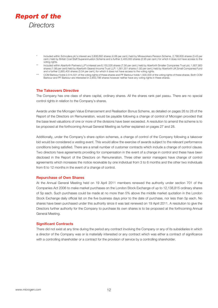

- \* Included within Schroders plc's interest are 3,806,692 shares (4.68 per cent.) held by Mineworkers Pension Scheme, 2,788,605 shares (3.43 per cent.) held by British Coal Staff Superannuation Scheme and a further 2,400,000 shares (2.95 per cent.) for which it does not have access to the voting rights.
- Î × Included within Aberforth Partners LLP's interest are 6,155,526 shares (7.56 per cent.) held by Aberforth Smaller Companies Trust plc; 1,607,900 shares (1.98 per cent) held by Aberforth Geared Income Trust LLP; 1,561,351 shares (1.92 per cent.) held by Aberforth UK Small Companies Fund and a further 2,885,400 shares (3.54 per cent.) for which it does not have access to the voting rights.
- \*\*\* CCM Barbour holds 2,514,531 of the voting rights of these shares and PF Barbour holds 1,500,000 of the voting rights of these shares. Both CCM Barbour and PF Barbour are interested in 2,850,796 shares however neither have any voting rights in these shares.

### **The Takeovers Directive**

The Company has one class of share capital, ordinary shares. All the shares rank pari passu. There are no special control rights in relation to the Company's shares.

Awards under the Microgen Value Enhancement and Realisation Bonus Scheme, as detailed on pages 26 to 28 of the Report of the Directors on Remuneration, would be payable following a change of control of Microgen provided that the base level valuations of one or more of the divisions have been exceeded. A resolution to amend the scheme is to be proposed at the forthcoming Annual General Meeting as further explained on pages 27 and 28.

Additionally, under the Company's share option schemes, a change of control of the Company following a takeover bid would be considered a vesting event. This would allow the exercise of awards subject to the relevant performance conditions being satisfied. There are a small number of customer contracts which include a change of control clause. Two directors have agreements providing for compensation in the event of a change in control and these have been disclosed in the Report of the Directors on Remuneration. Three other senior managers have change of control agreements which increases the notice receivable by one individual from 3 to 6 months and the other two individuals from 6 to 12 months in the event of a change of control.

### **Repurchase of Own Shares**

At the Annual General Meeting held on 19 April 2011 members renewed the authority under section 701 of the Companies Act 2006 to make market purchases on the London Stock Exchange of up to 12,138,815 ordinary shares of 5p each. Such purchases could be made at no more than 5% above the middle market quotation in the London Stock Exchange daily official list on the five business days prior to the date of purchase, nor less than 5p each. No shares have been purchased under this authority since it was last renewed on 19 April 2011. A resolution to give the Directors further authority for the Company to purchase its own shares is to be proposed at the forthcoming Annual General Meeting.

### **Significant Contracts**

There did not exist at any time during the period any contract involving the Company or any of its subsidiaries in which a director of the Company was or is materially interested or any contract which was either a contract of significance with a controlling shareholder or a contract for the provision of service by a controlling shareholder.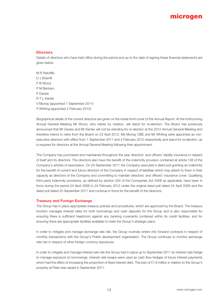# **microgen**

### **Directors**

Details of directors who have held office during the period and up to the date of signing these financial statements are given below:

M R Ratcliffe D J Sherriff P B Wood P M Bertram P Davies R T L Kanter V Murray (appointed 1 September 2011) P Whiting (appointed 2 February 2012)

Biographical details of the current directors are given on the inside front cover of this Annual Report. At the forthcoming Annual General Meeting Mr Wood, who retires by rotation, will stand for re-election. The Board has previously announced that Mr Davies and Mr Kanter will not be standing for re-election at the 2012 Annual General Meeting and therefore intend to retire from the Board on 23 April 2012. Ms Murray OBE and Mr Whiting were appointed as nonexecutive directors with effect from 1 September 2011 and 2 February 2012 respectively and stand for re-election, as is required for directors at the Annual General Meeting following their appointment.

The Company has purchased and maintained throughout the year directors' and officers' liability insurance in respect of itself and its directors. The directors also have the benefit of the indemnity provision contained at article 138 of the Company's articles of association. On 20 September 2011 the Company executed a deed poll granting an indemnity for the benefit of current and future directors of the Company in respect of liabilities which may attach to them in their capacity as directors of the Company and committing to maintain directors' and officers' insurance cover. Qualifying third party indemnity provisions, as defined by section 234 of the Companies Act 2006 as applicable, have been in force during the period 24 April 2006 to 24 February 2012 under the original deed poll dated 24 April 2006 and the deed poll dated 20 September 2011 and continue in force for the benefit of the directors.

### **Treasury and Foreign Exchange**

The Group has in place appropriate treasury policies and procedures, which are approved by the Board. The treasury function manages interest rates for both borrowings and cash deposits for the Group and is also responsible for ensuring there is sufficient headroom against any banking covenants contained within its credit facilities, and for ensuring there are appropriate facilities available to meet the Group's strategic plans.

In order to mitigate and manage exchange rate risk, the Group routinely enters into forward contracts in respect of monthly transactions with the Group's Polish development organisation. The Group continues to monitor exchange rate risk in respect of other foreign currency exposures.

In order to mitigate and manage interest rate risk the Group had in place up to September 2011 an interest rate hedge to manage exposure on borrowings. Interest rate swaps were used as cash flow hedges of future interest payments which had the effect of increasing the proportion of fixed interest debt. The loan of £1.6 million in relation to the Group's property at Fleet was repaid in September 2011.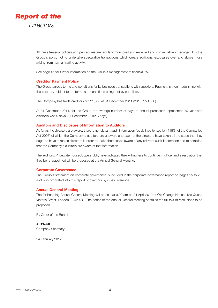

All these treasury policies and procedures are regularly monitored and reviewed and conservatively managed. It is the Group's policy not to undertake speculative transactions which create additional exposures over and above those arising from normal trading activity.

See page 45 for further information on the Group's management of financial risk.

### **Creditor Payment Policy**

The Group agrees terms and conditions for its business transactions with suppliers. Payment is then made in line with these terms, subject to the terms and conditions being met by suppliers.

The Company has trade creditors of £21,000 at 31 December 2011 (2010: £50,000).

At 31 December 2011, for the Group the average number of days of annual purchases represented by year end creditors was 9 days (31 December 2010: 6 days).

### **Auditors and Disclosure of Information to Auditors**

As far as the directors are aware, there is no relevant audit information (as defined by section 418(3) of the Companies Act 2006) of which the Company's auditors are unaware and each of the directors have taken all the steps that they ought to have taken as directors in order to make themselves aware of any relevant audit information and to establish that the Company's auditors are aware of that information.

The auditors, PricewaterhouseCoopers LLP, have indicated their willingness to continue in office, and a resolution that they be re-appointed will be proposed at the Annual General Meeting.

### **Corporate Governance**

The Group's statement on corporate governance is included in the corporate governance report on pages 15 to 20, and is incorporated into this report of directors by cross reference.

### **Annual General Meeting**

The forthcoming Annual General Meeting will be held at 9.00 am on 24 April 2012 at Old Change House, 128 Queen Victoria Street, London EC4V 4BJ. The notice of the Annual General Meeting contains the full text of resolutions to be proposed.

By Order of the Board

**A O'Neill** Company Secretary

24 February 2012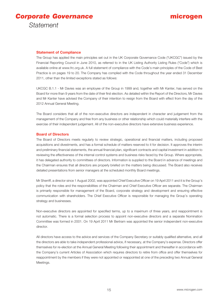*Corporate Governance Statement*

# **microgen**

### **Statement of Compliance**

The Group has applied the main principles set out in the UK Corporate Governance Code ("UKCGC") issued by the Financial Reporting Council in June 2010, as referred to in the UK Listing Authority Listing Rules ("Code") which is available online at www.frc.org.uk. A full statement of compliance with the Code's main principles of the Code of Best Practice is on pages 19 to 20. The Company has complied with the Code throughout the year ended 31 December 2011, other than the limited exceptions stated as follows:

UKCGC B.1.1 - Mr Davies was an employee of the Group in 1999 and, together with Mr Kanter, has served on the Board for more than 9 years from the date of their first election. As detailed within the Report of the Directors, Mr Davies and Mr Kanter have advised the Company of their intention to resign from the Board with effect from the day of the 2012 Annual General Meeting.

The Board considers that all of the non-executive directors are independent in character and judgement from the management of the Company and free from any business or other relationship which could materially interfere with the exercise of their independent judgement. All of the non-executive directors have extensive business experience.

### **Board of Directors**

The Board of Directors meets regularly to review strategic, operational and financial matters, including proposed acquisitions and divestments, and has a formal schedule of matters reserved to it for decision. It approves the interim and preliminary financial statements, the annual financial plan, significant contracts and capital investment in addition to reviewing the effectiveness of the internal control systems and business risks faced by the Group. Where appropriate, it has delegated authority to committees of directors. Information is supplied to the Board in advance of meetings and the Chairman ensures that all directors are properly briefed on the matters being discussed. The Board also receives detailed presentations from senior managers at the scheduled monthly Board meetings.

Mr Sherriff, a director since 1 August 2002, was appointed Chief Executive Officer on 19 April 2011 and it is the Group's policy that the roles and the responsibilities of the Chairman and Chief Executive Officer are separate. The Chairman is primarily responsible for management of the Board, corporate strategy and development and ensuring effective communication with shareholders. The Chief Executive Officer is responsible for managing the Group's operating strategy and businesses.

Non-executive directors are appointed for specified terms, up to a maximum of three years, and reappointment is not automatic. There is a formal selection process to appoint non-executive directors and a separate Nomination Committee was formed in 2001. On 19 April 2011 Mr Bertram was appointed the senior independent non-executive director.

All directors have access to the advice and services of the Company Secretary or suitably qualified alternative, and all the directors are able to take independent professional advice, if necessary, at the Company's expense. Directors offer themselves for re-election at the Annual General Meeting following their appointment and thereafter in accordance with the Company's current Articles of Association which requires directors to retire from office and offer themselves for reappointment by the members if they were not appointed or reappointed at one of the preceding two Annual General Meetings.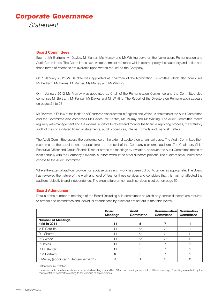# *Corporate Governance Statement*

### **Board Committees**

Each of Mr Bertram, Mr Davies, Mr Kanter, Ms Murray and Mr Whiting serve on the Nomination, Remuneration and Audit Committees. The Committees have written terms of reference which clearly specify their authority and duties and those terms of reference are available upon written request to the Company.

On 1 January 2012 Mr Ratcliffe was appointed as chairman of the Nomination Committee which also comprises Mr Bertram, Mr Davies, Mr Kanter, Ms Murray and Mr Whiting.

On 1 January 2012 Ms Murray was appointed as Chair of the Remuneration Committee and the Committee also comprises Mr Bertram, Mr Kanter, Mr Davies and Mr Whiting. The Report of the Directors on Remuneration appears on pages 21 to 28.

Mr Bertram, a Fellow of the Institute of Chartered Accountants in England and Wales, is chairman of the Audit Committee and the Committee also comprises Mr Davies, Mr Kanter, Ms Murray and Mr Whiting. The Audit Committee meets regularly with management and the external auditors to review and monitor the financial reporting process, the statutory audit of the consolidated financial statements, audit procedures, internal controls and financial matters.

The Audit Committee assess the performance of the external auditors on an annual basis. The Audit Committee then recommends the appointment, reappointment or removal of the Company's external auditors. The Chairman, Chief Executive Officer and Group Finance Director attend the meetings by invitation, however, the Audit Committee meets at least annually with the Company's external auditors without the other directors present. The auditors have unrestricted access to the Audit Committee.

Where the external auditors provide non audit services such work has been put out to tender as appropriate. The Board has reviewed the nature of the work and level of fees for these services and considers that this has not affected the auditors' objectivity and independence. The expenditure on non audit services is set out on page 52 .

### **Board Attendance**

Details of the number of meetings of the Board (including sub-committees at which only certain directors are required to attend) and committees and individual attendances by directors are set out in the table below.

|                                           | <b>Board</b><br><b>Meetings</b> | Audit<br><b>Committee</b> | <b>Remuneration</b><br><b>Committee</b> | <b>Nomination</b><br><b>Committee</b> |
|-------------------------------------------|---------------------------------|---------------------------|-----------------------------------------|---------------------------------------|
| <b>Number of Meetings</b><br>held in 2011 | 11                              | 5                         |                                         |                                       |
| M R Ratcliffe                             | 11                              | $5^*$                     | $7*$                                    |                                       |
| D J Sherriff                              | 11                              | $5*$                      | $7*$                                    | $+ *$                                 |
| P B Wood                                  | 11                              | $5^*$                     | $7*$                                    | $+ *$                                 |
| P Davies                                  | 11                              | 5                         |                                         |                                       |
| R T L Kanter                              | 11                              | 5                         |                                         |                                       |
| P M Bertram                               | 10                              | 5                         |                                         |                                       |
| V Murray (appointed 1 September 2011)     |                                 |                           | З                                       |                                       |

\* attendance by invitation.

The above table details attendance at scheduled meetings. In addition 10 ad hoc meetings were held, of these meetings, 7 meetings were held by the implementation committee relating to the exercise of share options.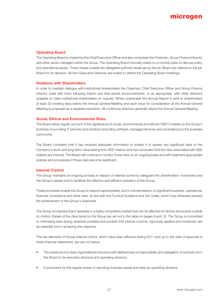# **microgen**

### **Operating Board**

The Operating Board is chaired by the Chief Executive Officer and also comprises the Chairman, Group Finance Director and other senior managers within the Group. The Operating Board normally meets on a monthly basis to discuss policy and operational issues. Those issues outside the delegated authority levels set by the plc Board are referred to the plc Board for its decision. All Non-Executive Directors are invited to attend the Operating Board meetings.

### **Relations with Shareholders**

In order to maintain dialogue with institutional shareholders the Chairman, Chief Executive Officer and Group Finance Director meet with them following interim and final results announcements, or as appropriate, with other directors available to meet institutional shareholders on request. Where practicable the Annual Report is sent to shareholders at least 20 working days before the Annual General Meeting and each issue for consideration at the Annual General Meeting is proposed as a separate resolution. All continuing directors generally attend the Annual General Meeting.

### **Social, Ethical and Environmental Risks**

The Board takes regular account of the significance of social, environmental and ethical ("SEE") matters to the Group's business of providing IT services and solutions (including software, managed services and consultancy) to the business community.

The Board considers that it has received adequate information to enable it to assess any significant risks to the Company's short and long-term value arising from SEE matters and has concluded that the risks associated with SEE matters are minimal. The Board will continue to monitor those risks on an ongoing basis and will implement appropriate policies and procedures if those risks become significant.

### **Internal Control**

The Group maintains an ongoing process in respect of internal control to safeguard the shareholders' investment and the Group's assets and to facilitate the effective and efficient operation of the Group.

These processes enable the Group to respond appropriately, and in a timely fashion, to significant business, operational, financial, compliance and other risks, (in line with the Turnbull Guidance and the Code), which may otherwise prevent the achievement of the Group's objectives.

The Group recognises that it operates in a highly competitive market that can be affected by factors and events outside its control. Details of the risks faced by the Group are set out in the table on pages 9 and 10. The Group is committed to minimising risks arising wherever possible and accepts that internal controls, rigorously applied and monitored, are an essential tool in achieving this objective.

The key elements of Group internal control, which have been effective during 2011 and up to the date of approval of these financial statements, are set out below:

- The existence of a clear organisational structure with defined lines of responsibility and delegation of authority from the Board to its executive directors and operating divisions;
- A procedure for the regular review of reporting business issues and risks by operating divisions;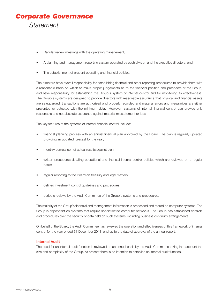

- Regular review meetings with the operating management;
- A planning and management reporting system operated by each division and the executive directors; and
- The establishment of prudent operating and financial policies.

The directors have overall responsibility for establishing financial and other reporting procedures to provide them with a reasonable basis on which to make proper judgements as to the financial position and prospects of the Group, and have responsibility for establishing the Group's system of internal control and for monitoring its effectiveness. The Group's systems are designed to provide directors with reasonable assurance that physical and financial assets are safeguarded, transactions are authorised and properly recorded and material errors and irregularities are either prevented or detected with the minimum delay. However, systems of internal financial control can provide only reasonable and not absolute assurance against material misstatement or loss.

The key features of the systems of internal financial control include:

- financial planning process with an annual financial plan approved by the Board. The plan is regularly updated providing an updated forecast for the year;
- monthly comparison of actual results against plan;
- written procedures detailing operational and financial internal control policies which are reviewed on a regular basis;
- regular reporting to the Board on treasury and legal matters;
- defined investment control guidelines and procedures;
- periodic reviews by the Audit Committee of the Group's systems and procedures.

The majority of the Group's financial and management information is processed and stored on computer systems. The Group is dependent on systems that require sophisticated computer networks. The Group has established controls and procedures over the security of data held on such systems, including business continuity arrangements.

On behalf of the Board, the Audit Committee has reviewed the operation and effectiveness of this framework of internal control for the year ended 31 December 2011, and up to the date of approval of the annual report.

### **Internal Audit**

The need for an internal audit function is reviewed on an annual basis by the Audit Committee taking into account the size and complexity of the Group. At present there is no intention to establish an internal audit function.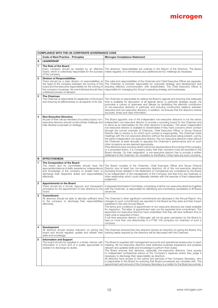|                         | <b>COMPLIANCE WITH THE UK CORPORATE GOVERNANCE CODE</b>                                                                                                                                                                                                                                                      |                                                                                                                                                                                                                                                                                                                                                                                                                                                                                                                                                                                                                                                                                                                                                                                                                                                                                                                                                                                                                                                                                                                                                                                                                                                       |  |  |  |
|-------------------------|--------------------------------------------------------------------------------------------------------------------------------------------------------------------------------------------------------------------------------------------------------------------------------------------------------------|-------------------------------------------------------------------------------------------------------------------------------------------------------------------------------------------------------------------------------------------------------------------------------------------------------------------------------------------------------------------------------------------------------------------------------------------------------------------------------------------------------------------------------------------------------------------------------------------------------------------------------------------------------------------------------------------------------------------------------------------------------------------------------------------------------------------------------------------------------------------------------------------------------------------------------------------------------------------------------------------------------------------------------------------------------------------------------------------------------------------------------------------------------------------------------------------------------------------------------------------------------|--|--|--|
|                         | <b>Code of Best Practice - Principles</b>                                                                                                                                                                                                                                                                    | <b>Microgen Compliance Statement</b>                                                                                                                                                                                                                                                                                                                                                                                                                                                                                                                                                                                                                                                                                                                                                                                                                                                                                                                                                                                                                                                                                                                                                                                                                  |  |  |  |
| A                       | <b>LEADERSHIP</b>                                                                                                                                                                                                                                                                                            |                                                                                                                                                                                                                                                                                                                                                                                                                                                                                                                                                                                                                                                                                                                                                                                                                                                                                                                                                                                                                                                                                                                                                                                                                                                       |  |  |  |
| 1                       | The Role of the Board<br>Every company should be headed by an effective<br>board, which is collectively responsible for the success<br>of the company.                                                                                                                                                       | The directors' responsibilities are outlined in the Report of the Directors. The Board<br>meets regularly on a formal basis plus additional ad hoc meetings as necessary.                                                                                                                                                                                                                                                                                                                                                                                                                                                                                                                                                                                                                                                                                                                                                                                                                                                                                                                                                                                                                                                                             |  |  |  |
| $\overline{\mathbf{c}}$ | <b>Division of Responsibilities</b><br>There should be a clear division of responsibilities at<br>the head of the company between the running of the<br>board and the executive responsibility for the running of<br>the company's business. No one individual should have<br>unfettered powers of decision. | The roles and responsibilities of the Chairman and Chief Executive Officer are separate.<br>The Chairman is primarily responsible for corporate strategy and development and<br>ensuring effective communication with shareholders. The Chief Executive Officer is<br>responsible for managing the Group's operating strategy and businesses.                                                                                                                                                                                                                                                                                                                                                                                                                                                                                                                                                                                                                                                                                                                                                                                                                                                                                                         |  |  |  |
| 3                       | <b>The Chairman</b><br>The Chairman is responsible for leadership of the board<br>and ensuring its effectiveness on all aspects of its role.                                                                                                                                                                 | The Chairman is responsible for setting the Board's agenda and ensuring that adequate<br>time is available for discussion of all agenda items, in particular strategic issues. He<br>promotes a culture of openness and debate by facilitating the effective contribution<br>of non-executive directors in particular and ensuring constructive relations between<br>executive and non-executive directors. In addition, he ensures that the directors receive<br>accurate, timely and clear information.                                                                                                                                                                                                                                                                                                                                                                                                                                                                                                                                                                                                                                                                                                                                             |  |  |  |
| 4                       | <b>Non-Executive Directors</b><br>As part of their role as members of a unitary board, non-<br>executive directors should constructively challenge and<br>help develop proposals on strategy.                                                                                                                | The Board appoints one of the independent non-executive directors to be the senior<br>independent non-executive director to provide a sounding board for the Chairman and<br>to serve as an intermediary for the other directors if necessary. The senior independent<br>non-executive director is available to shareholders if they have concerns which contact<br>through the normal channels of Chairman, Chief Executive Officer or Group Finance<br>Director fails to resolve or for which such contact is inappropriate. The Chairman holds<br>meetings with the non-executive directors without the executives being present. Led by<br>the senior independent non-executive director, the non-executive directors meet without<br>the Chairman at least annually to appraise the Chairman's performance and on such<br>other occasions as are deemed appropriate.<br>If the directors have concerns which cannot be resolved about the running of the company<br>or a proposed action, it is Company policy that their concerns must be recorded in the<br>Board minutes. On their resignation, a non-executive director has to provide a written<br>statement to the Chairman, for circulation to the Board, if they have any such concerns. |  |  |  |
| в                       | <b>EFFECTIVENESS</b>                                                                                                                                                                                                                                                                                         |                                                                                                                                                                                                                                                                                                                                                                                                                                                                                                                                                                                                                                                                                                                                                                                                                                                                                                                                                                                                                                                                                                                                                                                                                                                       |  |  |  |
| 1                       | The Composition of the Board<br>The board and its committees should have the<br>appropriate balance of skills, experience, independence<br>and knowledge of the company to enable them to<br>discharge their respective duties and responsibilities<br>effectively.                                          | The Board consists of the Chairman, Chief Executive Officer and Group Finance<br>Director plus at least two non-executive directors. All of the non-executive directors<br>(including those detailed in the Statement of Compliance) are considered by the Board<br>to be independent of the management of the Company and free from any business or<br>other relationship which could materially interfere with the exercise of their independent<br>judgement.                                                                                                                                                                                                                                                                                                                                                                                                                                                                                                                                                                                                                                                                                                                                                                                      |  |  |  |
| $\overline{2}$          | <b>Appointments to the Board</b><br>There should be a formal, rigorous and transparent<br>procedure for the appointment of new directors to the<br>board.                                                                                                                                                    | A separate Nomination Committee, comprising of all the non-executive directors together<br>with the Chairman, is responsible for identifying and nominating candidates to fill Board<br>vacancies.                                                                                                                                                                                                                                                                                                                                                                                                                                                                                                                                                                                                                                                                                                                                                                                                                                                                                                                                                                                                                                                    |  |  |  |
| 3                       | <b>Commitment</b><br>All directors should be able to allocate sufficient time<br>to the company to discharge their responsibilities<br>effectively.                                                                                                                                                          | The Chairman's other significant commitments are disclosed in the Annual Report. Any<br>changes to such commitments are reported to the Board as they arise and their impact<br>explained in the next Annual Report.<br>The terms and conditions of appointment of non-executive directors are made available<br>for inspection. The letter of appointment sets out the expected time commitment. The<br>appointed non-executive directors have undertaken that they will have sufficient time to<br>meet what is expected of them.<br>A full time executive director of Microgen will not be given permission by the Board to<br>take on more than one directorship in a FTSE 100 company nor chairman of such a<br>company.                                                                                                                                                                                                                                                                                                                                                                                                                                                                                                                         |  |  |  |
| 4                       | <b>Development</b><br>All directors should receive induction on joining the<br>board and should regularly update and refresh their<br>skills and knowledge.                                                                                                                                                  | The Chairman ensures that new directors receive an induction on joining the Board. Any<br>training needs required by the directors will be discussed with the Chairman.                                                                                                                                                                                                                                                                                                                                                                                                                                                                                                                                                                                                                                                                                                                                                                                                                                                                                                                                                                                                                                                                               |  |  |  |
| 5                       | <b>Information and Support</b><br>The board should be supplied in a timely manner with<br>information in a form and of a quality appropriate to<br>enable it to discharge its duties.                                                                                                                        | The Board is supplied with management accounts and operational reviews prior to each<br>meeting. All non-executive directors have extensive business experience and possess<br>relevant and updated skills and knowledge to perform their duties.<br>The Board ensures that directors, especially non-executive directors, have access<br>to independent professional advice at the Company's expense where they judge it<br>necessary to discharge their responsibility as directors.<br>All directors have access to the advice and services of the Company Secretary, who<br>is responsible to the Board for ensuring that Board procedures are complied with. The<br>appointment and removal of the Company Secretary is a matter for the Board as a whole.                                                                                                                                                                                                                                                                                                                                                                                                                                                                                       |  |  |  |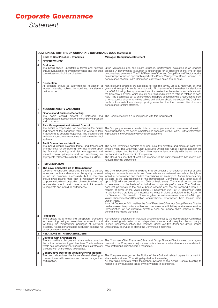# *Corporate Governance Statement*

|                         | <b>COMPLIANCE WITH THE UK CORPORATE GOVERNANCE CODE (continued)</b>                                                                                                                                                                                                                                                                                                                                                                    |                                                                                                                                                                                                                                                                                                                                                                                                                                                                                                                                                                                                                                                                                                                                                                                                                                                                                                                                                                                                                                                                                                                                                                                                                                                                                                           |  |  |  |
|-------------------------|----------------------------------------------------------------------------------------------------------------------------------------------------------------------------------------------------------------------------------------------------------------------------------------------------------------------------------------------------------------------------------------------------------------------------------------|-----------------------------------------------------------------------------------------------------------------------------------------------------------------------------------------------------------------------------------------------------------------------------------------------------------------------------------------------------------------------------------------------------------------------------------------------------------------------------------------------------------------------------------------------------------------------------------------------------------------------------------------------------------------------------------------------------------------------------------------------------------------------------------------------------------------------------------------------------------------------------------------------------------------------------------------------------------------------------------------------------------------------------------------------------------------------------------------------------------------------------------------------------------------------------------------------------------------------------------------------------------------------------------------------------------|--|--|--|
|                         | <b>Code of Best Practice - Principles</b>                                                                                                                                                                                                                                                                                                                                                                                              | <b>Microgen Compliance Statement</b>                                                                                                                                                                                                                                                                                                                                                                                                                                                                                                                                                                                                                                                                                                                                                                                                                                                                                                                                                                                                                                                                                                                                                                                                                                                                      |  |  |  |
| в                       | <b>EFFECTIVENESS</b>                                                                                                                                                                                                                                                                                                                                                                                                                   |                                                                                                                                                                                                                                                                                                                                                                                                                                                                                                                                                                                                                                                                                                                                                                                                                                                                                                                                                                                                                                                                                                                                                                                                                                                                                                           |  |  |  |
| 6                       | <b>Evaluation</b><br>The board should undertake a formal and rigorous<br>annual evaluation of its own performance and that of its<br>committees and individual directors.                                                                                                                                                                                                                                                              | Given Microgen's size and Board structure, performance evaluation is an ongoing<br>process. A performance evaluation is undertaken for all directors at the time of their<br>proposed reappointment. The Chief Executive Officer and Group Finance Director receive<br>an annual performance appraisal as part of the Senior Management Bonus Scheme. The<br>performance of each Board Committee is reviewed on an annual basis.                                                                                                                                                                                                                                                                                                                                                                                                                                                                                                                                                                                                                                                                                                                                                                                                                                                                          |  |  |  |
| 7                       | Re-election<br>All directors should be submitted for re-election at<br>regular intervals, subject to continued satisfactory<br>performance.                                                                                                                                                                                                                                                                                            | Non-executive directors are appointed for specific terms, up to a maximum of three<br>years and re-appointment is not automatic. All directors offer themselves for election at<br>the AGM following their appointment and for re-election thereafter in accordance with<br>the Company's articles, which require one-third of directors to retire in rotation at each<br>AGM. The Board sets out to shareholders in papers accompanying a resolution to elect<br>a non-executive director why they believe an individual should be elected. The Chairman<br>confirms to shareholders when proposing re-election that the non-executive director's<br>performance remains effective.                                                                                                                                                                                                                                                                                                                                                                                                                                                                                                                                                                                                                      |  |  |  |
| C                       | <b>ACCOUNTABILITY AND AUDIT</b>                                                                                                                                                                                                                                                                                                                                                                                                        |                                                                                                                                                                                                                                                                                                                                                                                                                                                                                                                                                                                                                                                                                                                                                                                                                                                                                                                                                                                                                                                                                                                                                                                                                                                                                                           |  |  |  |
| 1                       | <b>Financial and Business Reporting</b><br>The board should present a balanced and<br>understandable assessment of the company's position<br>and prospects.                                                                                                                                                                                                                                                                            | The Board considers it is in compliance with this requirement.                                                                                                                                                                                                                                                                                                                                                                                                                                                                                                                                                                                                                                                                                                                                                                                                                                                                                                                                                                                                                                                                                                                                                                                                                                            |  |  |  |
| $\overline{\mathbf{2}}$ | <b>Risk Management and Internal Control</b><br>The board is responsible for determining the nature<br>and extent of the significant risks it is willing to take<br>in achieving its strategic objectives. The board should<br>maintain a sound risk management and internal control<br>systems.                                                                                                                                        | The Company operates a detailed internal control process which is reviewed at least on<br>an annual basis by the Audit Committee and endorsed by the Board. Further information<br>is provided in the Corporate Governance Statement.                                                                                                                                                                                                                                                                                                                                                                                                                                                                                                                                                                                                                                                                                                                                                                                                                                                                                                                                                                                                                                                                     |  |  |  |
| 3                       | <b>Audit Committee and Auditors</b><br>The board should establish formal and transparent<br>arrangements for considering how they should apply<br>the financial reporting and risk management and<br>internal control principles and for maintaining an<br>appropriate relationship with the company's auditors.                                                                                                                       | The Audit Committee consists of all non-executive directors and meets at least three<br>times a year. The Chairman, Chief Executive Officer and Group Finance Director are<br>invited to attend but the Audit Committee meets at least annually with the company's<br>auditors without the other directors present.<br>The Board ensures that at least one member of the audit committee has recent and<br>relevant financial experience.                                                                                                                                                                                                                                                                                                                                                                                                                                                                                                                                                                                                                                                                                                                                                                                                                                                                 |  |  |  |
| D                       | <b>REMUNERATION</b>                                                                                                                                                                                                                                                                                                                                                                                                                    |                                                                                                                                                                                                                                                                                                                                                                                                                                                                                                                                                                                                                                                                                                                                                                                                                                                                                                                                                                                                                                                                                                                                                                                                                                                                                                           |  |  |  |
| 1                       | The Level and Make-up of Remuneration<br>Levels of remuneration should be sufficient to attract,<br>retain and motivate directors of the quality required<br>to run the company successfully, but a company<br>should avoid paying more than is necessary for this<br>purpose. A significant proportion of executive directors'<br>remuneration should be structured so as to link rewards<br>to corporate and individual performance. | The Chief Executive Officer and Group Finance Director's remuneration consist of basic<br>salary and a variable annual bonus. Basic salaries are reviewed annually in the light of<br>individual performance and market comparisons for similar jobs. Annual bonuses may<br>be paid, at the sole discretion of the Remuneration Committee, at a target level of<br>up to 50% with an overall cap of 100% of basic salary. The annual bonus payment<br>is determined on the basis of individual and corporate performance. The Chairman<br>does not participate In the annual bonus scheme and has not received a bonus in<br>respect of either of the years ending 31 December 2011 or 31 December 2010.<br>In addition there are long term incentive schemes in place as detailed in the Report of<br>the Directors on Remuneration. These long term incentive schemes include the Microgen<br>Value Enhancement and Realisation Bonus Scheme, Performance Share Plan and Share<br>Option Plans.<br>As at 31 December 2011 neither the Chief Executive Officer nor Group Finance Director<br>hold non-executive positions with other companies for which they receive remuneration.<br>Remuneration for non-executive directors does not include share options or other<br>performance related elements. |  |  |  |
| 2                       | Procedure<br>There should be a formal and transparent procedure<br>for developing policy on executive remuneration and<br>for fixing the remuneration packages of individual<br>directors. No director should be involved in deciding his<br>or her own remuneration.                                                                                                                                                                  | Remuneration packages for individual directors are set by the Remuneration Committee<br>after receiving information from independent sources and if required the company's<br>Human Resources function. The Chairman, Chief Executive Officer and Group Finance<br>Director may be invited to attend the Committee's meetings.                                                                                                                                                                                                                                                                                                                                                                                                                                                                                                                                                                                                                                                                                                                                                                                                                                                                                                                                                                            |  |  |  |
| Е                       | <b>RELATIONS WITH SHAREHOLDERS</b>                                                                                                                                                                                                                                                                                                                                                                                                     |                                                                                                                                                                                                                                                                                                                                                                                                                                                                                                                                                                                                                                                                                                                                                                                                                                                                                                                                                                                                                                                                                                                                                                                                                                                                                                           |  |  |  |
| 1                       | <b>Dialogue with Shareholders</b><br>There should be a dialogue with shareholders based on<br>the mutual understanding of objectives. The board as a<br>whole has responsibility for ensuring that a satisfactory<br>dialogue with shareholders takes place.                                                                                                                                                                           | The Chairman, Chief Executive Officer and Group Finance Director meet on a regular<br>basis with the Company's major shareholders. Non-executive directors are available to<br>meet institutional shareholders if requested.                                                                                                                                                                                                                                                                                                                                                                                                                                                                                                                                                                                                                                                                                                                                                                                                                                                                                                                                                                                                                                                                              |  |  |  |
| $\overline{\mathbf{2}}$ | <b>Constructive Use of the Annual General Meeting</b><br>The board should use the Annual General Meeting to<br>communicate with investors and to encourage their<br>participation.                                                                                                                                                                                                                                                     | The Company arranges for the Notice of the AGM and related papers to be sent to<br>shareholders at least 20 working days before the meeting.<br>All continuing directors make themselves available at the Annual General Meeting to<br>respond to any questions raised by the investors in attendance.                                                                                                                                                                                                                                                                                                                                                                                                                                                                                                                                                                                                                                                                                                                                                                                                                                                                                                                                                                                                    |  |  |  |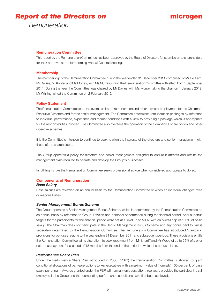# *Report of the Directors on*

# **microgen**

*Remuneration*

# **Remuneration Committee**

This report by the Remuneration Committee has been approved by the Board of Directors for submission to shareholders for their approval at the forthcoming Annual General Meeting.

### **Membership**

The membership of the Remuneration Committee during the year ended 31 December 2011 comprised of Mr Bertram, Mr Davies, Mr Kanter and Ms Murray; with Ms Murray joining the Remuneration Committee with effect from 1 September 2011. During the year the Committee was chaired by Mr Davies with Ms Murray taking the chair on 1 January 2012. Mr Whiting joined the Committee on 2 February 2012.

### **Policy Statement**

The Remuneration Committee sets the overall policy on remuneration and other terms of employment for the Chairman, Executive Directors and for the senior management. The Committee determines remuneration packages by reference to individual performance, experience and market conditions with a view to providing a package which is appropriate for the responsibilities involved. The Committee also oversees the operation of the Company's share option and other incentive schemes.

It is the Committee's intention to continue to seek to align the interests of the directors and senior management with those of the shareholders.

The Group operates a policy for directors and senior management designed to ensure it attracts and retains the management skills required to operate and develop the Group's businesses.

In fulfilling its role the Remuneration Committee seeks professional advice when considered appropriate to do so.

### **Components of Remuneration**

### *Base Salary*

Base salaries are reviewed on an annual basis by the Remuneration Committee or when an individual changes roles or responsibilities.

### *Senior Management Bonus Scheme*

The Group operates a Senior Management Bonus Scheme, which is determined by the Remuneration Committee on an annual basis by reference to Group, Division and personal performance during the financial period. Annual bonus targets for the participants for the financial period were set at a level up to 50%, with an overall cap of 100% of basic salary. The Chairman does not participate in the Senior Management Bonus Scheme and any bonus paid to him is separately determined by the Remuneration Committee. The Remuneration Committee has introduced 'clawback' provisions for bonuses relating to the year ending 31 December 2011 and subsequent periods. These provisions entitle the Remuneration Committee, at its discretion, to seek repayment from Mr Sherriff and Mr Wood of up to 25% of a prior net bonus payment for a period of 18 months from the end of the period to which the bonus relates.

### *Performance Share Plan*

Under the Performance Share Plan introduced in 2006 ("PSP") the Remuneration Committee is allowed to grant conditional allocations of par value options to key executives with a maximum value of (normally) 100 per cent. of base salary per annum. Awards granted under the PSP will normally only vest after three years provided the participant is still employed in the Group and that demanding performance conditions have first been achieved.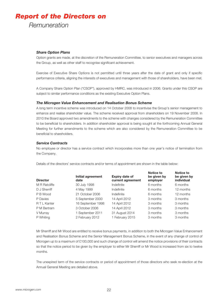# *Report of the Directors on*

*Remuneration*

# *Share Option Plans*

Option grants are made, at the discretion of the Remuneration Committee, to senior executives and managers across the Group, as well as other staff to recognise significant achievement.

Exercise of Executive Share Options is not permitted until three years after the date of grant and only if specific performance criteria, aligning the interests of executives and management with those of shareholders, have been met.

A Company Share Option Plan ("CSOP"), approved by HMRC, was introduced in 2006. Grants under this CSOP are subject to similar performance conditions as the existing Executive Option Plans.

### *The Microgen Value Enhancement and Realisation Bonus Scheme*

A long term incentive scheme was introduced on 14 October 2008 to incentivise the Group's senior management to enhance and realise shareholder value. The scheme received approval from shareholders on 19 November 2008. In 2010 the Board approved two amendments to the scheme with changes considered by the Remuneration Committee to be beneficial to shareholders. In addition shareholder approval is being sought at the forthcoming Annual General Meeting for further amendments to the scheme which are also considered by the Remuneration Committee to be beneficial to shareholders.

### *Service Contracts*

No employee or director has a service contract which incorporates more than one year's notice of termination from the Company.

**Notice to**

**Notice to**

Details of the directors' service contracts and/or terms of appointment are shown in the table below:

| <b>Director</b> | Initial agreement<br>date | <b>Expiry date of</b><br>current agreement | <b>NOLICE LO</b><br>be given by<br>employer | <b>NOUCE LO</b><br>be given by<br>individual |
|-----------------|---------------------------|--------------------------------------------|---------------------------------------------|----------------------------------------------|
| M R Ratcliffe   | 30 July 1998              | Indefinite                                 | 6 months                                    | 6 months                                     |
| D J Sherriff    | 4 May 1999                | Indefinite                                 | 6 months                                    | 12 months                                    |
| P B Wood        | 21 October 2006           | Indefinite                                 | 6 months                                    | 12 months                                    |
| P Davies        | 5 September 2000          | 14 April 2012                              | 3 months                                    | 3 months                                     |
| R T L Kanter    | 16 September 1998         | 14 April 2012                              | 3 months                                    | 3 months                                     |
| P M Bertram     | 3 October 2006            | 14 April 2012                              | 3 months                                    | 3 months                                     |
| V Murray        | 1 September 2011          | 31 August 2014                             | 3 months                                    | 3 months                                     |
| P Whiting       | 2 February 2012           | 1 February 2015                            | 3 months                                    | 3 months                                     |

Mr Sherriff and Mr Wood are entitled to receive bonus payments, in addition to both the Microgen Value Enhancement and Realisation Bonus Scheme and the Senior Management Bonus Scheme, in the event of any change of control of Microgen up to a maximum of £100,000 and such change of control will amend the notice provisions of their contracts so that the notice period to be given by the employer to either Mr Sherriff or Mr Wood is increased from six to twelve months.

The unexpired term of the service contracts or period of appointment of those directors who seek re-election at the Annual General Meeting are detailed above.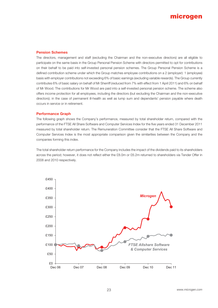# **microgen**

### **Pension Schemes**

The directors, management and staff (excluding the Chairman and the non-executive directors) are all eligible to participate on the same basis in the Group Personal Pension Scheme with directors permitted to opt for contributions on their behalf to be paid into self-invested personal pension schemes. The Group Personal Pension Scheme is a defined contribution scheme under which the Group matches employee contributions on a 2 (employer): 1 (employee) basis with employer contributions not exceeding 6% of basic earnings (excluding variable rewards). The Group currently contributes 6% of basic salary on behalf of Mr Sherriff (reduced from 7% with effect from 1 April 2011) and 6% on behalf of Mr Wood. The contributions for Mr Wood are paid into a self-invested personal pension scheme. The scheme also offers income protection for all employees, including the directors (but excluding the Chairman and the non-executive directors); in the case of permanent ill-health as well as lump sum and dependants' pension payable where death occurs in service or in retirement.

### **Performance Graph**

The following graph shows the Company's performance, measured by total shareholder return, compared with the performance of the FTSE All Share Software and Computer Services Index for the five years ended 31 December 2011 measured by total shareholder return. The Remuneration Committee consider that the FTSE All Share Software and Computer Services Index is the most appropriate comparison given the similarities between the Company and the companies forming this index.

The total shareholder return performance for the Company includes the impact of the dividends paid to its shareholders across the period; however, it does not reflect either the £8.0m or £6.2m returned to shareholders via Tender Offer in 2008 and 2010 respectively.

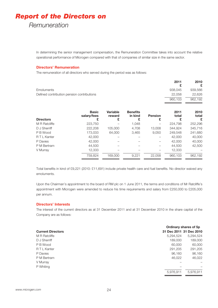# *Report of the Directors on*

# *Remuneration*

In determining the senior management compensation, the Remuneration Committee takes into account the relative operational performance of Microgen compared with that of companies of similar size in the same sector.

### **Directors' Remuneration**

The remuneration of all directors who served during the period was as follows:

|                                            | 2011    | 2010<br>£ |
|--------------------------------------------|---------|-----------|
| <b>Emoluments</b>                          | 938.045 | 939,566   |
| Defined contribution pension contributions | 22.058  | 22,626    |
|                                            | 960.103 | 962,192   |
|                                            |         |           |

| <b>Basic</b><br>salary/fees | Variable<br>reward | <b>Benefits</b><br>in kind | <b>Pension</b><br>£ | 2011<br>total | 2010<br>total<br>£ |
|-----------------------------|--------------------|----------------------------|---------------------|---------------|--------------------|
| 223,750                     |                    | 1,048                      |                     | 224,798       | 252,296            |
| 222,208                     | 105,000            | 4,708                      | 13,008              | 344.924       | 345,716            |
| 173,033                     | 64,000             | 3,465                      | 9,050               | 249,548       | 241,680            |
| 42,000                      |                    |                            |                     | 42,000        | 40,000             |
| 42,000                      |                    |                            |                     | 42,000        | 40,000             |
| 44,500                      |                    |                            |                     | 44.500        | 42,500             |
| 12.333                      |                    |                            |                     | 12.333        |                    |
| 759.824                     | 169.000            | 9,221                      | 22,058              | 960.103       | 962,192            |
|                             |                    |                            |                     |               |                    |

Total benefits in kind of £9,221 (2010: £11,691) include private health care and fuel benefits. No director waived any emoluments.

Upon the Chairman's appointment to the board of RM plc on 1 June 2011, the terms and conditions of Mr Ratcliffe's appointment with Microgen were amended to reduce his time requirements and salary from £250,000 to £205,000 per annum.

### **Directors' Interests**

The interest of the current directors as at 31 December 2011 and at 31 December 2010 in the share capital of the Company are as follows:

|                          |                         | Ordinary shares of 5p |
|--------------------------|-------------------------|-----------------------|
| <b>Current Directors</b> | 31 Dec 2011 31 Dec 2010 |                       |
| M R Ratcliffe            | 5,294,524               | 5,294,524             |
| D J Sherriff             | 189,000                 | 189,000               |
| P B Wood                 | 60,000                  | 60,000                |
| R T L Kanter             | 291,205                 | 291,205               |
| P Davies                 | 96,160                  | 96,160                |
| P M Bertram              | 46,022                  | 46,022                |
| V Murray                 |                         |                       |
| P Whiting                |                         |                       |
|                          | 5,976,911               | 5.976.911             |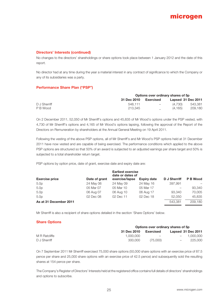### **Directors' Interests (continued)**

No changes to the directors' shareholdings or share options took place between 1 January 2012 and the date of this report.

No director had at any time during the year a material interest in any contract of significance to which the Company or any of its subsidiaries was a party.

### **Performance Share Plan ("PSP")**

|              | Options over ordinary shares of 5p |           |         |                    |  |
|--------------|------------------------------------|-----------|---------|--------------------|--|
|              | 31 Dec 2010                        | Exercised |         | Lapsed 31 Dec 2011 |  |
| D J Sherriff | 548.111                            | $\sim$    | (4.730) | 543.381            |  |
| P B Wood     | 213.345                            |           | (4.165) | 209.180            |  |

On 2 December 2011, 52,050 of Mr Sherriff's options and 45,835 of Mr Wood's options under the PSP vested, with 4,730 of Mr Sherriff's options and 4,165 of Mr Wood's options lapsing, following the approval of the Report of the Directors on Remuneration by shareholders at the Annual General Meeting on 19 April 2011.

Following the vesting of the above PSP options, all of Mr Sherriff's and Mr Wood's PSP options held at 31 December 2011 have now vested and are capable of being exercised. The performance conditions which applied to the above PSP options are structured so that 50% of an award is subjected to an adjusted earnings per share target and 50% is subjected to a total shareholder return target.

PSP options by option price, date of grant, exercise date and expiry date are:

| <b>Exercise price</b>  | Date of grant | <b>Earliest exercise</b><br>date or dates of<br>exercise/lapse | <b>Expiry date</b> | D J Sherriff | P B Wood |
|------------------------|---------------|----------------------------------------------------------------|--------------------|--------------|----------|
| 5.0 <sub>p</sub>       | 24 May 06     | 24 May 09                                                      | 24 May 16          | 397,991      |          |
| 5.0 <sub>p</sub>       | 05 Mar 07     | 05 Mar 10                                                      | 05 Mar 17          |              | 93.340   |
| 5.0 <sub>p</sub>       | 06 Aug 07     | 06 Aug 10                                                      | 06 Aug 17          | 93.340       | 70,005   |
| 5.0 <sub>p</sub>       | 02 Dec 08     | 02 Dec 11                                                      | 02 Dec 18          | 52.050       | 45.835   |
| As at 31 December 2011 |               |                                                                |                    | 543.381      | 209.180  |

Mr Sherriff is also a recipient of share options detailed in the section 'Share Options' below.

### **Share Options**

|               | Options over ordinary shares of 5p |                          |                    |  |  |  |
|---------------|------------------------------------|--------------------------|--------------------|--|--|--|
|               | 31 Dec 2010                        | Exercised                | Lapsed 31 Dec 2011 |  |  |  |
| M R Ratcliffe | 1.000.000                          | $\overline{\phantom{0}}$ | $-1.000.000$       |  |  |  |
| D J Sherriff  | 300,000                            | (75.000)                 | 225,000<br>$-$     |  |  |  |

On 7 September 2011 Mr Sherriff exercised 75,000 share options (50,000 share options with an exercise price of 87.5 pence per share and 25,000 share options with an exercise price of 42.5 pence) and subsequently sold the resulting shares at 154 pence per share.

The Company's Register of Directors' Interests held at the registered office contains full details of directors' shareholdings and options to subscribe.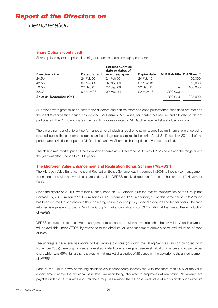# *Report of the Directors on*

*Remuneration*

### **Share Options (continued)**

Share options by option price, date of grant, exercise date and expiry date are:

| <b>Exercise price</b>  | Date of grant | <b>Earliest exercise</b><br>date or dates of<br>exercise/lapse | <b>Expiry date</b> | <b>M R Ratcliffe D J Sherriff</b> |         |
|------------------------|---------------|----------------------------------------------------------------|--------------------|-----------------------------------|---------|
| 24.5p                  | 24 Feb 03     | 24 Feb 06                                                      | 24 Feb 13          |                                   | 50,000  |
| 42.5p                  | 07 Nov 03     | 07 Nov 06                                                      | 07 Nov 13          |                                   | 75,000  |
| 70.5p                  | 22 Sep 05     | 22 Sep 08                                                      | 22 Sep 15          | $\overline{\phantom{m}}$          | 100,000 |
| 52.33p                 | 02 May 08     | 02 May 11                                                      | 02 May 18          | 1,000,000                         |         |
| As at 31 December 2011 |               |                                                                |                    | 1.000.000                         | 225,000 |

All options were granted at no cost to the directors and can be exercised once performance conditions are met and the initial 3 year vesting period has elapsed. Mr Bertram, Mr Davies, Mr Kanter, Ms Murray and Mr Whiting do not participate in the Company share schemes. All options granted to Mr Ratcliffe received shareholder approval.

There are a number of different performance criteria including requirements for a specified minimum share price being reached during the performance period and earnings per share related criteria. As at 31 December 2011 all of the performance criteria in respect of Mr Ratcliffe's and Mr Sherriff's share options have been satisfied.

The closing mid-market price of the Company's shares at 30 December 2011 was 129.25 pence and the range during the year was 102.5 pence to 181.0 pence.

### **The Microgen Value Enhancement and Realisation Bonus Scheme ("VERBS")**

The Microgen Value Enhancement and Realisation Bonus Scheme was introduced in 2008 to incentivise management to enhance and ultimately realise shareholder value. VERBS received approval from shareholders on 19 November 2008.

Since the details of VERBS were initially announced on 14 October 2008 the market capitalisation of the Group has increased by £68.2 million to £105.2 million as at 31 December 2011. In addition, during this same period £28.2 million has been returned to shareholders through a progressive dividend policy, special dividends and tender offers. The cash returned is equivalent to over 75% of the Group's market capitalisation of £37.0 million at the time of the introduction of VERBS.

VERBS is structured to incentivise management to enhance and ultimately realise shareholder value. A cash payment will be available under VERBS by reference to the absolute value enhancement above a base level valuation of each division.

The aggregate base level valuations of the Group's divisions (including the Billing Services Division disposed of in November 2009) were originally set at a level equivalent to an aggregate base level valuation in excess of 70 pence per share which was 95% higher than the closing mid-market share price of 36 pence on the day prior to the announcement of VERBS.

Each of the Group's two continuing divisions are independently incentivised with not more than 25% of the value enhancement above the divisional base level valuation being allocated to employees at realisation. No awards are payable under VERBS unless and until the Group has realised the full base level value of a division through either its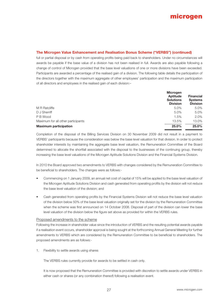# **The Microgen Value Enhancement and Realisation Bonus Scheme ("VERBS") (continued)**

full or partial disposal or by cash from operating profits being paid back to shareholders. Under no circumstances will awards be payable if the base value of a division has not been realised in full. Awards are also payable following a change of control of Microgen provided that the base level valuations of one or more divisions have been exceeded. Participants are awarded a percentage of the realised gain of a division. The following table details the participation of the directors together with the maximum aggregate of other employees' participation and the maximum participation of all directors and employees in the realised gain of each division:–

|                                    | <b>Microgen</b><br>Aptitude<br><b>Solutions</b><br><b>Division</b> | <b>Financial</b><br><b>Systems</b><br><b>Division</b> |
|------------------------------------|--------------------------------------------------------------------|-------------------------------------------------------|
| <b>M R Ratcliffe</b>               | 5.0%                                                               | 5.0%                                                  |
| D J Sherriff                       | 5.0%                                                               | 5.0%                                                  |
| P B Wood                           | 1.5%                                                               | 2.0%                                                  |
| Maximum for all other participants | 13.5%                                                              | 13.0%                                                 |
| <b>Maximum participation</b>       | 25.0%                                                              | 25.0%                                                 |

Completion of the disposal of the Billing Services Division on 30 November 2009 did not result in a payment to VERBS' participants because the consideration was below the base level valuation for that division. In order to protect shareholder interests by maintaining the aggregate base level valuation, the Remuneration Committee of the Board determined to allocate the shortfall associated with the disposal to the businesses of the continuing group, thereby increasing the base level valuations of the Microgen Aptitude Solutions Division and the Financial Systems Division.

In 2010 the Board approved two amendments to VERBS with changes considered by the Remuneration Committee to be beneficial to shareholders. The changes were as follows:-

- s Commencing on 1 January 2009, an annual net cost of capital of 15% will be applied to the base level valuation of the Microgen Aptitude Solutions Division and cash generated from operating profits by the division will not reduce the base level valuation of the division; and
- Cash generated from operating profits by the Financial Systems Division will not reduce the base level valuation of the division below 50% of the base level valuation originally set for the division by the Remuneration Committee when the scheme was first announced on 14 October 2008. Disposal of part of the division can lower the base level valuation of the division below the figure set above as provided for within the VERBS rules.

### Proposed amendments to the scheme

Following the increase in shareholder value since the introduction of VERBS and the resulting potential awards payable if a realisation event occurs, shareholder approval is being sought at the forthcoming Annual General Meeting for further amendments to VERBS which are considered by the Remuneration Committee to be beneficial to shareholders. The proposed amendments are as follows:-

1. Flexibility to settle awards using shares

The VERBS rules currently provide for awards to be settled in cash only.

It is now proposed that the Remuneration Committee is provided with discretion to settle awards under VERBS in either cash or shares (or any combination thereof) following a realisation event.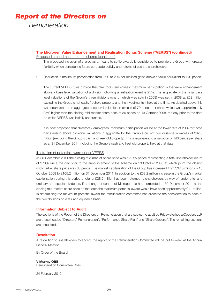# *Report of the Directors on*

*Remuneration*

# **The Microgen Value Enhancement and Realisation Bonus Scheme ("VERBS") (continued)**

Proposed amendments to the scheme (continued)

The proposed inclusion of shares as a means to settle awards is considered to provide the Group with greater flexibility when considering future corporate activity and returns of cash to shareholders.

2. Reduction in maximum participation from 25% to 20% for realised gains above a value equivalent to 140 pence

The current VERBS rules provide that directors / employees' maximum participation in the value enhancement above a base level valuation of a division following a realisation event is 25%. The aggregate of the initial base level valuations of the Group's three divisions (one of which was sold in 2009) was set in 2008 at £52 million excluding the Group's net cash, freehold property and the investments it held at the time. As detailed above this was equivalent to an aggregate base level valuation in excess of 70 pence per share which was approximately 95% higher than the closing mid-market share price of 36 pence on 13 October 2008, the day prior to the date on which VERBS was initially announced.

It is now proposed that directors / employees' maximum participation will be at the lower rate of 20% for those gains arising above divisional valuations in aggregate for the Group's current two divisions in excess of £82.8 million (excluding the Group's cash and freehold property). This is equivalent to a valuation of 140 pence per share as at 31 December 2011 including the Group's cash and freehold property held at that date.

### Illustration of potential award under VERBS

At 30 December 2011 the closing mid-market share price was 129.25 pence representing a total shareholder return of 273% since the day prior to the announcement of the scheme on 13 October 2008 at which point the closing mid-market share price was 36 pence. The market capitalisation of the Group has increased from £37.0 million on 13 October 2008 to £105.2 million on 31 December 2011. In addition to the £68.2 million increase in the Group's market capitalisation during this period a total of £28.2 million has been returned to shareholders by way of tender offer and ordinary and special dividends. If a change of control of Microgen plc had completed at 30 December 2011 at the closing mid-market share price on that date the maximum potential award would have been approximately £11 million. In determining the maximum potential award the remuneration committee has allocated the consideration to each of the two divisions on a fair and equitable basis.

### **Information Subject to Audit**

The sections of the Report of the Directors on Remuneration that are subject to audit by PricewaterhouseCoopers LLP are those headed "Directors' Remuneration", "Performance Share Plan" and "Share Options". The remaining sections are unaudited.

# **Resolution**

A resolution to shareholders to accept the report of the Remuneration Committee will be put forward at the Annual General Meeting.

By Order of the Board

### **V Murray OBE**

Remuneration Committee Chair

24 February 2012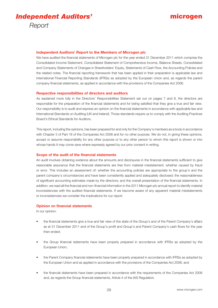

### **Independent Auditors' Report to the Members of Microgen plc**

We have audited the financial statements of Microgen plc for the year ended 31 December 2011 which comprise the Consolidated Income Statement, Consolidated Statement of Comprehensive Income, Balance Sheets, Consolidated and Company Statements of Changes in Shareholders' Equity, Statements of Cash Flow, the Accounting Policies and the related notes. The financial reporting framework that has been applied in their preparation is applicable law and International Financial Reporting Standards (IFRSs) as adopted by the European Union and, as regards the parent company financial statements, as applied in accordance with the provisions of the Companies Act 2006.

#### **Respective responsibilities of directors and auditors**

As explained more fully in the Directors' Responsibilities Statement set out on pages 7 and 8, the directors are responsible for the preparation of the financial statements and for being satisfied that they give a true and fair view. Our responsibility is to audit and express an opinion on the financial statements in accordance with applicable law and International Standards on Auditing (UK and Ireland). Those standards require us to comply with the Auditing Practices Board's Ethical Standards for Auditors.

This report, including the opinions, has been prepared for and only for the Company's members as a body in accordance with Chapter 3 of Part 16 of the Companies Act 2006 and for no other purpose. We do not, in giving these opinions, accept or assume responsibility for any other purpose or to any other person to whom this report is shown or into whose hands it may come save where expressly agreed by our prior consent in writing.

### **Scope of the audit of the financial statements**

An audit involves obtaining evidence about the amounts and disclosures in the financial statements sufficient to give reasonable assurance that the financial statements are free from material misstatement, whether caused by fraud or error. This includes an assessment of: whether the accounting policies are appropriate to the group's and the parent company's circumstances and have been consistently applied and adequately disclosed; the reasonableness of significant accounting estimates made by the directors; and the overall presentation of the financial statements. In addition, we read all the financial and non-financial information in the 2011 Microgen plc annual report to identify material inconsistencies with the audited financial statements. If we become aware of any apparent material misstatements or inconsistencies we consider the implications for our report.

### **Opinion on financial statements**

In our opinion:

- the financial statements give a true and fair view of the state of the Group's and of the Parent Company's affairs as at 31 December 2011 and of the Group's profit and Group's and Parent Company's cash flows for the year then ended:
- the Group financial statements have been properly prepared in accordance with IFRSs as adopted by the European Union:
- the Parent Company financial statements have been properly prepared in accordance with IFRSs as adopted by the European Union and as applied in accordance with the provisions of the Companies Act 2006; and
- the financial statements have been prepared in accordance with the requirements of the Companies Act 2006 and, as regards the Group financial statements, Article 4 of the lAS Regulation.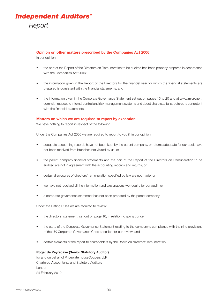

### **Opinion on other matters prescribed by the Companies Act 2006**

In our opinion:

- the part of the Report of the Directors on Remuneration to be audited has been properly prepared in accordance with the Companies Act 2006:
- the information given in the Report of the Directors for the financial year for which the financial statements are prepared is consistent with the financial statements: and
- the information given in the Corporate Governance Statement set out on pages 15 to 20 and at www.microgen. com with respect to internal control and risk management systems and about share capital structures is consistent with the financial statements.

### **Matters on which we are required to report by exception**

We have nothing to report in respect of the following:

Under the Companies Act 2006 we are required to report to you if, in our opinion:

- adequate accounting records have not been kept by the parent company, or returns adequate for our audit have not been received from branches not visited by us; or
- the parent company financial statements and the part of the Report of the Directors on Remuneration to be audited are not in agreement with the accounting records and returns; or
- certain disclosures of directors' remuneration specified by law are not made; or
- we have not received all the information and explanations we require for our audit; or
- a corporate governance statement has not been prepared by the parent company.

Under the Listing Rules we are required to review:

- the directors' statement, set out on page 10, in relation to going concern;
- the parts of the Corporate Governance Statement relating to the company's compliance with the nine provisions of the UK Corporate Governance Code specified for our review; and
- certain elements of the report to shareholders by the Board on directors' remuneration.

#### **Roger de Peyrecave (Senior Statutory Auditor)**

for and on behalf of PricewaterhouseCoopers LLP Chartered Accountants and Statutory Auditors London 24 February 2012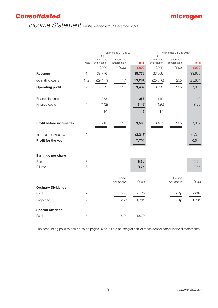# *Consolidated*

# *Income Statement for the year ended 31 December 2011*

|                           |                | Year ended 31 Dec 2011               |                            |              |                                      | Year ended 31 Dec 2010     |              |  |  |
|---------------------------|----------------|--------------------------------------|----------------------------|--------------|--------------------------------------|----------------------------|--------------|--|--|
|                           | Note           | Before<br>intangible<br>amortisation | Intangible<br>amortisation | <b>Total</b> | Before<br>intangible<br>amortisation | Intangible<br>amortisation | <b>Total</b> |  |  |
|                           |                | £000                                 | £000                       | £000         | £000                                 | £000                       | £000         |  |  |
| <b>Revenue</b>            | 1              | 38,776                               |                            | 38,776       | 33,669                               |                            | 33,669       |  |  |
| Operating costs           | 1, 2           | (29, 177)                            | (117)                      | (29, 294)    | (25, 576)                            | (255)                      | (25, 831)    |  |  |
| <b>Operating profit</b>   | $\overline{c}$ | 9,599                                | (117)                      | 9,482        | 8,093                                | (255)                      | 7,838        |  |  |
| Finance income            | 4              | 258                                  |                            | 258          | 140                                  |                            | 140          |  |  |
| Finance costs             | $\overline{4}$ | (142)                                |                            | (142)        | (126)                                |                            | (126)        |  |  |
|                           |                | 116                                  |                            | 116          | 14                                   |                            | 14           |  |  |
| Profit before income tax  |                | 9,715                                | (117)                      | 9,598        | 8,107                                | (255)                      | 7,852        |  |  |
| Income tax expense        | 5              |                                      |                            | (2, 348)     |                                      |                            | (1, 341)     |  |  |
| Profit for the year       |                |                                      |                            | 7,250        |                                      |                            | 6,511        |  |  |
| Earnings per share        |                |                                      |                            |              |                                      |                            |              |  |  |
| <b>Basic</b>              | 6              |                                      |                            | 8.9p         |                                      |                            | 7.7p         |  |  |
| <b>Diluted</b>            | 6              |                                      |                            | 8.7p         |                                      |                            | 7.5p         |  |  |
|                           |                |                                      | Pence<br>per share         | £000         |                                      | Pence<br>per share         | £000         |  |  |
| <b>Ordinary Dividends</b> |                |                                      |                            |              |                                      |                            |              |  |  |
| Paid                      | $\overline{7}$ |                                      | 3.2p                       | 2,575        |                                      | 2.4p                       | 2,084        |  |  |
| Proposed                  | $\overline{7}$ |                                      | 2.2p                       | 1,791        |                                      | 2.1p                       | 1,701        |  |  |
| <b>Special Dividend</b>   |                |                                      |                            |              |                                      |                            |              |  |  |
| Paid                      | $\overline{7}$ |                                      | 5.0 <sub>p</sub>           | 4,070        |                                      |                            |              |  |  |

The accounting policies and notes on pages 37 to 73 are an integral part of these consolidated financial statements.

**microgen**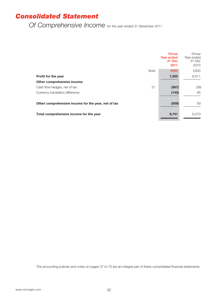# *Consolidated Statement*

*Of Comprehensive Income for the year ended 31 December 2011*

|                                                     | Group<br>Year ended<br>31 Dec<br>2011 | Group<br>Year ended<br>31 Dec<br>2010 |
|-----------------------------------------------------|---------------------------------------|---------------------------------------|
| <b>Note</b>                                         | £000                                  | £000                                  |
| <b>Profit for the year</b>                          | 7,250                                 | 6,511                                 |
| Other comprehensive income                          |                                       |                                       |
| 21<br>Cash flow hedges, net of tax                  | (367)                                 | (36)                                  |
| Currency translation difference                     | (142)                                 | 95                                    |
| Other comprehensive income for the year, net of tax | (509)                                 | 59                                    |
| Total comprehensive income for the year             | 6,741                                 | 6,570                                 |

The accounting policies and notes on pages 37 to 73 are an integral part of these consolidated financial statements.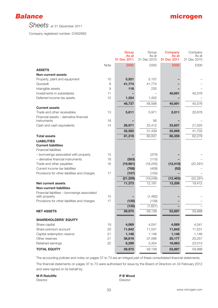



*Sheets at 31 December 2011*

Company registered number: 01602662

|                                                        |             | Group<br>As at<br>31 Dec 2011 | Group<br>As at<br>31 Dec 2010 | Company<br>As at<br>31 Dec 2011 | Company<br>As at<br>31 Dec 2010 |
|--------------------------------------------------------|-------------|-------------------------------|-------------------------------|---------------------------------|---------------------------------|
|                                                        | <b>Note</b> | £000                          | £000                          | £000                            | £000                            |
| <b>ASSETS</b>                                          |             |                               |                               |                                 |                                 |
| <b>Non-current assets</b>                              |             |                               |                               |                                 |                                 |
| Property, plant and equipment                          | 10          | 5,521                         | 5,157                         |                                 |                                 |
| Goodwill                                               | 8           | 41,774                        | 41,774                        |                                 |                                 |
| Intangible assets                                      | 9           | 118                           | 235                           |                                 |                                 |
| Investments in subsidiaries                            | 11          |                               |                               | 40,691                          | 40,576                          |
| Deferred income tax assets                             | 12          | 1,324                         | 1,402                         |                                 |                                 |
|                                                        |             | 48,737                        | 48,568                        | 40,691                          | 40,576                          |
| <b>Current assets</b>                                  |             |                               |                               |                                 |                                 |
| Trade and other receivables                            | 13          | 5,611                         | 5,971                         | 2,011                           | 20,678                          |
| Financial assets - derivative financial<br>instruments | 18          |                               | 56                            |                                 |                                 |
| Cash and cash equivalents                              | 14          | 26,971                        | 25,412                        | 23,657                          | 21,025                          |
|                                                        |             | 32,582                        | 31,439                        | 25,668                          | 41,703                          |
| <b>Total assets</b>                                    |             | 81,319                        | 80,007                        | 66,359                          | 82,279                          |
| <b>LIABILITIES</b>                                     |             |                               |                               |                                 |                                 |
| <b>Current liabilities</b>                             |             |                               |                               |                                 |                                 |
| <b>Financial liabilities</b>                           |             |                               |                               |                                 |                                 |
| - borrowings associated with property                  | 15          |                               | (370)                         |                                 |                                 |
| - derivative financial instruments                     | 18          | (353)                         | (115)                         |                                 |                                 |
| Trade and other payables                               | 16          | (19, 981)                     | (18, 205)                     | (12, 410)                       | (22, 291)                       |
| Current income tax liabilities                         |             | (768)                         | (408)                         | (52)                            |                                 |
| Provisions for other liabilities and charges           | 17          | (107)                         | (150)                         |                                 |                                 |
|                                                        |             | (21, 209)                     | (19, 248)                     | (12, 462)                       | (22, 291)                       |
| <b>Net current assets</b>                              |             | 11,373                        | 12,191                        | 13,206                          | 19,412                          |
| <b>Non-current liabilities</b>                         |             |                               |                               |                                 |                                 |
| Financial liabilities - borrowings associated          |             |                               |                               |                                 |                                 |
| with property                                          | 15          |                               | (1,482)                       |                                 |                                 |
| Provisions for other liabilities and charges           | 17          | (135)                         | (139)                         |                                 |                                 |
|                                                        |             | (135)                         | (1,621)                       |                                 |                                 |
| <b>NET ASSETS</b>                                      |             | 59,975                        | 59,138                        | 53,897                          | 59,988                          |
| <b>SHAREHOLDERS' EQUITY</b>                            |             |                               |                               |                                 |                                 |
| Share capital                                          | 19          | 4,069                         | 4,041                         | 4,069                           | 4,041                           |
| Share premium account                                  | 20          | 11,842                        | 11,531                        | 11,842                          | 11,531                          |
| Capital redemption reserve                             | 21          | 1,146                         | 1,146                         | 1,146                           | 1,146                           |
| Other reserves                                         | 21          | 36,619                        | 37,066                        | 20,177                          | 20,257                          |
| Retained earnings                                      | 22          | 6,299                         | 5,354                         | 16,663                          | 23,013                          |
| <b>TOTAL EQUITY</b>                                    |             | 59,975                        | 59,138                        | 53,897                          | 59,988                          |

The accounting policies and notes on pages 37 to 73 are an integral part of these consolidated financial statements.

The financial statements on pages 37 to 73 were authorised for issue by the Board of Directors on 24 February 2012 and were signed on its behalf by:

**M R Ratcliffe P B Wood P B Wood** Director Director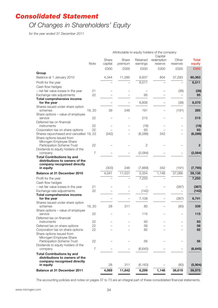# *Consolidated Statement*

# *Of Changes in Shareholders' Equity*

*for the year ended 31 December 2011*

|                                                                  | Attributable to equity holders of the company |                  |                  |                      |                       |                          |                 |
|------------------------------------------------------------------|-----------------------------------------------|------------------|------------------|----------------------|-----------------------|--------------------------|-----------------|
|                                                                  |                                               |                  |                  |                      | Capital               |                          |                 |
|                                                                  | Note                                          | Share<br>capital | Share<br>premium | Retained<br>earnings | redemption<br>reserve | Other<br>reserves        | Total<br>equity |
|                                                                  |                                               | £000             | £000             | £000                 | £000                  | £000                     | £000            |
| Group                                                            |                                               |                  |                  |                      |                       |                          |                 |
| Balance at 1 January 2010                                        |                                               | 4,344            | 11,285           | 6,637                | 804                   | 37,293                   | 60,363          |
| Profit for the year                                              |                                               |                  |                  | 6,511                |                       |                          | 6,511           |
| Cash flow hedges                                                 |                                               |                  |                  |                      |                       |                          |                 |
| - net fair value losses in the year                              | 21                                            |                  |                  |                      |                       | (36)                     | (36)            |
| Exchange rate adjustments                                        | 22                                            |                  |                  | 95                   |                       |                          | 95              |
| <b>Total comprehensive income</b>                                |                                               |                  |                  |                      |                       |                          |                 |
| for the year                                                     |                                               |                  |                  | 6,606                |                       | (36)                     | 6,570           |
| Shares issued under share option<br>schemes                      | 19, 20                                        | 39               | 246              | 191                  |                       | (191)                    | 285             |
| Share options - value of employee<br>service                     | 22                                            |                  |                  | 215                  |                       |                          | 215             |
| Deferred tax on financial                                        |                                               |                  |                  |                      |                       |                          |                 |
| instruments                                                      | 22                                            |                  |                  | (18)                 |                       | $\overline{\phantom{0}}$ | (18)            |
| Corporation tax on share options                                 | 22                                            |                  |                  | 93                   |                       |                          | 93              |
| Shares repurchased and cancelled 19, 22                          |                                               | (342)            |                  | (6, 288)             | 342                   |                          | (6, 288)        |
| Share options issued from                                        |                                               |                  |                  |                      |                       |                          |                 |
| Microgen Employee Share                                          |                                               |                  |                  |                      |                       |                          |                 |
| Participation Scheme Trust<br>Dividends to equity holders of the | 22                                            |                  |                  | 2                    |                       |                          | $\mathbf{2}$    |
| company                                                          | $\overline{7}$                                |                  |                  | (2,084)              |                       |                          | (2,084)         |
| <b>Total Contributions by and</b>                                |                                               |                  |                  |                      |                       |                          |                 |
| distributions to owners of the                                   |                                               |                  |                  |                      |                       |                          |                 |
| company recognised directly                                      |                                               |                  |                  |                      |                       |                          |                 |
| in equity                                                        |                                               | (303)            | 246              | (7,889)              | 342                   | (191)                    | (7, 795)        |
| <b>Balance at 31 December 2010</b>                               |                                               | 4,041            | 11,531           | 5,354                | 1,146                 | 37,066                   | 59,138          |
| Profit for the year                                              |                                               |                  |                  | 7,250                |                       |                          | 7,250           |
| Cash flow hedges                                                 |                                               |                  |                  |                      |                       |                          |                 |
| - net fair value losses in the year                              | 21                                            |                  |                  |                      |                       | (367)                    | (367)           |
| Exchange rate adjustments                                        | 22                                            |                  |                  | (142)                |                       |                          | (142)           |
| <b>Total comprehensive income</b>                                |                                               |                  |                  |                      |                       |                          |                 |
| for the year                                                     |                                               |                  |                  | 7,108                |                       | (367)                    | 6,741           |
| Shares issued under share option                                 |                                               |                  |                  |                      |                       |                          |                 |
| schemes                                                          | 19, 20                                        | 28               | 311              | 80                   |                       | (80)                     | 339             |
| Share options - value of employee<br>service                     | 22                                            |                  |                  | 115                  |                       |                          | 115             |
| Deferred tax on financial                                        |                                               |                  |                  |                      |                       |                          |                 |
| instruments                                                      | 22                                            |                  |                  | 93                   |                       |                          | 93              |
| Deferred tax on share options                                    | 22                                            |                  |                  | 56                   |                       |                          | 56              |
| Corporation tax on share options                                 | 22                                            |                  |                  | 82                   |                       |                          | 82              |
| Share options issued from                                        |                                               |                  |                  |                      |                       |                          |                 |
| Microgen Employee Share<br>Participation Scheme Trust            | 22                                            |                  |                  | 56                   |                       |                          | 56              |
| Dividends to equity holders of the                               |                                               |                  |                  |                      |                       |                          |                 |
| company                                                          | $\overline{7}$                                |                  |                  | (6, 645)             |                       |                          | (6, 645)        |
| <b>Total Contributions by and</b>                                |                                               |                  |                  |                      |                       |                          |                 |
| distributions to owners of the                                   |                                               |                  |                  |                      |                       |                          |                 |
| company recognised directly                                      |                                               |                  |                  |                      |                       |                          |                 |
| in equity                                                        |                                               | 28               | 311              | (6, 163)             |                       | (80)                     | (5,904)         |
| <b>Balance at 31 December 2011</b>                               |                                               | 4,069            | 11,842           | 6,299                | 1,146                 | 36,619                   | 59,975          |

The accounting policies and notes on pages 37 to 73 are an integral part of these consolidated financial statements.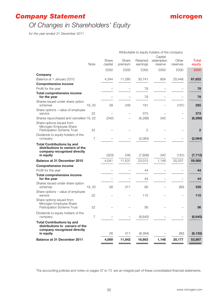# *Company Statement*

# *Of Changes in Shareholders' Equity*

*for the year ended 31 December 2011*

|                                                                                                                 |                |                  |                  |                      | Attributable to equity holders of the company |                   |                 |
|-----------------------------------------------------------------------------------------------------------------|----------------|------------------|------------------|----------------------|-----------------------------------------------|-------------------|-----------------|
|                                                                                                                 |                |                  |                  |                      | Capital                                       |                   |                 |
|                                                                                                                 | <b>Note</b>    | Share<br>capital | Share<br>premium | Retained<br>earnings | redemption<br>reserve                         | Other<br>reserves | Total<br>equity |
|                                                                                                                 |                | £000             | £000             | £000                 | £000                                          | £000              | £000            |
| Company                                                                                                         |                |                  |                  |                      |                                               |                   |                 |
| Balance at 1 January 2010                                                                                       |                | 4,344            | 11,285           | 30,741               | 804                                           | 20,448            | 67,622          |
| <b>Comprehensive income</b>                                                                                     |                |                  |                  |                      |                                               |                   |                 |
| Profit for the year                                                                                             |                |                  |                  | 78                   |                                               |                   | 78              |
| <b>Total comprehensive income</b><br>for the year                                                               |                |                  |                  | 78                   |                                               |                   | 78              |
| Shares issued under share option<br>schemes                                                                     | 19, 20         | 39               | 246              | 191                  |                                               | (191)             | 285             |
| Share options - value of employee<br>service                                                                    | 22             |                  |                  | 373                  |                                               |                   | 373             |
| Shares repurchased and cancelled 19, 22                                                                         |                | (342)            |                  | (6, 288)             | 342                                           |                   | (6, 288)        |
| Share options issued from<br>Microgen Employee Share<br>Participation Scheme Trust                              | 22             |                  |                  | $\mathbf{2}$         |                                               |                   | $\mathbf{2}$    |
| Dividends to equity holders of the<br>company                                                                   | 7              |                  |                  | (2,084)              |                                               |                   | (2,084)         |
| <b>Total Contributions by and</b><br>distributions to owners of the<br>company recognised directly<br>in equity |                | (303)            | 246              | (7,806)              | 342                                           | (191)             | (7, 712)        |
| Balance at 31 December 2010                                                                                     |                | 4,041            | 11,531           | 23,013               | 1,146                                         | 20,257            | 59,988          |
| <b>Comprehensive income</b>                                                                                     |                |                  |                  |                      |                                               |                   |                 |
| Profit for the year                                                                                             |                |                  |                  | 44                   |                                               |                   | 44              |
| <b>Total comprehensive income</b><br>for the year                                                               |                |                  |                  | 44                   |                                               |                   | 44              |
| Shares issued under share option<br>schemes                                                                     | 19, 20         | 28               | 311              | 80                   |                                               | (80)              | 339             |
| Share options - value of employee<br>service                                                                    | 22             |                  |                  | 115                  |                                               |                   | 115             |
| Share options issued from<br>Microgen Employee Share<br>Participation Scheme Trust                              | 22             |                  |                  | 56                   |                                               |                   | 56              |
| Dividends to equity holders of the<br>company                                                                   | $\overline{7}$ |                  |                  | (6, 645)             |                                               |                   | (6, 645)        |
| <b>Total Contributions by and</b><br>distributions to owners of the<br>company recognised directly<br>in equity |                | 28               | 311              | (6, 394)             |                                               | (80)              | (6, 135)        |
|                                                                                                                 |                |                  |                  |                      |                                               |                   |                 |
| <b>Balance at 31 December 2011</b>                                                                              |                | 4,069            | 11,842           | 16,663               | 1,146                                         | 20,177            | 53,897          |

The accounting policies and notes on pages 37 to 73 are an integral part of these consolidated financial statements.

**microgen**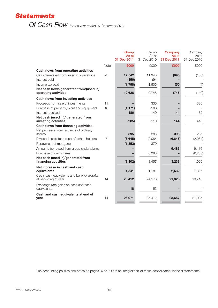# *Statements*

*Of Cash Flow for the year ended 31 December 2011*

|                                                                    |             | Group<br>As at<br>31 Dec 2011 | Group<br>As at<br>31 Dec 2010 | Company<br>As at<br>31 Dec 2011 | Company<br>As at<br>31 Dec 2010 |
|--------------------------------------------------------------------|-------------|-------------------------------|-------------------------------|---------------------------------|---------------------------------|
|                                                                    | <b>Note</b> | £000                          | £000                          | £000                            | £000                            |
| Cash flows from operating activities                               |             |                               |                               |                                 |                                 |
| Cash generated from/(used in) operations<br>Interest paid          | 23          | 12,542<br>(156)               | 11,348<br>(94)                | (695)                           | (136)                           |
| Income tax paid                                                    |             | (1,758)                       | (1,506)                       | (50)                            | (4)                             |
| Net cash flows generated from/(used in)<br>operating activities    |             | 10,628                        | 9,748                         | (745)                           | (140)                           |
| Cash flows from investing activities                               |             |                               |                               |                                 |                                 |
| Proceeds from sale of investments                                  | 11          |                               | 336                           |                                 | 336                             |
| Purchase of property, plant and equipment                          | 10          | (1, 171)                      | (586)                         |                                 |                                 |
| Interest received                                                  |             | 186                           | 140                           | 144                             | 82                              |
| Net cash (used in)/ generated from<br>investing activities         |             | (985)                         | (110)                         | 144                             | 418                             |
| Cash flows from financing activities                               |             |                               |                               |                                 |                                 |
| Net proceeds from issuance of ordinary<br>shares                   |             | 395                           | 285                           | 395                             | 285                             |
| Dividends paid to company's shareholders                           | 7           | (6,645)                       | (2,084)                       | (6,645)                         | (2,084)                         |
| Repayment of mortgage                                              |             | (1, 852)                      | (370)                         |                                 |                                 |
| Amounts borrowed from group undertakings                           |             |                               |                               | 9,483                           | 9,116                           |
| Purchase of own shares                                             |             |                               | (6, 288)                      |                                 | (6, 288)                        |
| Net cash (used in)/generated from<br>financing activities          |             | (8, 102)                      | (8, 457)                      | 3,233                           | 1,029                           |
| Net increase in cash and cash<br>equivalents                       |             | 1,541                         | 1,181                         | 2,632                           | 1,307                           |
| Cash, cash equivalents and bank overdrafts<br>at beginning of year | 14          | 25,412                        | 24,178                        | 21,025                          | 19,718                          |
| Exchange rate gains on cash and cash<br>equivalents                |             | 18                            | 53                            |                                 |                                 |
| Cash and cash equivalents at end of<br>year                        | 14          | 26,971                        | 25,412                        | 23,657                          | 21,025                          |
|                                                                    |             |                               |                               |                                 |                                 |

The accounting policies and notes on pages 37 to 73 are an integral part of these consolidated financial statements.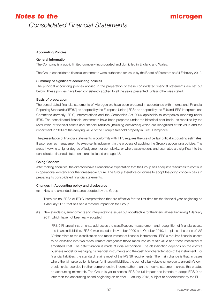#### **Accounting Policies**

#### **General Information**

The Company is a public limited company incorporated and domiciled in England and Wales.

The Group consolidated financial statements were authorised for issue by the Board of Directors on 24 February 2012.

#### **Summary of significant accounting policies**

The principal accounting policies applied in the preparation of these consolidated financial statements are set out below. These policies have been consistently applied to all the years presented, unless otherwise stated.

#### **Basis of preparation**

The consolidated financial statements of Microgen plc have been prepared in accordance with International Financial Reporting Standards ("IFRS") as adopted by the European Union (IFRSs as adopted by the EU) and IFRS Interpretations Committee (formerly IFRIC) interpretations and the Companies Act 2006 applicable to companies reporting under IFRS. The consolidated financial statements have been prepared under the historical cost basis, as modified by the revaluation of financial assets and financial liabilities (including derivatives) which are recognised at fair value and the impairment in 2009 of the carrying value of the Group's freehold property in Fleet, Hampshire.

The presentation of financial statements in conformity with IFRS requires the use of certain critical accounting estimates. It also requires management to exercise its judgement in the process of applying the Group's accounting policies. The areas involving a higher degree of judgement or complexity, or where assumptions and estimates are significant to the consolidated financial statements are disclosed on page 48.

### **Going Concern**

After making enquiries, the directors have a reasonable expectation that the Group has adequate resources to continue in operational existence for the foreseeable future. The Group therefore continues to adopt the going concern basis in preparing its consolidated financial statements.

# **Changes in Accounting policy and disclosures**

(a) New and amended standards adopted by the Group

There are no IFRSs or IFRIC interpretations that are effective for the first time for the financial year beginning on 1 January 2011 that has had a material impact on the Group.

- (b) New standards, amendments and interpretations issued but not effective for the financial year beginning 1 January 2011 which have not been early adopted.
	- IFRS 9 Financial Instruments, addresses the classification, measurement and recognition of financial assets and financial liabilities. IFRS 9 was issued in November 2009 and October 2010. It replaces the parts of IAS 39 that relate to the classification and measurement of financial instruments. IFRS 9 requires financial assets to be classified into two measurement categories: those measured as at fair value and those measured at amortised cost. The determination is made at initial recognition. The classification depends on the entity's business model for managing its financial instruments and the cash flow characteristics of the instrument. For financial liabilities, the standard retains most of the IAS 39 requirements. The main change is that, in cases where the fair value option is taken for financial liabilities, the part of a fair value change due to an entity's own credit risk is recorded in other comprehensive income rather than the income statement, unless this creates an accounting mismatch. The Group is yet to assess IFRS 9's full impact and intends to adopt IFRS 9 no later than the accounting period beginning on or after 1 January 2013, subject to endorsement by the EU.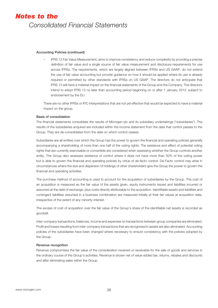### **Accounting Policies (continued)**

– IFRS 13 Fair Value Measurement, aims to improve consistency and reduce complexity by providing a precise definition of fair value and a single source of fair value measurement and disclosure requirements for use across IFRSs. The requirements, which are largely aligned between IFRSs and US GAAP, do not extend the use of fair value accounting but provide guidance on how it should be applied where its use is already required or permitted by other standards with IFRSs on US GAAP. The directors do not anticipate that IFRS 13 will have a material impact on the financial statements of the Group and the Company. The directors intend to adopt IFRS 13 no later than accounting period beginning on or after 1 January 2012, subject to endorsement by the EU.

There are no other IFRSs or IFIC interpretations that are not yet effective that would be expected to have a material impact on the group.

# **Basis of consolidation**

The financial statements consolidate the results of Microgen plc and its subsidiary undertakings ("subsidiaries"). The results of the subsidiaries acquired are included within the income statement from the date that control passes to the Group. They are de-consolidated from the date on which control ceases.

Subsidiaries are all entities over which the Group has the power to govern the financial and operating policies generally accompanying a shareholding of more than one half of the voting rights. The existence and effect of potential voting rights that are currently exercisable or convertible are considered when assessing whether the Group controls another entity. The Group also assesses existence of control where it does not have more than 50% of the voting power but is able to govern the financial and operating policies by virtue of de-facto control. De-Facto control may arise in circumstances where the size and dispersion of holdings of other shareholders give the Group the power to govern the financial and operating activities.

The purchase method of accounting is used to account for the acquisition of subsidiaries by the Group. The cost of an acquisition is measured as the fair value of the assets given, equity instruments issued and liabilities incurred or assumed at the date of exchange, plus costs directly attributable to the acquisition. Identifiable assets and liabilities and contingent liabilities assumed in a business combination are measured initially at their fair values at acquisition date, irrespective of the extent of any minority interest.

The excess of cost of acquisition over the fair value of the Group's share of the identifiable net assets is recorded as goodwill.

Inter-company transactions, balances, income and expenses on transactions between group companies are eliminated. Profit and losses resulting from inter-company transactions that are recognised in assets are also eliminated. Accounting policies of the subsidiaries have been changed where necessary to ensure consistency with the policies adopted by the Group.

### **Revenue recognition**

Revenue compromises the fair value of the consideration received or receivable for the sale of goods and services in the ordinary course of the Group's activities. Revenue is shown net of value-added tax, returns, rebates and discounts and after eliminating sales within the Group.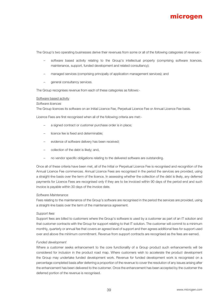

The Group's two operating businesses derive their revenues from some or all of the following categories of revenue:-

- software based activity relating to the Group's intellectual property (comprising software licences, maintenance, support, funded development and related consultancy);
- managed services (comprising principally of application management services); and
- general consultancy services.

The Group recognises revenue from each of these categories as follows:-

#### Software based activity

#### *Software licences*

The Group licences its software on an Initial Licence Fee, Perpetual Licence Fee or Annual Licence Fee basis.

Licence Fees are first recognised when all of the following criteria are met:-

- a signed contract or customer purchase order is in place;
- licence fee is fixed and determinable;
- evidence of software delivery has been received;
- collection of the debt is likely; and,
- no vendor specific obligations relating to the delivered software are outstanding.

Once all of these criteria have been met, all of the Initial or Perpetual Licence Fee is recognised and recognition of the Annual Licence Fee commences. Annual Licence Fees are recognised in the period the services are provided, using a straight-line basis over the term of the licence. In assessing whether the collection of the debt is likely, any deferred payments for Licence Fees are recognised only if they are to be invoiced within 90 days of the period end and such invoice is payable within 30 days of the invoice date.

#### *Software Maintenance*

Fees relating to the maintenance of the Group's software are recognised in the period the services are provided, using a straight-line basis over the term of the maintenance agreement.

#### *Support fees*

Support fees are billed to customers where the Group's software is used by a customer as part of an IT solution and that customer contracts with the Group for support relating to that IT solution. The customer will commit to a minimum monthly, quarterly or annual fee that covers an agreed level of support and then agrees additional fees for support used over and above the minimum commitment. Revenue from support contracts are recognised as the fees are earned.

#### *Funded development*

Where a customer seeks enhancement to the core functionality of a Group product such enhancements will be considered for inclusion in the product road map. Where customers wish to accelerate the product development the Group may undertake funded development work. Revenue for funded development work is recognised on a percentage completed basis after deferring a proportion of the revenue to cover the resolution of any issues arising after the enhancement has been delivered to the customer. Once the enhancement has been accepted by the customer the deferred portion of the revenue is recognised.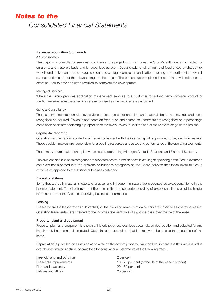# **Revenue recognition (continued)**

### *IPR consultancy*

The majority of consultancy services which relate to a project which includes the Group's software is contracted for on a time and materials basis and is recognised as such. Occasionally, small amounts of fixed priced or shared risk work is undertaken and this is recognised on a percentage completion basis after deferring a proportion of the overall revenue until the end of the relevant stage of the project. The percentage completed is determined with reference to effort incurred to date and effort required to complete the development.

### Managed Services

Where the Group provides application management services to a customer for a third party software product or solution revenue from these services are recognised as the services are performed.

#### General Consultancy

The majority of general consultancy services are contracted for on a time and materials basis, with revenue and costs recognised as incurred. Revenue and costs on fixed price and shared risk contracts are recognised on a percentage completion basis after deferring a proportion of the overall revenue until the end of the relevant stage of the project.

#### **Segmental reporting**

Operating segments are reported in a manner consistent with the internal reporting provided to key decision makers. These decision makers are responsible for allocating resources and assessing performance of the operating segments.

The primary segmental reporting is by business sector, being Microgen Aptitude Solutions and Financial Systems.

The divisions and business categories are allocated central function costs in arriving at operating profit. Group overhead costs are not allocated into the divisions or business categories as the Board believes that these relate to Group activities as opposed to the division or business category.

#### **Exceptional items**

Items that are both material in size and unusual and infrequent in nature are presented as exceptional items in the income statement. The directors are of the opinion that the separate recording of exceptional items provides helpful information about the Group's underlying business performance.

#### **Leasing**

Leases where the lessor retains substantially all the risks and rewards of ownership are classified as operating leases. Operating lease rentals are charged to the income statement on a straight line basis over the life of the lease.

### **Property, plant and equipment**

Property, plant and equipment is shown at historic purchase cost less accumulated depreciation and adjusted for any impairment. Land is not depreciated. Costs include expenditure that is directly attributable to the acquisition of the items.

Depreciation is provided on assets so as to write off the cost of property, plant and equipment less their residual value over their estimated useful economic lives by equal annual instalments at the following rates.

Freehold land and buildings **2** per cent Plant and machinery 20 - 50 per cent Fixtures and fittings The Contract of the 20 per cent

Leasehold improvements 10 - 20 per cent (or the life of the lease if shorter)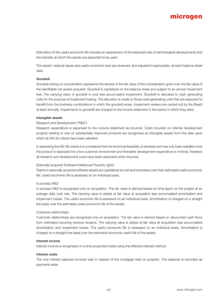Estimation of the useful economic life includes an assessment of the expected rate of technological developments and the intensity at which the assets are expected to be used.

The assets' residual values and useful economic lives are reviewed, and adjusted if appropriate, at each balance sheet date.

### **Goodwill**

Goodwill arising on consolidation represents the excess of the fair value of the consideration given over the fair value of the identifiable net assets acquired. Goodwill is capitalised on the balance sheet and subject to an annual impairment test. The carrying value of goodwill is cost less accumulated impairment. Goodwill is allocated to cash generating units for the purpose of impairment testing. The allocation is made to those cash generating units that are expected to benefit from the business combinations in which the goodwill arose. Impairment reviews are carried out by the Board at least annually. Impairments to goodwill are charged to the income statement in the period in which they arise.

### **Intangible assets**

# *Research and Development ("R&D")*

Research expenditure is expensed to the income statement as incurred. Costs incurred on internal development projects relating to new or substantially improved products are recognised as intangible assets from the date upon which all IAS 38 criteria have been satisfied.

In assessing the IAS 38 criteria it is considered that the technical feasibility of development has only been satisfied once the product is deployed into a live customer environment and thereafter development expenditure is minimal, therefore all research and development costs have been expensed when incurred.

### *Externally acquired Software Intellectual Property rights*

Rights in externally acquired software assets are capitalised at cost and amortised over their estimated useful economic life. Useful economic life is assessed on an individual basis.

### *In process R&D*

In process R&D is recognised only on acquisition. The fair value is derived based on time spent on the project at an average daily cost rate. The carrying value is stated at fair value at acquisition less accumulated amortisation and impairment losses. The useful economic life is assessed on an individual basis. Amortisation is charged on a straight line basis over the estimated useful economic life of the assets.

### *Customer relationships*

Customer relationships are recognised only on acquisition. The fair value is derived based on discounted cash flows from estimated recurring revenue streams. The carrying value is stated at fair value at acquisition less accumulated amortisation and impairment losses. The useful economic life is assessed on an individual basis. Amortisation is charged on a straight line basis over the estimated economic useful life of the assets.

### **Interest income**

Interest income is recognised on a time-proportion basis using the effective interest method.

### **Interest costs**

The only interest expense incurred was in respect of the mortgage held on property. The expense is recorded as payments arise.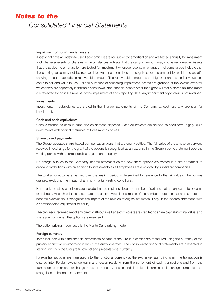#### **Impairment of non-financial assets**

Assets that have an indefinite useful economic life are not subject to amortisation and are tested annually for impairment and whenever events or changes in circumstances indicate that the carrying amount may not be recoverable. Assets that are subject to amortisation are tested for impairment whenever events or changes in circumstances indicate that the carrying value may not be recoverable. An impairment loss is recognised for the amount by which the asset's carrying amount exceeds its recoverable amount. The recoverable amount is the higher of an asset's fair value less costs to sell and value in use. For the purposes of assessing impairment, assets are grouped at the lowest levels for which there are separately identifiable cash flows. Non-financial assets other than goodwill that suffered an impairment are reviewed for possible reversal of the impairment at each reporting date. Any impairment of goodwill is not reversed.

#### **Investments**

Investments in subsidiaries are stated in the financial statements of the Company at cost less any provision for impairment.

#### **Cash and cash equivalents**

Cash is defined as cash in hand and on demand deposits. Cash equivalents are defined as short term, highly liquid investments with original maturities of three months or less.

#### **Share-based payments**

The Group operates share-based compensation plans that are equity settled. The fair value of the employee services received in exchange for the grant of the options is recognised as an expense in the Group income statement over the vesting period with a corresponding adjustment to equity.

No charge is taken to the Company income statement as the new share options are treated in a similar manner to capital contributions with an addition to investments as all employees are employed by subsidiary companies.

The total amount to be expensed over the vesting period is determined by reference to the fair value of the options granted, excluding the impact of any non-market vesting conditions.

Non-market vesting conditions are included in assumptions about the number of options that are expected to become exercisable. At each balance sheet date, the entity revises its estimates of the number of options that are expected to become exercisable. It recognises the impact of the revision of original estimates, if any, in the income statement, with a corresponding adjustment to equity.

The proceeds received net of any directly attributable transaction costs are credited to share capital (nominal value) and share premium when the options are exercised.

The option pricing model used is the Monte Carlo pricing model.

### **Foreign currency**

Items included within the financial statements of each of the Group's entities are measured using the currency of the primary economic environment in which the entity operates. The consolidated financial statements are presented in sterling, which is the Group's functional and presentational currency.

Foreign transactions are translated into the functional currency at the exchange rate ruling when the transaction is entered into. Foreign exchange gains and losses resulting from the settlement of such transactions and from the translation at year-end exchange rates of monetary assets and liabilities denominated in foreign currencies are recognised in the income statement.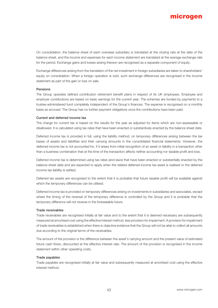On consolidation, the balance sheet of each overseas subsidiary is translated at the closing rate at the date of the balance sheet, and the income and expenses for each income statement are translated at the average exchange rate for the period. Exchange gains and losses arising thereon are recognised as a separate component of equity.

Exchange differences arising from the translation of the net investment in foreign subsidiaries are taken to shareholders' equity on consolidation. When a foreign operation is sold, such exchange differences are recognised in the income statement as part of the gain or loss on sale.

### **Pensions**

The Group operates defined contribution retirement benefit plans in respect of its UK employees. Employee and employer contributions are based on basic earnings for the current year. The schemes are funded by payments to a trustee-administered fund completely independent of the Group's finances. The expense is recognised on a monthly basis as accrued. The Group has no further payment obligations once the contributions have been paid.

### **Current and deferred income tax**

The charge for current tax is based on the results for the year as adjusted for items which are non-assessable or disallowed. It is calculated using tax rates that have been enacted or substantively enacted by the balance sheet date.

Deferred income tax is provided in full, using the liability method, on temporary differences arising between the tax bases of assets and liabilities and their carrying amounts in the consolidated financial statements. However, the deferred income tax is not accounted for, if it arises from initial recognition of an asset or liability in a transaction other than a business combination that at the time of the transaction affects neither accounting nor taxable profit and loss.

Deferred income tax is determined using tax rates (and laws) that have been enacted or substantially enacted by the balance sheet date and are expected to apply when the related deferred income tax asset is realised or the deferred income tax liability is settled.

Deferred tax assets are recognised to the extent that it is probable that future taxable profit will be available against which the temporary differences can be utilised.

Deferred income tax is provided on temporary differences arising on investments in subsidiaries and associates, except where the timing of the reversal of the temporary difference is controlled by the Group and it is probable that the temporary difference will not reverse in the foreseeable future.

### **Trade receivables**

Trade receivables are recognised initially at fair value and to the extent that it is deemed necessary are subsequently measured at amortised cost using the effective interest method, less provision for impairment. A provision for impairment of trade receivables is established when there is objective evidence that the Group will not be able to collect all amounts due according to the original terms of the receivables.

The amount of the provision is the difference between the asset's carrying amount and the present value of estimated future cash flows, discounted at the effective interest rate. The amount of the provision is recognised in the income statement within other operating costs.

### **Trade payables**

Trade payables are recognised initially at fair value and subsequently measured at amortised cost using the effective interest method.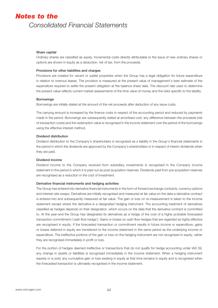### **Share capital**

Ordinary shares are classified as equity. Incremental costs directly attributable to the issue of new ordinary shares or options are shown in equity as a deduction, net of tax, from the proceeds.

#### **Provisions for other liabilities and charges**

Provisions are created for vacant or sublet properties when the Group has a legal obligation for future expenditure in relation to onerous leases. The provision is measured at the present value of management's best estimate of the expenditure required to settle the present obligation at the balance sheet date. The discount rate used to determine the present value reflects current market assessments of the time value of money and the risks specific to the liability.

### **Borrowings**

Borrowings are initially stated at the amount of the net proceeds after deduction of any issue costs.

The carrying amount is increased by the finance costs in respect of the accounting period and reduced by payments made in the period. Borrowings are subsequently stated at amortised cost, any difference between the proceeds (net of transaction costs) and the redemption value is recognised in the income statement over the period of the borrowings using the effective interest method.

#### **Dividend distribution**

Dividend distribution to the Company's shareholders is recognised as a liability in the Group's financial statements in the period in which the dividends are approved by the Company's shareholders or in respect of interim dividends when they are paid.

#### **Dividend income**

Dividend income to the Company received from subsidiary investments is recognised in the Company income statement in the period in which it is paid out as post acquisition reserves. Dividends paid from pre acquisition reserves are recognised as a reduction in the cost of investment.

#### **Derivative financial instruments and hedging activities**

The Group has entered into derivative financial instruments in the form of forward exchange contracts, currency options and interest rate swaps. Derivatives are initially recognised and measured at fair value on the date a derivative contract is entered into and subsequently measured at fair value. The gain or loss on re-measurement is taken to the income statement except where the derivative is a designated hedging instrument. The accounting treatment of derivatives classified as hedges depends on their designation, which occurs on the date that the derivative contract is committed to. At the year-end the Group has designated its derivatives as a hedge of the cost of a highly probable forecasted transaction commitment ('cash flow hedge'). Gains or losses on cash flow hedges that are regarded as highly effective are recognised in equity. If the forecasted transaction or commitment results in future income or expenditure, gains or losses deferred in equity are transferred to the income statement in the same period as the underlying income or expenditure. The ineffective portions of the gain or loss on the hedging instrument are not recognised in equity, rather they are recognised immediately in profit or loss.

For the portion of hedges deemed ineffective or transactions that do not qualify for hedge accounting under IAS 39, any change in assets or liabilities is recognised immediately in the income statement. When a hedging instrument expires or is sold, any cumulative gain or loss existing in equity at that time remains in equity and is recognised when the forecasted transaction is ultimately recognised in the income statement.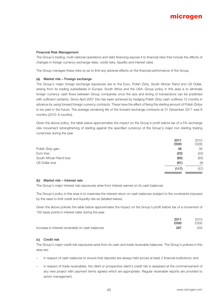# **Financial Risk Management**

The Group's trading, multi-national operations and debt financing expose it to financial risks that include the effects of changes in foreign currency exchange rates, credit risks, liquidity and interest rates.

The Group manages these risks so as to limit any adverse effects on the financial performance of the Group.

# **(a) Market risk – Foreign exchange**

The Group's major foreign exchange exposures are to the Euro, Polish Zloty, South African Rand and US Dollar, arising from its trading subsidiaries in Europe, South Africa and the USA. Group policy in this area is to eliminate foreign currency cash flows between Group companies once the size and timing of transactions can be predicted with sufficient certainty. Since April 2007 this has been achieved by hedging Polish Zloty cash outflows 12 months in advance by using forward foreign currency contracts. These have the effect of fixing the sterling amount of Polish Zlotys to be paid in the future. The average remaining life of the forward exchange contracts at 31 December 2011 was 6 months (2010: 6 months).

Given the above policy, the table below approximates the impact on the Group's profit before tax of a 5% exchange rate movement (strengthening of sterling against the specified currency) of the Group's major non sterling trading currencies during the year.

|                         | 2011<br>£000 | 2010<br>£000 |
|-------------------------|--------------|--------------|
| Polish Zloty gain       | 46           | 39           |
| Euro loss               | (22)         | (22)         |
| South African Rand loss | (80)         | (65)         |
| US Dollar loss          | (61)         | (9)          |
|                         | (117)        | (57)         |

### **(b) Market risk – Interest rate**

The Group's major interest rate exposures arise from interest earned on its cash balances.

The Group's policy in this area is to maximise the interest return on cash balances (subject to the constraints imposed by the need to limit credit and liquidity risk as detailed below).

Given the above policies the table below approximates the impact on the Group's profit before tax of a movement of 100 basis points in interest rates during the year.

|                                                  | 2011 | 2010 |
|--------------------------------------------------|------|------|
|                                                  | £000 | £000 |
| Increase in interest receivable on cash balances | 267  | 203  |

### **(c) Credit risk**

The Group's major credit risk exposures arise from its cash and trade receivable balances. The Group's policies in this area are:

- in respect of cash balances to ensure that deposits are always held across at least 2 financial institutions; and
- in respect of trade receivables, the client or prospective client's credit risk is assessed at the commencement of any new project with payment terms agreed which are appropriate. Regular receivable reports are provided to senior management.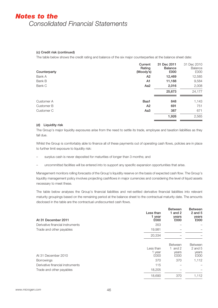# **(c) Credit risk (continued)**

The table below shows the credit rating and balance of the six major counterparties at the balance sheet date:

| Counterparty | Current<br>Rating<br>(Moody's) | 31 Dec 2011<br><b>Balance</b><br>£000 | 31 Dec 2010<br>Balance<br>£000 |
|--------------|--------------------------------|---------------------------------------|--------------------------------|
| Bank A       | A <sub>2</sub>                 | 12,469                                | 12,585                         |
| Bank B       | A1                             | 11,188                                | 9,584                          |
| Bank C       | Aa <sub>2</sub>                | 2,016                                 | 2,008                          |
|              |                                | 25,673                                | 24,177                         |
| Customer A   | Baa1                           | 848                                   | 1,143                          |
| Customer B   | A <sub>2</sub>                 | 691                                   | 751                            |
| Customer C   | Aa <sub>3</sub>                | 387                                   | 671                            |
|              |                                | 1,926                                 | 2,565                          |

# **(d) Liquidity risk**

The Group's major liquidity exposures arise from the need to settle its trade, employee and taxation liabilities as they fall due.

Whilst the Group is comfortably able to finance all of these payments out of operating cash flows, policies are in place to further limit exposure to liquidity risk:

- surplus cash is never deposited for maturities of longer than 3 months; and
- uncommitted facilities will be entered into to support any specific expansion opportunities that arise.

Management monitors rolling forecasts of the Group's liquidity reserve on the basis of expected cash flow. The Group's liquidity management policy involves projecting cashflows in major currencies and considering the level of liquid assets necessary to meet these.

The table below analyses the Group's financial liabilities and net-settled derivative financial liabilities into relevant maturity groupings based on the remaining period at the balance sheet to the contractual maturity date. The amounts disclosed in the table are the contractual undiscounted cash flows.

| At 31 December 2011              | Less than<br>1 year<br>£000 | <b>Between</b><br>1 and $2$<br>years<br>£000 | <b>Between</b><br>$2$ and $5$<br>years<br>£000 |
|----------------------------------|-----------------------------|----------------------------------------------|------------------------------------------------|
| Derivative financial instruments | 353                         |                                              |                                                |
| Trade and other payables         | 19,981                      |                                              |                                                |
|                                  | 20,334                      |                                              |                                                |
|                                  |                             | <b>Between</b>                               | <b>Between</b>                                 |
|                                  | Less than                   | and 2                                        | 2 and 5                                        |
| At 31 December 2010              | 1 year<br>£000              | years<br>£000                                | years<br>£000                                  |
| <b>Borrowings</b>                | 370                         | 370                                          | 1,112                                          |
| Derivative financial instruments | 115                         |                                              |                                                |
| Trade and other payables         | 18,205                      |                                              |                                                |
|                                  | 18,690                      | 370                                          | 1,112                                          |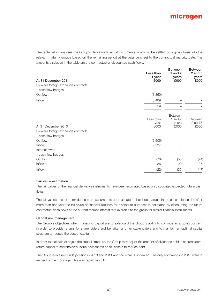The table below analyses the Group's derivative financial instruments which will be settled on a gross basis into the relevant maturity groups based on the remaining period at the balance sheet to the contractual maturity date. The amounts disclosed in the table are the contractual undiscounted cash flows.

| At 31 December 2011                                       | Less than<br>1 year<br>£000 | <b>Between</b><br>1 and $2$<br>years<br>£000 | <b>Between</b><br>$2$ and $5$<br>years<br>£000 |
|-----------------------------------------------------------|-----------------------------|----------------------------------------------|------------------------------------------------|
| Forward foreign exchange contracts<br>- cash flow hedges  |                             |                                              |                                                |
| Outflow                                                   | (3,350)                     |                                              |                                                |
| Inflow                                                    | 3,409                       |                                              |                                                |
|                                                           | 59                          |                                              |                                                |
| At 31 December 2010<br>Forward foreign exchange contracts | Less than<br>1 year<br>£000 | <b>Between</b><br>1 and 2<br>years<br>£000   | <b>Between</b><br>$2$ and $5$<br>£000          |
| - cash flow hedges<br>Outflow                             | (2,505)                     |                                              |                                                |
| Inflow<br>Interest swap<br>- cash flow hedges             | 2,527                       |                                              |                                                |
| Outflow                                                   | (70)                        | (55)                                         | (74)                                           |
| Inflow                                                    | 26                          | 20                                           | 27                                             |
| Inflow                                                    | (22)                        | (35)                                         | (47)                                           |
|                                                           |                             |                                              |                                                |

# **Fair value estimation**

The fair values of the financial derivative instruments have been estimated based on discounted expected future cash flows.

The fair values of short-term deposits are assumed to approximate to their book values. In the case of loans due after more than one year the fair value of financial liabilities for disclosure purposes is estimated by discounting the future contractual cash flows at the current market interest rate available to the group for similar financial instruments.

### **Capital risk management**

The Group's objectives when managing capital are to safeguard the Group's ability to continue as a going concern in order to provide returns for shareholders and benefits for other stakeholders and to maintain an optimal capital structure to reduce the cost of capital.

In order to maintain or adjust the capital structure, the Group may adjust the amount of dividends paid to shareholders, return capital to shareholders, issue new shares or sell assets to reduce debt.

The Group is in a net funds position in 2010 and 2011 and therefore is ungeared. The only borrowings in 2010 were in respect of the mortgage. This was repaid in 2011.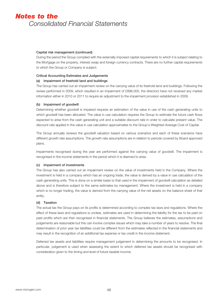# **Capital risk management (continued)**

During the period the Group complied with the externally imposed capital requirements to which it is subject relating to the Mortgage on the property, interest swap and foreign currency contracts. There are no further capital requirements to which the Group or Company is subject.

# **Critical Accounting Estimates and Judgements**

# **(a) Impairment of freehold land and buildings**

The Group has carried out an impairment review on the carrying value of its freehold land and buildings. Following the review performed in 2009, which resulted in an impairment of £896,000, the directors have not received any market information either in 2010 or 2011 to require an adjustment to the impairment provision established in 2009.

# **(b) Impairment of goodwill**

Determining whether goodwill is impaired requires an estimation of the value in use of the cash generating units to which goodwill has been allocated. The value in use calculation requires the Group to estimate the future cash flows expected to arise from the cash generating unit and a suitable discount rate in order to calculate present value. The discount rate applied in the value in use calculation approximates to the Group's Weighted Average Cost of Capital.

The Group annually reviews the goodwill valuation based on various scenarios and each of these scenarios have different growth rate assumptions. The growth rate assumptions are in relation to periods covered by Board approved plans.

Impairments recognised during the year are performed against the carrying value of goodwill. The impairment is recognised in the income statements in the period which it is deemed to arise.

### **(c) Impairment of investments**

The Group has also carried out an impairment review on the value of investments held in the Company. Where the investment is held in a company which has an ongoing trade, the value is derived by a value in use calculation of the cash generating units. This is done on a similar basis to that used in the impairment of goodwill calculation as detailed above and is therefore subject to the same estimates by management. Where the investment is held in a company which is no longer trading, the value is derived from the carrying value of the net assets on the balance sheet of that entity.

# **(d) Taxation**

The actual tax the Group pays on its profits is determined according to complex tax laws and regulations. Where the effect of these laws and regulations is unclear, estimates are used in determining the liability for the tax to be paid on past profits which are then recognised in financial statements. The Group believes the estimates, assumptions and judgements are reasonable but this can involve complex issues which may take a number of years to resolve. The final determination of prior year tax liabilities could be different from the estimates reflected in the financial statements and may result in the recognition of an additional tax expense or tax credit in the income statement.

Deferred tax assets and liabilities require management judgement in determining the amounts to be recognised. In particular, judgement is used when assessing the extent to which deferred tax assets should be recognised with consideration given to the timing and level of future taxable income.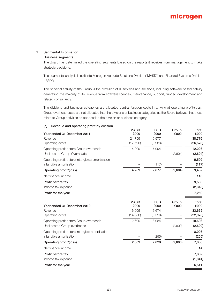# **1. Segmental Information**

# **Business segments**

The Board has determined the operating segments based on the reports it receives from management to make strategic decisions.

The segmental analysis is split into Microgen Aptitude Solutions Division ("MASD") and Financial Systems Division ("FSD").

The principal activity of the Group is the provision of IT services and solutions, including software based activity generating the majority of its revenue from software licences, maintenance, support, funded development and related consultancy.

The divisions and business categories are allocated central function costs in arriving at operating profit/(loss). Group overhead costs are not allocated into the divisions or business categories as the Board believes that these relate to Group activities as opposed to the division or business category.

| <b>TRACTION CITY OPCIDING</b> PIONE BY GIVISION  |                     |                    |               |               |
|--------------------------------------------------|---------------------|--------------------|---------------|---------------|
| Year ended 31 December 2011                      | <b>MASD</b><br>£000 | <b>FSD</b><br>£000 | Group<br>£000 | Total<br>£000 |
| Revenue                                          | 21,799              | 16,977             |               | 38,776        |
| Operating costs                                  | (17,590)            | (8,983)            |               | (26, 573)     |
| Operating profit before Group overheads          | 4,209               | 7,994              |               | 12,203        |
| Unallocated Group Overheads                      |                     |                    | (2,604)       | (2,604)       |
| Operating profit before intangibles amortisation |                     |                    |               | 9,599         |
| Intangible amortisation                          |                     | (117)              |               | (117)         |
| Operating profit/(loss)                          | 4,209               | 7,877              | (2,604)       | 9,482         |
| Net finance income                               |                     |                    |               | 116           |
| Profit before tax                                |                     |                    |               | 9,598         |
| Income tax expense                               |                     |                    |               | (2, 348)      |
| Profit for the year                              |                     |                    |               | 7,250         |
| Year ended 31 December 2010                      | <b>MASD</b><br>£000 | <b>FSD</b><br>£000 | Group<br>£000 | Total<br>£000 |
| Revenue                                          | 16,995              | 16,674             |               | 33,669        |
| Operating costs                                  | (14, 386)           | (8,590)            |               | (22, 976)     |
| Operating profit before Group overheads          | 2,609               | 8,084              |               | 10,693        |
| Unallocated Group overheads                      |                     |                    | (2,600)       | (2,600)       |
| Operating profit before intangible amortisation  |                     |                    |               | 8,093         |
| Intangible amortisation                          |                     | (255)              |               | (255)         |
| Operating profit/(loss)                          | 2,609               | 7,829              | (2,600)       | 7,838         |
| Net finance income                               |                     |                    |               | 14            |
| Profit before tax                                |                     |                    |               | 7,852         |
| Income tax expense                               |                     |                    |               | (1, 341)      |
| Profit for the year                              |                     |                    |               | 6,511         |
|                                                  |                     |                    |               |               |

# **(a) Revenue and operating profit by division**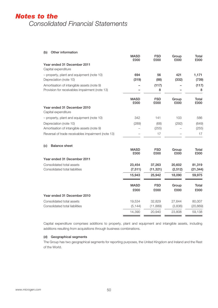# **(b) Other information**

| <b>OUIDI INTOINTANON</b>                                                                     | <b>MASD</b><br>£000 | <b>FSD</b><br>£000 | Group<br>£000 | Total<br>£000  |
|----------------------------------------------------------------------------------------------|---------------------|--------------------|---------------|----------------|
| Year ended 31 December 2011<br>Capital expenditure                                           |                     |                    |               |                |
| - property, plant and equipment (note 10)<br>Depreciation (note 10)                          | 694<br>(319)        | 56<br>(88)         | 421<br>(332)  | 1,171<br>(739) |
| Amortisation of intangible assets (note 9)<br>Provision for receivables impairment (note 13) |                     | (117)<br>8         |               | (117)<br>8     |
|                                                                                              | <b>MASD</b><br>£000 | <b>FSD</b><br>£000 | Group<br>£000 | Total<br>£000  |
| Year ended 31 December 2010<br>Capital expenditure                                           |                     |                    |               |                |
| - property, plant and equipment (note 10)                                                    | 342                 | 141                | 103           | 586            |
| Depreciation (note 10)<br>Amortisation of intangible assets (note 9)                         | (289)               | (68)<br>(255)      | (292)         | (649)<br>(255) |
| Reversal of trade receivables impairment (note 13)                                           |                     | 17                 |               | 17             |
| <b>Balance sheet</b><br>(c)                                                                  | <b>MASD</b><br>£000 | <b>FSD</b><br>£000 | Group<br>£000 | Total<br>£000  |
| Year ended 31 December 2011                                                                  |                     |                    |               |                |
| Consolidated total assets                                                                    | 23,454              | 37,263             | 20,602        | 81,319         |
| Consolidated total liabilities                                                               | (7, 511)            | (11, 321)          | (2, 512)      | (21, 344)      |
|                                                                                              | 15,943              | 25,942             | 18,090        | 59,975         |
|                                                                                              | <b>MASD</b>         | <b>FSD</b>         | Group         | Total          |
|                                                                                              | £000                | £000               | £000          | £000           |
| Veau anded 21 Desember 2010                                                                  |                     |                    |               |                |

**Year ended 31 December 2010** Consolidated total assets 19,534 32,829 27,644 80,007 Consolidated total liabilities (5,144) (11,889) (3,836) (20,869) 14,390 20,940 23,808 59,138

Capital expenditure comprises additions to property, plant and equipment and intangible assets, including additions resulting from acquisitions through business combinations.

# **(d) Geographical segments**

The Group has two geographical segments for reporting purposes, the United Kingdom and Ireland and the Rest of the World.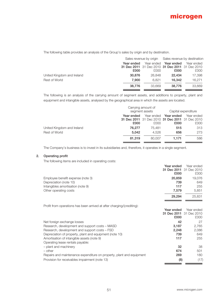

The following table provides an analysis of the Group's sales by origin and by destination.

|                            | Sales revenue by origin Sales revenue by destination |        |                                                 |            |
|----------------------------|------------------------------------------------------|--------|-------------------------------------------------|------------|
|                            | Year ended<br>Year ended                             |        | Year ended                                      | Year ended |
|                            |                                                      |        | 31 Dec 2011 31 Dec 2010 31 Dec 2011 31 Dec 2010 |            |
|                            | £000                                                 | £000   | £000                                            | £000       |
| United Kingdom and Ireland | 30,876                                               | 26,848 | 22,434                                          | 17.398     |
| Rest of World              | 7.900                                                | 6.821  | 16.342                                          | 16.271     |
|                            | 38,776                                               | 33.669 | 38,776                                          | 33,669     |

The following is an analysis of the carrying amount of segment assets, and additions to property, plant and equipment and intangible assets, analysed by the geographical area in which the assets are located.

|                            |            | Carrying amount of<br>segment assets | Capital expenditure                             |            |  |
|----------------------------|------------|--------------------------------------|-------------------------------------------------|------------|--|
|                            | Year ended |                                      | Year ended Year ended                           | Year ended |  |
|                            |            |                                      | 31 Dec 2011 31 Dec 2010 31 Dec 2011 31 Dec 2010 |            |  |
|                            | £000       | £000                                 | £000                                            | £000       |  |
| United Kingdom and Ireland | 76.277     | 75.481                               | 515                                             | 313        |  |
| Rest of World              | 5.042      | 4.526                                | 656                                             | 273        |  |
|                            | 81.319     | 80,007                               | 1.171                                           | 586        |  |

The Company's business is to invest in its subsidiaries and, therefore, it operates in a single segment.

# **2. Operating profit**

The following items are included in operating costs:

|                                   | Year ended | Year ended              |
|-----------------------------------|------------|-------------------------|
|                                   |            | 31 Dec 2011 31 Dec 2010 |
|                                   | £000       | £000                    |
| Employee benefit expense (note 3) | 20,859     | 19,076                  |
| Depreciation (note 10)            | 739        | 649                     |
| Intangibles amortisation (note 9) | 117        | 255                     |
| Other operating costs             | 7.579      | 5.851                   |
|                                   | 29.294     | 25,831                  |

Profit from operations has been arrived at after charging/(crediting):

|                                                                      | Year ended | Year ended                     |
|----------------------------------------------------------------------|------------|--------------------------------|
|                                                                      |            | <b>31 Dec 2011</b> 31 Dec 2010 |
|                                                                      | £000       | £000                           |
| Net foreign exchange losses                                          | 42         | 27                             |
| Research, development and support costs – MASD                       | 3,187      | 2.765                          |
| Research, development and support costs – FSD                        | 2,248      | 2,086                          |
| Depreciation of property, plant and equipment (note 10)              | 739        | 649                            |
| Amortisation of intangible assets (note 9)                           | 117        | 255                            |
| Operating lease rentals payable:                                     |            |                                |
| - plant and machinery                                                | 32         | 38                             |
| $-$ other                                                            | 674        | 501                            |
| Repairs and maintenance expenditure on property, plant and equipment | 269        | 180                            |
| Provision for receivables impairment (note 13)                       | (8)        | (17)                           |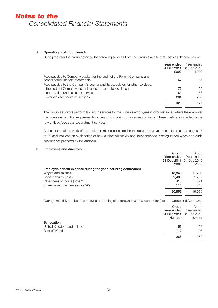# **2. Operating profit (continued)**

During the year the group obtained the following services from the Group's auditors at costs as detailed below:

|                                                                                                              | Year ended<br>£000 | Year ended<br>31 Dec 2011 31 Dec 2010<br>£000 |
|--------------------------------------------------------------------------------------------------------------|--------------------|-----------------------------------------------|
| Fees payable to Company auditor for the audit of the Parent Company and<br>consolidated financial statements | 67                 | 65                                            |
| Fees payable to the Company's auditor and its associates for other services:                                 |                    |                                               |
| - the audit of Company's subsidiaries pursuant to legislation                                                | 76                 | 65                                            |
| - corporation and sales tax services                                                                         | 84                 | 186                                           |
| - overseas secondment services                                                                               | 201                | 260                                           |
|                                                                                                              | 428                | 576                                           |

The Group's auditors perform tax return services for the Group's employees in circumstances where the employer has overseas tax filing requirements pursuant to working on overseas projects. These costs are included in the row entitled 'overseas secondment services'.

A description of the work of the audit committee is included in the corporate governance statement on pages 15 to 20 and includes an explanation of how auditor objectivity and independence is safeguarded when non-audit services are provided by the auditors.

# **3. Employees and directors**

|                                                                | Group      | Group                   |
|----------------------------------------------------------------|------------|-------------------------|
|                                                                | Year ended | Year ended              |
|                                                                |            | 31 Dec 2011 31 Dec 2010 |
|                                                                | £000       | £000                    |
| Employee benefit expense during the year including contractors |            |                         |
| Wages and salaries                                             | 18,843     | 17.200                  |
| Social security costs                                          | 1,483      | 1.290                   |
| Other pension costs (note 27)                                  | 418        | 371                     |
| Share based payments (note 26)                                 | 115        | 215                     |
|                                                                | 20,859     | 19.076                  |

Average monthly number of employees (including directors and external contractors) for the Group and Company.

|                            | Group<br>Year ended<br>Number | Group<br>Year ended<br>31 Dec 2011 31 Dec 2010<br>Number |
|----------------------------|-------------------------------|----------------------------------------------------------|
| By location:               |                               |                                                          |
| United Kingdom and Ireland | 156                           | 152                                                      |
| <b>Rest of World</b>       | 112                           | 108                                                      |
|                            | 268                           | 260                                                      |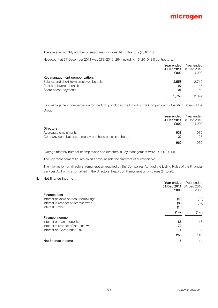

The average monthly number of employees includes 14 contractors (2010: 18)

Headcount at 31 December 2011 was 273 (2010: 264) including 15 (2010: 21) contractors.

|                                           | Year ended | Year ended              |
|-------------------------------------------|------------|-------------------------|
|                                           |            | 31 Dec 2011 31 Dec 2010 |
|                                           | £000       | £000                    |
| Key management compensation:              |            |                         |
| Salaries and short-term employee benefits | 2.558      | 2.712                   |
| Post employment benefits                  | 97         | 143                     |
| Share based payments                      | 101        | 169                     |
|                                           | 2.756      | 3.024                   |

Key management compensation for the Group includes the Board of the Company and Operating Board of the Group.

| £000 | Year ended<br>31 Dec 2011 31 Dec 2010<br>£000 |
|------|-----------------------------------------------|
|      |                                               |
| 938  | 939                                           |
| 22   | 23                                            |
| 960  | 962                                           |
|      | Year ended                                    |

Average monthly number of employees and directors in key management were 14 (2010: 14).

The key management figures given above include the directors of Microgen plc.

The information on directors' remuneration required by the Companies Act and the Listing Rules of the Financial Services Authority is contained in the Directors' Report on Remuneration on pages 21 to 28.

### **4. Net finance income**

|                                      | Year ended | Year ended              |
|--------------------------------------|------------|-------------------------|
|                                      |            | 31 Dec 2011 31 Dec 2010 |
|                                      | £000       | £000                    |
| Finance cost                         |            |                         |
| Interest payable on bank borrowings  | (49)       | (92)                    |
| Interest in respect of interest swap | (83)       | (34)                    |
| Interest – other                     | (10)       |                         |
|                                      | (142)      | (126)                   |
| Finance income                       |            |                         |
| Interest on bank deposits            | 185        | 117                     |
| Interest in respect of interest swap | 72         |                         |
| Interest on Corporation Tax          |            | 23                      |
|                                      | 258        | 140                     |
| Net finance income                   | 116        | 14                      |
|                                      |            |                         |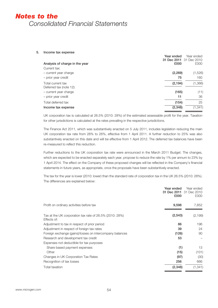#### **5. Income tax expense**

|                                | Year ended<br>31 Dec 2011 31 Dec 2010 | Year ended |
|--------------------------------|---------------------------------------|------------|
| Analysis of charge in the year | £000                                  | £000       |
| Current tax:                   |                                       |            |
| - current year charge          | (2, 269)                              | (1,526)    |
| - prior year credit            | 75                                    | 160        |
| Total current tax              | (2, 194)                              | (1,366)    |
| Deferred tax (note 12):        |                                       |            |
| - current year charge          | (165)                                 | (11)       |
| - prior year credit            | 11                                    | 36         |
| Total deferred tax             | (154)                                 | 25         |
| Income tax expense             | (2, 348)                              | (1, 341)   |
|                                |                                       |            |

UK corporation tax is calculated at 26.5% (2010: 28%) of the estimated assessable profit for the year. Taxation for other jurisdictions is calculated at the rates prevailing in the respective jurisdictions.

The Finance Act 2011, which was substantively enacted on 5 July 2011, includes legislation reducing the main UK corporation tax rate from 28% to 26%, effective from 1 April 2011. A further reduction to 25% was also substantively enacted on this date and will be effective from 1 April 2012. The deferred tax balances have been re-measured to reflect this reduction.

Further reductions to the UK corporation tax rate were announced in the March 2011 Budget. The changes, which are expected to be enacted separately each year, propose to reduce the rate by 1% per annum to 23% by 1 April 2014. The effect on the Company of these proposed changes will be reflected in the Company's financial statements in future years, as appropriate, once the proposals have been substantively enacted.

The tax for the year is lower (2010: lower) than the standard rate of corporation tax in the UK 26.5% (2010: 28%). The differences are explained below:

|                                                                        | Year ended<br>31 Dec 2011<br>£000 | Year ended<br>31 Dec 2010<br>£000 |
|------------------------------------------------------------------------|-----------------------------------|-----------------------------------|
| Profit on ordinary activities before tax                               | 9,598                             | 7,852                             |
| Tax at the UK corporation tax rate of 26.5% (2010: 28%)<br>Effects of: | (2, 543)                          | (2, 199)                          |
| Adjustment to tax in respect of prior period                           | 86                                | 196                               |
| Adjustment in respect of foreign tax rates                             | 39                                | 24                                |
| Foreign exchange (gains)/losses on intercompany balances               | (126)                             | 90                                |
| Research and development tax credit                                    | 53                                |                                   |
| Expenses not deductible for tax purposes                               |                                   |                                   |
| Share based payment expenses                                           | (1)                               | 13                                |
| Other                                                                  | (15)                              | (101)                             |
| Changes in UK Corporation Tax Rates                                    | (97)                              | (30)                              |
| Recognition of tax losses                                              | 256                               | 666                               |
| <b>Total taxation</b>                                                  | (2,348)                           | (1, 341)                          |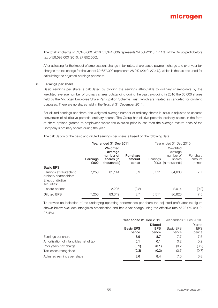The total tax charge of £2,348,000 (2010: £1,341,000) represents 24.5% (2010: 17.1%) of the Group profit before tax of £9,598,000 (2010: £7,852,000).

After adjusting for the impact of amortisation, change in tax rates, share based payment charge and prior year tax charges the tax charge for the year of £2,687,000 represents 28.0% (2010: 27.4%), which is the tax rate used for calculating the adjusted earnings per share.

### **6. Earnings per share**

Basic earnings per share is calculated by dividing the earnings attributable to ordinary shareholders by the weighted average number of ordinary shares outstanding during the year, excluding in 2010 the 60,000 shares held by the Microgen Employee Share Participation Scheme Trust, which are treated as cancelled for dividend purposes. There are no shares held in the Trust at 31 December 2011.

For diluted earnings per share, the weighted average number of ordinary shares in issue is adjusted to assume conversion of all dilutive potential ordinary shares. The Group has dilutive potential ordinary shares in the form of share options granted to employees where the exercise price is less than the average market price of the Company's ordinary shares during the year.

The calculation of the basic and diluted earnings per share is based on the following data:

|                                                   |                  | Year ended 31 Dec 2011                                       | Year ended 31 Dec 2010       |          |                                                                   |                              |
|---------------------------------------------------|------------------|--------------------------------------------------------------|------------------------------|----------|-------------------------------------------------------------------|------------------------------|
|                                                   | Earnings<br>£000 | Weighted<br>average<br>number of<br>shares (in<br>thousands) | Per-share<br>amount<br>pence | Earnings | Weighted<br>average<br>number of<br>shares<br>£000 (in thousands) | Per-share<br>amount<br>pence |
| <b>Basic EPS</b>                                  |                  |                                                              |                              |          |                                                                   |                              |
| Earnings attributable to<br>ordinary shareholders | 7.250            | 81.144                                                       | 8.9                          | 6.511    | 84,606                                                            | 7.7                          |
| Effect of dilutive<br>securities:                 |                  |                                                              |                              |          |                                                                   |                              |
| - share options                                   |                  | 2.205                                                        | (0.2)                        |          | 2.014                                                             | (0.2)                        |
| <b>Diluted EPS</b>                                | 7,250            | 83.349                                                       | 8.7                          | 6.511    | 86,620                                                            | 7.5                          |

To provide an indication of the underlying operating performance per share the adjusted profit after tax figure shown below excludes intangibles amortisation and has a tax charge using the effective rate of 28.0% (2010: 27.4%).

|                                        | Year ended 31 Dec 2011 |            | Year ended 31 Dec 2010 |            |
|----------------------------------------|------------------------|------------|------------------------|------------|
|                                        | <b>Diluted</b>         |            |                        | Diluted    |
|                                        | <b>Basic EPS</b>       | <b>EPS</b> | <b>Basic EPS</b>       | <b>EPS</b> |
|                                        | pence                  | pence      | pence                  | pence      |
| Earnings per share                     | 8.9                    | 8.7        | 7.7                    | 7.5        |
| Amortisation of intangibles net of tax | 0.1                    | 0.1        | 0.2                    | 0.2        |
| Prior years' tax charge                | (0.1)                  | (0.1)      | (0.2)                  | (0.2)      |
| Tax losses recognised                  | (0.3)                  | (0.3)      | (0.7)                  | (0.7)      |
| Adjusted earnings per share            | 8.6                    | 8.4        | 7.0                    | 6.8        |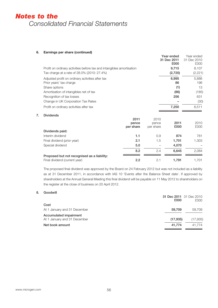# **6. Earnings per share (continued)**

|                                                                       |                            |                            | Year ended<br>31 Dec 2011<br>£000 | Year ended<br>31 Dec 2010<br>£000 |
|-----------------------------------------------------------------------|----------------------------|----------------------------|-----------------------------------|-----------------------------------|
| Profit on ordinary activities before tax and intangibles amortisation |                            |                            | 9,715                             | 8,107                             |
| Tax charge at a rate of 28.0% (2010: 27.4%)                           |                            |                            | (2,720)                           | (2, 221)                          |
| Adjusted profit on ordinary activities after tax                      |                            |                            | 6,995                             | 5,886                             |
| Prior years' tax charge                                               |                            |                            | 86                                | 196                               |
| Share options                                                         |                            |                            | (1)                               | 13                                |
| Amortisation of intangibles net of tax                                |                            |                            | (86)                              | (185)                             |
| Recognition of tax losses                                             |                            |                            | 256                               | 631                               |
| Change in UK Corporation Tax Rates                                    |                            |                            |                                   | (30)                              |
| Profit on ordinary activities after tax                               |                            |                            | 7,250                             | 6,511                             |
| <b>Dividends</b>                                                      |                            |                            |                                   |                                   |
|                                                                       | 2011<br>pence<br>per share | 2010<br>pence<br>per share | 2011<br>£000                      | 2010<br>£000                      |
| Dividends paid:                                                       |                            |                            |                                   |                                   |
| Interim dividend                                                      | 1.1                        | 0.9                        | 874                               | 781                               |
| Final dividend (prior year)                                           | 2.1                        | 1.5                        | 1,701                             | 1,303                             |
| Special dividend                                                      | 5.0                        |                            | 4,070                             |                                   |
|                                                                       | $\sim$ $\sim$              | $\sim$ $\lambda$           | $\sim$ $\sim$ $\sim$              | 0.001                             |

**Year ended**

# **7. Dividends**

|                                                                              | 2011<br>pence<br>per share | 2010<br>pence<br>per share | 2011<br>£000 | 2010<br>£000 |
|------------------------------------------------------------------------------|----------------------------|----------------------------|--------------|--------------|
| Dividends paid:                                                              |                            |                            |              |              |
| Interim dividend                                                             | 1.1                        | 0.9                        | 874          | 781          |
| Final dividend (prior year)                                                  | 2.1                        | 1.5                        | 1,701        | 1,303        |
| Special dividend                                                             | 5.0                        |                            | 4.070        |              |
|                                                                              | 8.2                        | 2.4                        | 6.645        | 2.084        |
| Proposed but not recognised as a liability:<br>Final dividend (current year) | 2.2                        | 2.1                        | 1.791        | 1.701        |

The proposed final dividend was approved by the Board on 24 February 2012 but was not included as a liability as at 31 December 2011, in accordance with IAS 10 'Events after the Balance Sheet date'. If approved by shareholders at the Annual General Meeting this final dividend will be payable on 11 May 2012 to shareholders on the register at the close of business on 20 April 2012.

# **8. Goodwill**

|                              | £000     | 31 Dec 2011 31 Dec 2010<br>£000 |
|------------------------------|----------|---------------------------------|
| Cost                         |          |                                 |
| At 1 January and 31 December | 59.709   | 59.709                          |
| Accumulated impairment       |          |                                 |
| At 1 January and 31 December | (17.935) | (17,935)                        |
| Net book amount              | 41.774   | 41.774                          |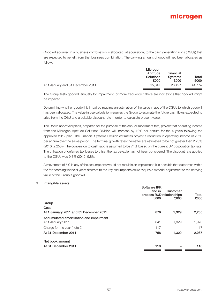Goodwill acquired in a business combination is allocated, at acquisition, to the cash generating units (CGUs) that are expected to benefit from that business combination. The carrying amount of goodwill had been allocated as follows:

|                                   | Microgen                             |                                     |               |
|-----------------------------------|--------------------------------------|-------------------------------------|---------------|
|                                   | Aptitude<br><b>Solutions</b><br>£000 | Financial<br><b>Systems</b><br>£000 | Total<br>£000 |
| At 1 January and 31 December 2011 | 15.347                               | 26.427                              | 41.774        |

The Group tests goodwill annually for impairment, or more frequently if there are indications that goodwill might be impaired.

Determining whether goodwill is impaired requires an estimation of the value in use of the CGUs to which goodwill has been allocated. The value in use calculation requires the Group to estimate the future cash flows expected to arise from the CGU and a suitable discount rate in order to calculate present value.

The Board approved plans, prepared for the purpose of the annual impairment test, project that operating income from the Microgen Aptitude Solutions Division will increase by 10% per annum for the 4 years following the approved 2012 plan. The Financial Systems Division estimates project a reduction in operating income of 2.5% per annum over the same period. The terminal growth rates thereafter are estimated to be not greater than 2.25% (2010: 2.25%). The conversion to cash ratio is assumed to be 74% based on the current UK corporation tax rate. The utilisation of deferred tax losses to offset the tax payable has not been considered. The discount rate applied to the CGUs was 9.8% (2010: 9.8%).

A movement of 5% in any of the assumptions would not result in an impairment. It is possible that outcomes within the forthcoming financial years different to the key assumptions could require a material adjustment to the carrying value of the Group's goodwill.

### **9. Intangible assets**

|                                                              | Software IPR<br>and in<br>process R&D relationships<br>£000 | Customer<br>£000 | Total<br>£000 |
|--------------------------------------------------------------|-------------------------------------------------------------|------------------|---------------|
| Group                                                        |                                                             |                  |               |
| Cost                                                         |                                                             |                  |               |
| At 1 January 2011 and 31 December 2011                       | 876                                                         | 1,329            | 2,205         |
| Accumulated amortisation and impairment<br>At 1 January 2011 | 641                                                         | 1,329            | 1,970         |
| Charge for the year (note 2)                                 | 117                                                         |                  | 117           |
| At 31 December 2011                                          | 758                                                         | 1,329            | 2,087         |
| Net book amount                                              |                                                             |                  |               |
| At 31 December 2011                                          | 118                                                         |                  | 118           |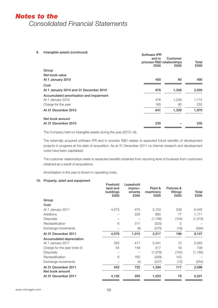**9. Intangible assets (continued) Software IPR**

|                                         | and in<br>process R&D relationships<br>£000 | Customer<br>£000 | Total<br>£000 |
|-----------------------------------------|---------------------------------------------|------------------|---------------|
| Group                                   |                                             |                  |               |
| Net book value                          |                                             |                  |               |
| At 1 January 2010                       | 400                                         | 90               | 490           |
| Cost                                    |                                             |                  |               |
| At 1 January 2010 and 31 December 2010  | 876                                         | 1,329            | 2,205         |
| Accumulated amortisation and impairment |                                             |                  |               |
| At 1 January 2010                       | 476                                         | 1,239            | 1,715         |
| Charge for the year                     | 165                                         | 90               | 255           |
| At 31 December 2010                     | 641                                         | 1,329            | 1,970         |
| Net book amount                         |                                             |                  |               |
| At 31 December 2010                     | 235                                         |                  | 235           |
|                                         |                                             |                  |               |

The Company held no intangible assets during the year (2010: nil).

The externally acquired software IPR and in process R&D relates to expected future benefits of development projects in progress at the date of acquisition. As at 31 December 2011 no internal research and development costs have been capitalised.

The customer relationships relate to expected benefits obtained from recurring level of business from customers obtained as a result of acquisitions.

**Freehold** 

Amortisation in the year is shown in operating costs.

# **10. Property, plant and equipment**

| land and<br>buildings<br>£000 | Leasehold<br>improv-<br>ements<br>£000 | Plant &<br>machinery<br>£000 | <b>Fixtures &amp;</b><br>fittings<br>£000 | Total<br>£000 |
|-------------------------------|----------------------------------------|------------------------------|-------------------------------------------|---------------|
|                               |                                        |                              |                                           |               |
|                               |                                        |                              |                                           |               |
| 4,573                         | 475                                    | 3,153                        | 239                                       | 8,440         |
|                               | 229                                    | 865                          | 77                                        | 1,171         |
|                               |                                        | (1, 106)                     | (104)                                     | (1, 210)      |
| 6                             | 317                                    | (325)                        | 2                                         |               |
|                               | (6)                                    | (270)                        | (18)                                      | (294)         |
| 4,579                         | 1,015                                  | 2,317                        | 196                                       | 8,107         |
|                               |                                        |                              |                                           |               |
| 393                           | 417                                    | 2,401                        | 72                                        | 3,283         |
| 54                            | 149                                    | 517                          | 19                                        | 739           |
|                               |                                        | (1,078)                      | (104)                                     | (1, 182)      |
| 6                             | 160                                    | (309)                        | 143                                       |               |
|                               | (4)                                    | (237)                        | (13)                                      | (254)         |
| 453                           | 722                                    | 1,294                        | 117                                       | 2,586         |
| 4,126                         | 293                                    | 1,023                        | 79                                        | 5,521         |
|                               | Freehold                               |                              |                                           |               |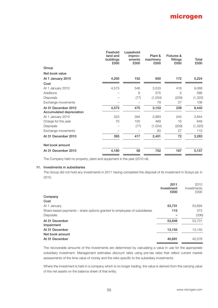|                                                 | Freehold<br>land and<br>buildings<br>£000 | Leasehold<br>improv-<br>ements<br>£000 | Plant &<br>machinery<br>£000 | <b>Fixtures &amp;</b><br>fittings<br>£000 | Total<br>£000 |
|-------------------------------------------------|-------------------------------------------|----------------------------------------|------------------------------|-------------------------------------------|---------------|
| Group                                           |                                           |                                        |                              |                                           |               |
| Net book value                                  |                                           |                                        |                              |                                           |               |
| At 1 January 2010                               | 4,250                                     | 152                                    | 650                          | 172                                       | 5,224         |
| Cost                                            |                                           |                                        |                              |                                           |               |
| At 1 January 2010                               | 4,573                                     | 546                                    | 3,533                        | 416                                       | 9,068         |
| Additions                                       |                                           | 6                                      | 575                          | 5                                         | 586           |
| <b>Disposals</b>                                |                                           | (77)                                   | (1,034)                      | (209)                                     | (1, 320)      |
| Exchange movements                              |                                           |                                        | 79                           | 27                                        | 106           |
| At 31 December 2010<br>Accumulated depreciation | 4,573                                     | 475                                    | 3,153                        | 239                                       | 8,440         |
| At 1 January 2010                               | 323                                       | 394                                    | 2,883                        | 244                                       | 3,844         |
| Charge for the year                             | 70                                        | 100                                    | 469                          | 10                                        | 649           |
| <b>Disposals</b>                                |                                           | (77)                                   | (1,034)                      | (209)                                     | (1, 320)      |
| Exchange movements                              |                                           |                                        | 83                           | 27                                        | 110           |
| At 31 December 2010                             | 393                                       | 417                                    | 2,401                        | 72                                        | 3,283         |
| Net book amount                                 |                                           |                                        |                              |                                           |               |
| At 31 December 2010                             | 4,180                                     | 58                                     | 752                          | 167                                       | 5,157         |

The Company held no property, plant and equipment in the year (2010 nil).

# **11. Investments in subsidiaries**

The Group did not hold any investments in 2011 having completed the disposal of its investment in Scisys plc in 2010.

|                                                                           | 2011<br>Investment<br>£000 | 2010<br>Investments<br>£000 |
|---------------------------------------------------------------------------|----------------------------|-----------------------------|
| Company                                                                   |                            |                             |
| Cost                                                                      |                            |                             |
| At 1 January                                                              | 53,731                     | 53,694                      |
| Share based payments – share options granted to employees of subsidiaries | 115                        | 373                         |
| <b>Disposals</b>                                                          |                            | (336)                       |
| At 31 December<br>Impairment                                              | 53,846                     | 53,731                      |
| At 31 December                                                            | 13,155                     | 13,155                      |
| Net book amount                                                           |                            |                             |
| At 31 December                                                            | 40,691                     | 40.576                      |

The recoverable amounts of the investments are determined by calculating a value in use for the appropriate subsidiary investment. Management estimates discount rates using pre-tax rates that reflect current market assessments of the time value of money and the risks specific to the subsidiary investments.

Where the investment is held in a company which is no longer trading, the value is derived from the carrying value of the net assets on the balance sheet of that entity.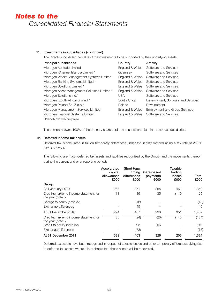# **11. Investments in subsidiaries (continued)**

The Directors consider the value of the investments to be supported by their underlying assets.

| <b>Principal subsidiaries</b>                 | Country         | Activity                             |
|-----------------------------------------------|-----------------|--------------------------------------|
| Microgen Aptitude Limited                     | England & Wales | Software and Services                |
| Microgen (Channel Islands) Limited *          | Guernsey        | Software and Services                |
| Microgen Wealth Management Systems Limited *  | England & Wales | Software and Services                |
| Microgen Banking Systems Limited *            | England & Wales | Software and Services                |
| Microgen Solutions Limited *                  | England & Wales | Software and Services                |
| Microgen Asset Management Solutions Limited * | England & Wales | Software and Services                |
| Microgen Solutions Inc.*                      | <b>USA</b>      | Software and Services                |
| Microgen (South Africa) Limited *             | South Africa    | Development, Software and Services   |
| Microgen Poland Sp. Z.o.o.*                   | Poland          | Development                          |
| Microgen Management Services Limited          | England & Wales | <b>Employment and Group Services</b> |
| Microgen Financial Systems Limited            | England & Wales | Software and Services                |
| * Indirectly held by Microgen plc             |                 |                                      |

The company owns 100% of the ordinary share capital and share premium in the above subsidiaries.

# **12. Deferred income tax assets**

Deferred tax is calculated in full on temporary differences under the liability method using a tax rate of 25.0% (2010: 27.25%).

The following are major deferred tax assets and liabilities recognised by the Group, and the movements thereon, during the current and prior reporting periods.

|                                                              | Accelerated<br>capital<br>allowances<br>£000 | Short term<br>differences<br>£000 | timing Share-based<br>payments<br>£000 | Taxable<br>trading<br>losses<br>£000 | Total<br>£000 |
|--------------------------------------------------------------|----------------------------------------------|-----------------------------------|----------------------------------------|--------------------------------------|---------------|
| Group                                                        |                                              |                                   |                                        |                                      |               |
| At 1 January 2010                                            | 283                                          | 351                               | 255                                    | 461                                  | 1,350         |
| Credit/(charge) to income statement for<br>the year (note 5) | 11                                           | 89                                | 35                                     | (110)                                | 25            |
| Charge to equity (note 22)                                   |                                              | (18)                              |                                        |                                      | (18)          |
| Exchange differences                                         |                                              | 45                                |                                        |                                      | 45            |
| At 31 December 2010                                          | 294                                          | 467                               | 290                                    | 351                                  | 1,402         |
| Credit/(charge) to income statement for<br>the year (note 5) | 35                                           | (24)                              | (20)                                   | (145)                                | (154)         |
| Credit to equity (note 22)                                   |                                              | 93                                | 56                                     |                                      | 149           |
| Exchange differences                                         |                                              | (73)                              |                                        |                                      | (73)          |
| At 31 December 2011                                          | 329                                          | 463                               | 326                                    | 206                                  | 1,324         |

Deferred tax assets have been recognised in respect of taxable losses and other temporary differences giving rise to deferred tax assets where it is probable that these assets will be recovered.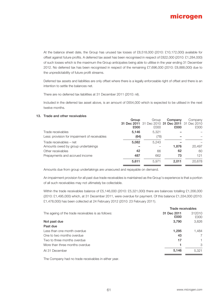

At the balance sheet date, the Group has unused tax losses of £8,518,000 (2010: £10,172,000) available for offset against future profits. A deferred tax asset has been recognised in respect of £822,000 (2010: £1,284,000) of such losses which is the maximum the Group anticipates being able to utlilise in the year ending 31 December 2012. No deferred tax has been recognised in respect of the remaining £7,696,000 (2010: £8,888,000) due to the unpredictability of future profit streams.

Deferred tax assets and liabilities are only offset where there is a legally enforceable right of offset and there is an intention to settle the balances net.

There are no deferred tax liabilities at 31 December 2011 (2010: nil).

Included in the deferred tax asset above, is an amount of £654,000 which is expected to be utilised in the next twelve months.

### **13. Trade and other receivables**

|                                               | Group<br>£000 | Group<br>31 Dec 2011 31 Dec 2010 31 Dec 2011 31 Dec 2010<br>£000 | Company<br>£000 | Company<br>£000 |
|-----------------------------------------------|---------------|------------------------------------------------------------------|-----------------|-----------------|
| Trade receivables                             | 5,146         | 5,321                                                            |                 |                 |
| Less: provision for impairment of receivables | (64)          | (78)                                                             |                 |                 |
| Trade receivables – net                       | 5,082         | 5.243                                                            |                 |                 |
| Amounts owed by group undertakings            |               |                                                                  | 1,876           | 20,497          |
| Other receivables                             | 42            | 66                                                               | 62              | 60              |
| Prepayments and accrued income                | 487           | 662                                                              | 73              | 121             |
|                                               | 5,611         | 5.971                                                            | 2.011           | 20,678          |

Amounts due from group undertakings are unsecured and repayable on demand.

An impairment provision for all past due trade receivables is maintained as the Group's experience is that a portion of all such receivables may not ultimately be collectable.

Within the trade receivables balance of £5,146,000 (2010: £5,321,000) there are balances totalling £1,356,000 (2010: £1,495,000) which, at 31 December 2011, were overdue for payment. Of this balance £1,334,000 (2010: £1,478,000) has been collected at 24 February 2012 (2010: 23 February 2011).

|                                                    | Trade receivables   |                |  |
|----------------------------------------------------|---------------------|----------------|--|
| The ageing of the trade receivables is as follows: | 31 Dec 2011<br>£000 | 312010<br>£000 |  |
| Not past due                                       | 3.790               | 3.826          |  |
| Past due                                           |                     |                |  |
| Less than one month overdue                        | 1,295               | 1,484          |  |
| One to two months overdue                          | 43                  | 7              |  |
| Two to three months overdue                        | 17                  |                |  |
| More than three months overdue                     |                     | 3              |  |
| At 31 December                                     | 5.146               | 5,321          |  |

The Company had no trade receivables in either year.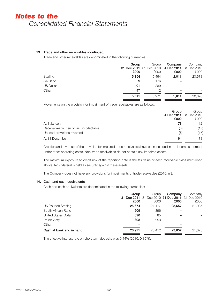# **13. Trade and other receivables (continued)**

Trade and other receivables are denominated in the following currencies:

|                   | Group<br>£000 | Group<br>31 Dec 2011 31 Dec 2010 31 Dec 2011 31 Dec 2010<br>£000 | Company<br>£000 | Company<br>£000 |
|-------------------|---------------|------------------------------------------------------------------|-----------------|-----------------|
| Sterling          | 5.154         | 5.494                                                            | 2.011           | 20,678          |
| <b>SA Rand</b>    | 9             | 176                                                              |                 |                 |
| <b>US Dollars</b> | 401           | 289                                                              |                 |                 |
| Other             | 47            | 12                                                               | -               |                 |
|                   | 5.611         | 5.971                                                            | 2.011           | 20,678          |

Movements on the provision for impairment of trade receivables are as follows:

|                                          | Group | Group                   |
|------------------------------------------|-------|-------------------------|
|                                          |       | 31 Dec 2011 31 Dec 2010 |
|                                          | £000  | £000                    |
| At 1 January                             | 78    | 112                     |
| Receivables written off as uncollectable | (6)   | (17)                    |
| Unused provisions reversed               | (8)   | (17)                    |
| At 31 December                           | 64    | 78                      |

Creation and reversals of the provision for impaired trade receivables have been included in the income statement under other operating costs. Non-trade receivables do not contain any impaired assets.

The maximum exposure to credit risk at the reporting date is the fair value of each receivable class mentioned above. No collateral is held as security against these assets.

The Company does not have any provisions for impairments of trade receivables (2010: nil).

# **14. Cash and cash equivalents**

Cash and cash equivalents are denominated in the following currencies:

|                          | Group<br>£000 | Group<br>31 Dec 2011 31 Dec 2010 31 Dec 2011 31 Dec 2010<br>£000 | Company<br>£000 | Company<br>£000 |
|--------------------------|---------------|------------------------------------------------------------------|-----------------|-----------------|
| UK Pounds Sterling       | 25,674        | 24,177                                                           | 23,657          | 21,025          |
| South African Rand       | 509           | 896                                                              |                 |                 |
| United States Dollar     | 390           | 85                                                               |                 |                 |
| Polish Zloty             | 398           | 253                                                              |                 |                 |
| Other                    |               |                                                                  | -               |                 |
| Cash at bank and in hand | 26.971        | 25.412                                                           | 23,657          | 21.025          |

The effective interest rate on short term deposits was 0.44% (2010: 0.35%).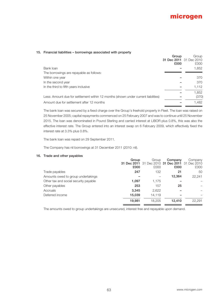# **15. Financial liabilities – borrowings associated with property**

|                                                                                    | Group<br>£000 | Group<br>31 Dec 2011 31 Dec 2010<br>£000 |
|------------------------------------------------------------------------------------|---------------|------------------------------------------|
| Bank loan                                                                          |               | 1,852                                    |
| The borrowings are repayable as follows:                                           |               |                                          |
| Within one year                                                                    |               | 370                                      |
| In the second year                                                                 |               | 370                                      |
| In the third to fifth years inclusive                                              |               | 1.112                                    |
|                                                                                    |               | 1,852                                    |
| Less: Amount due for settlement within 12 months (shown under current liabilities) |               | (370)                                    |
| Amount due for settlement after 12 months                                          |               | 1,482                                    |
|                                                                                    |               |                                          |

The bank loan was secured by a fixed charge over the Group's freehold property in Fleet. The loan was raised on 25 November 2005; capital repayments commenced on 25 February 2007 and was to continue until 25 November 2015. The loan was denominated in Pound Sterling and carried interest at LIBOR plus 0.8%, this was also the effective interest rate. The Group entered into an interest swap on 6 February 2009, which effectively fixed the interest rate at 3.3% plus 0.8%.

The bank loan was repaid on 29 September 2011.

The Company has nil borrowings at 31 December 2011 (2010: nil).

### **16. Trade and other payables**

|                                       | Group  | Group                                           | Company | Company |
|---------------------------------------|--------|-------------------------------------------------|---------|---------|
|                                       |        | 31 Dec 2011 31 Dec 2010 31 Dec 2011 31 Dec 2010 |         |         |
|                                       | £000   | £000                                            | £000    | £000    |
| Trade payables                        | 247    | 132                                             | 21      | 50      |
| Amounts owed to group undertakings    |        |                                                 | 12.364  | 22,241  |
| Other tax and social security payable | 1,097  | 1,175                                           |         |         |
| Other payables                        | 253    | 157                                             | 25      |         |
| Accruals                              | 3.345  | 2,622                                           |         |         |
| Deferred income                       | 15.039 | 14.119                                          |         |         |
|                                       | 19.981 | 18.205                                          | 12.410  | 22.291  |

The amounts owed to group undertakings are unsecured, interest free and repayable upon demand.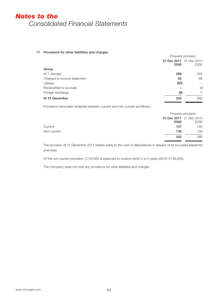# **17. Provisions for other liabilities and charges**

|                             | Property provision |                         |
|-----------------------------|--------------------|-------------------------|
|                             |                    | 31 Dec 2011 31 Dec 2010 |
|                             | £000               | £000                    |
| Group                       |                    |                         |
| At 1 January                | 289                | 222                     |
| Charged to income statement | 55                 | 66                      |
| Utilised                    | (93)               |                         |
| Reclassified to accruals    |                    | (4)                     |
| Foreign exchange            | (9)                | 5                       |
| At 31 December              | 242                | 289                     |

Provisions have been analysed between current and non-current as follows:

|             |      | Property provision              |  |
|-------------|------|---------------------------------|--|
|             | £000 | 31 Dec 2011 31 Dec 2010<br>£000 |  |
| Current     | 107  | 150                             |  |
| Non-current | 135  | 139                             |  |
|             | 242  | 289                             |  |

The provision at 31 December 2011 relates solely to the cost of dilapidations in respect of its occupied leasehold premises.

Of the non-current provision, £135,000 is expected to unwind within 2 to 5 years (2010: £139,000).

The Company does not hold any provisions for other liabilities and charges.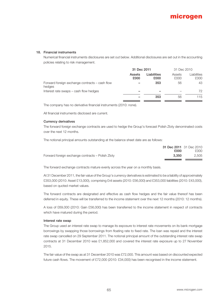### **18. Financial instruments**

Numerical financial instruments disclosures are set out below. Additional disclosures are set out in the accounting policies relating to risk management.

|                                                          | 31 Dec 2011    |                     | 31 Dec 2010    |                     |
|----------------------------------------------------------|----------------|---------------------|----------------|---------------------|
|                                                          | Assets<br>£000 | Liabilities<br>£000 | Assets<br>£000 | Liabilities<br>£000 |
| Forward foreign exchange contracts – cash flow<br>hedges |                | 353                 | 56             | 43                  |
| Interest rate swaps – cash flow hedges                   |                |                     |                | 72                  |
|                                                          |                | 353                 | 56             | 115                 |

The company has no derivative financial instruments (2010: none).

All financial instruments disclosed are current.

### **Currency derivatives**

The forward foreign exchange contracts are used to hedge the Group's forecast Polish Zloty denominated costs over the next 12 months.

The notional principal amounts outstanding at the balance sheet date are as follows:

|                                                            | 31 Dec 2011 31 Dec 2010 |
|------------------------------------------------------------|-------------------------|
| £000                                                       | £000                    |
| Forward foreign exchange contracts – Polish Zloty<br>3.350 | 2.505                   |

The forward exchange contracts mature evenly across the year on a monthly basis.

At 31 December 2011, the fair value of the Group's currency derivatives is estimated to be a liability of approximately £353,000 (2010: Asset £13,000), comprising £nil assets (2010: £56,000) and £353,000 liabilities (2010: £43,000), based on quoted market values.

The forward contracts are designated and effective as cash flow hedges and the fair value thereof has been deferred in equity. These will be transferred to the income statement over the next 12 months (2010: 12 months).

A loss of £69,000 (2010: Gain £56,000) has been transferred to the income statement in respect of contracts which have matured during the period.

#### **Interest rate swap**

The Group used an interest rate swap to manage its exposure to interest rate movements on its bank mortgage borrowings by swapping those borrowings from floating rate to fixed rate. The loan was repaid and the interest rate swap cancelled on 29 September 2011. The notional principal amount of the outstanding interest rate swap contracts at 31 December 2010 was £1,852,000 and covered the interest rate exposure up to 27 November 2015.

The fair value of the swap as at 31 December 2010 was £72,000. This amount was based on discounted expected future cash flows. The movement of £72,000 (2010: £34,000) has been recognised in the income statement.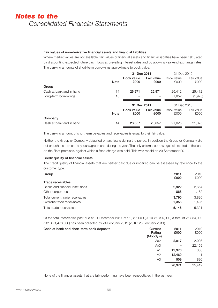# **Fair values of non-derivative financial assets and financial liabilities**

Where market values are not available, fair values of financial assets and financial liabilities have been calculated by discounting expected future cash flows at prevailing interest rates and by applying year-end exchange rates. The carrying amounts of short-term borrowings approximate to book value.

|                          | 31 Dec 2011 |                    |                    | 31 Dec 2010        |                    |
|--------------------------|-------------|--------------------|--------------------|--------------------|--------------------|
|                          | <b>Note</b> | Book value<br>£000 | Fair value<br>£000 | Book value<br>£000 | Fair value<br>£000 |
| Group                    |             |                    |                    |                    |                    |
| Cash at bank and in hand | 14          | 26.971             | 26,971             | 25,412             | 25,412             |
| Long-term borrowings     | 15          |                    |                    | (1,852)            | (1,925)            |
|                          |             | 31 Dec 2011        |                    | 31 Dec 2010        |                    |
|                          |             | Book value         |                    |                    |                    |
|                          | <b>Note</b> | £000               | Fair value<br>£000 | Book value<br>£000 | Fair value<br>£000 |
| Company                  |             |                    |                    |                    |                    |

The carrying amount of short term payables and receivables is equal to their fair value.

Neither the Group or Company defaulted on any loans during the period. In addition the Group or Company did not breach the terms of any loan agreements during the year. The only external borrowings held related to the loan on the Fleet premises, against which a fixed charge was held. This was repaid on 29 September 2011.

# **Credit quality of financial assets**

The credit quality of financial assets that are neither past due or impaired can be assessed by reference to the customer type.

| Group                            | 2011<br>£000 | 2010<br>£000 |
|----------------------------------|--------------|--------------|
| Trade receivables                |              |              |
| Banks and financial institutions | 2.922        | 2,664        |
| Other corporates                 | 868          | 1.162        |
| Total current trade receivables  | 3.790        | 3,826        |
| Overdue trade receivables        | 1.356        | 1.495        |
| Total trade receivables          | 5,146        | 5.321        |

Of the total receivables past due at 31 December 2011 of £1,356,000 (2010 £1,495,000) a total of £1,334,000 (2010 £1,478,000) has been collected by 24 February 2012 (2010: 23 February 2011).

| Cash at bank and short-term bank deposits | Current<br>Rating<br>(Moody's) | 2011<br>£000 | 2010<br>£000 |
|-------------------------------------------|--------------------------------|--------------|--------------|
|                                           | Aa2                            | 2,017        | 2,008        |
|                                           | Aa3                            | -            | 22,169       |
|                                           | A <sub>1</sub>                 | 11,976       | 338          |
|                                           | A2                             | 12,469       |              |
|                                           | A3                             | 509          | 896          |
|                                           |                                | 26,971       | 25,412       |

None of the financial assets that are fully performing have been renegotiated in the last year.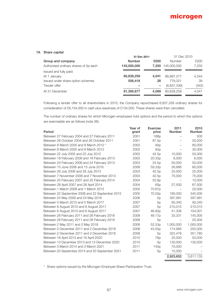### **19. Share capital**

| 31 Dec 2011   |       | 31 Dec 2010   |       |
|---------------|-------|---------------|-------|
| <b>Number</b> | £000  | <b>Number</b> | £000  |
| 145,000,000   | 7.250 | 145,000,000   | 7.250 |
|               |       |               |       |
| 80,839,259    | 4.041 | 86,897,277    | 4.344 |
| 556,418       | 28    | 779.321       | 39    |
|               |       | (6,837,339)   | (342) |
| 81,395,677    | 4.069 | 80,839,259    | 4.041 |
|               |       |               |       |

Following a tender offer to all shareholders in 2010, the Company repurchased 6,837,339 ordinary shares for consideration of £6,154,000 in cash plus expenses of £134,000. These shares were then cancelled.

The number of ordinary shares for which Microgen employees hold options and the period to which the options are exercisable are as follows (note 26):

|                                                 | Year of | Exercise           | 2011      | 2010      |
|-------------------------------------------------|---------|--------------------|-----------|-----------|
| Period                                          | grant   | price              | Number    | Number    |
| Between 27 February 2004 and 27 February 2011   | 2001    | 168p               |           | 500       |
| Between 26 October 2004 and 26 October 2011     | 2001    | 87.5p              |           | 50,000    |
| Between 8 March 2005 and 8 March 2012 *         | 2002    | 93p                |           | 60,000    |
| Between 8 March 2005 and 8 March 2012           | 2002    | 93p                |           | 30,000    |
| Between 22 July 2005 and 22 July 2012           | 2002    | 42.5p              | 10,000    | 55,000    |
| Between 18 February 2006 and 18 February 2013   | 2003    | 20.33p             | 6,000     | 6,000     |
| Between 24 February 2006 and 24 February 2013   | 2003    | 24.5p              | 50,000    | 50,000    |
| Between 15 June 2006 and 15 June 2016           | 2006    | 59.33 <sub>p</sub> | 26,666    | 60,000    |
| Between 28 July 2006 and 28 July 2013           | 2003    | 42.5p              | 25,000    | 25,000    |
| Between 7 November 2006 and 7 November 2013     | 2003    | 42.5p              | 75,000    | 75,000    |
| Between 25 February 2007 and 25 February 2014   | 2004    | 55.8p              |           | 10,000    |
| Between 28 April 2007 and 28 April 2014         | 2004    | 60 <sub>p</sub>    | 27,500    | 67,500    |
| Between 1 March 2008 and 1 March 2015           | 2005    | 70.67p             |           | 20,000    |
| Between 22 September 2008 and 22 September 2015 | 2005    | 70.50p             | 180,000   | 345,000   |
| Between 24 May 2009 and 24 May 2016             | 2006    | 5p                 | 397,991   | 397,991   |
| Between 5 March 2010 and 5 March 2017           | 2007    | 5p                 | 93,340    | 93,340    |
| Between 6 August 2010 and 6 August 2017         | 2007    | 5p                 | 210,015   | 210,015   |
| Between 6 August 2010 and 6 August 2017         | 2007    | 46.83p             | 51,336    | 104,007   |
| Between 28 February 2011 and 28 February 2018   | 2008    | 48.17 <sub>p</sub> | 33,331    | 145,000   |
| Between 28 February 2011 and 28 February 2018   | 2008    | 5p                 |           | 25,000    |
| Between 2 May 2011 and 2 May 2018               | 2008    | 52.33p             | 1,000,000 | 1,000,000 |
| Between 2 December 2011 and 2 December 2018     | 2008    | 43.50p             | 174,995   | 250,000   |
| Between 2 December 2011 and 2 December 2018     | 2008    | 5p                 | 322,478   | 351,780   |
| Between 16 April 2013 and 16 April 2020         | 2010    | 78p                | 25,000    | 50,000    |
| Between 13 December 2013 and 13 December 2020   | 2010    | 5p                 | 130,000   | 130,000   |
| Between 3 March 2014 and 3 March 2021           | 2011    | 140 <sub>p</sub>   | 70,000    |           |
| Between 20 September 2014 and 20 September 2021 | 2011    | 5p                 | 15,000    |           |
|                                                 |         |                    | 2,923,652 | 3,611,133 |

\* Share options issued by the Microgen Employee Share Participation Trust.

 $=$ - 2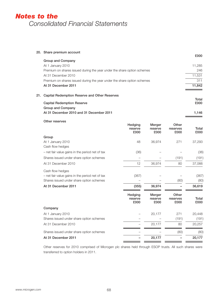|     | 20. Share premium account                                               |               |
|-----|-------------------------------------------------------------------------|---------------|
|     |                                                                         | £000          |
|     | Group and Company                                                       |               |
|     | At 1 January 2010                                                       | 11.285        |
|     | Premium on shares issued during the year under the share option schemes | 246           |
|     | At 31 December 2010                                                     | 11,531        |
|     | Premium on shares issued during the year under the share option schemes | 311           |
|     | At 31 December 2011                                                     | 11,842        |
| 21. | Capital Redemption Reserve and Other Reserves                           |               |
|     | <b>Capital Redemption Reserve</b>                                       | Total<br>£000 |
|     | Group and Company                                                       |               |
|     | At 31 December 2010 and 31 December 2011                                | 1,146         |

| Other reserves                                  | Hedging<br>reserve         | Merger<br>reserve         | Other<br>reserves         | Total         |
|-------------------------------------------------|----------------------------|---------------------------|---------------------------|---------------|
|                                                 | £000                       | £000                      | £000                      | £000          |
| Group                                           |                            |                           |                           |               |
| At 1 January 2010                               | 48                         | 36,974                    | 271                       | 37,293        |
| Cash flow hedges                                |                            |                           |                           |               |
| - net fair value gains in the period net of tax | (36)                       |                           |                           | (36)          |
| Shares issued under share option schemes        |                            |                           | (191)                     | (191)         |
| At 31 December 2010                             | 12                         | 36,974                    | 80                        | 37,066        |
| Cash flow hedges                                |                            |                           |                           |               |
| - net fair value gains in the period net of tax | (367)                      |                           |                           | (367)         |
| Shares issued under share option schemes        |                            |                           | (80)                      | (80)          |
| At 31 December 2011                             | (355)                      | 36,974                    |                           | 36,619        |
|                                                 | Hedging<br>reserve<br>£000 | Merger<br>reserve<br>£000 | Other<br>reserves<br>£000 | Total<br>£000 |
| Company                                         |                            |                           |                           |               |
| At 1 January 2010                               |                            | 20,177                    | 271                       | 20,448        |
| Shares issued under share option schemes        |                            |                           | (191)                     | (191)         |
| At 31 December 2010                             |                            | 20,177                    | 80                        | 20,257        |
| Shares issued under share option schemes        |                            |                           | (80)                      | (80)          |
| At 31 December 2011                             |                            | 20,177                    |                           | 20,177        |

Other reserves for 2010 comprised of Microgen plc shares held through ESOP trusts. All such shares were transferred to option holders in 2011.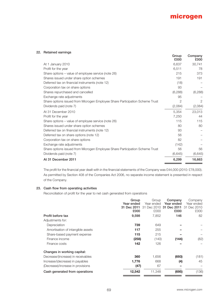

# **22. Retained earnings**

|                                                                              | Group<br>£000  | Company<br>£000 |
|------------------------------------------------------------------------------|----------------|-----------------|
| At 1 January 2010                                                            | 6,637          | 30,741          |
| Profit for the year                                                          | 6,511          | 78              |
| Share options – value of employee service (note 26)                          | 215            | 373             |
| Shares issued under share option schemes                                     | 191            | 191             |
| Deferred tax on financial instruments (note 12)                              | (18)           |                 |
| Corporation tax on share options                                             | 93             |                 |
| Shares repurchased and cancelled                                             | (6, 288)       | (6,288)         |
| Exchange rate adjustments                                                    | 95             |                 |
| Share options issued from Microgen Employee Share Participation Scheme Trust | $\overline{2}$ | $\overline{2}$  |
| Dividends paid (note 7)                                                      | (2,084)        | (2,084)         |
| At 31 December 2010                                                          | 5,354          | 23,013          |
| Profit for the year                                                          | 7,250          | 44              |
| Share options – value of employee service (note 26)                          | 115            | 115             |
| Shares issued under share option schemes                                     | 80             | 80              |
| Deferred tax on financial instruments (note 12)                              | 93             |                 |
| Deferred tax on share options (note 12)                                      | 56             |                 |
| Corporation tax on share options                                             | 82             |                 |
| Exchange rate adjustments                                                    | (142)          |                 |
| Share options issued from Microgen Employee Share Participation Scheme Trust | 56             | 56              |
| Dividends paid (note 7)                                                      | (6,645)        | (6,645)         |
| At 31 December 2011                                                          | 6,299          | 16,663          |

The profit for the financial year dealt with in the financial statements of the Company was £44,000 (2010: £78,000). As permitted by Section 408 of the Companies Act 2006, no separate income statement is presented in respect of the Company.

# **23. Cash flow from operating activities**

Reconciliation of profit for the year to net cash generated from operations

|                                    | Group       | Group      | Company                 | Company     |
|------------------------------------|-------------|------------|-------------------------|-------------|
|                                    | Year ended  | Year ended | Year ended              | Year ended  |
|                                    | 31 Dec 2011 |            | 31 Dec 2010 31 Dec 2011 | 31 Dec 2010 |
|                                    | £000        | £000       | £000                    | £000        |
| Profit before tax                  | 9,598       | 7,852      | 146                     | 82          |
| Adjustments for:                   |             |            |                         |             |
| Depreciation                       | 739         | 649        |                         |             |
| Amortisation of intangible assets  | 117         | 255        |                         |             |
| Share-based payment expense        | 115         | 215        |                         |             |
| Finance income                     | (258)       | (140)      | (144)                   | (82)        |
| Finance costs                      | 142         | 126        |                         |             |
| Changes in working capital:        |             |            |                         |             |
| Decrease/(increase) in receivables | 360         | 1,656      | (693)                   | (181)       |
| Increase/(decrease) in payables    | 1,776       | 668        | (4)                     | 45          |
| (Decrease)/increase in provisions  | (47)        | 67         |                         |             |
| Cash generated from operations     | 12,542      | 11,348     | (695)                   | (136)       |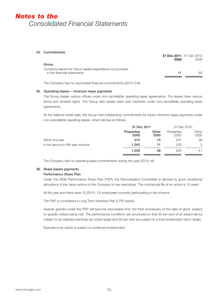#### **24. Commitments**

|                                                                                             | 31 Dec 2011 31 Dec 2010<br>£000 | £000 |
|---------------------------------------------------------------------------------------------|---------------------------------|------|
| Group                                                                                       |                                 |      |
| Contracts placed for future capital expenditure not provided<br>in the financial statements | 11                              | 93   |

The Company has no unprovided financial commitments (2010: £nil).

### **25. Operating leases – minimum lease payments**

The Group leases various offices under non-cancellable operating lease agreements. The leases have various terms and renewal rights. The Group also leases plant and machines under non-cancellable operating lease agreements.

At the balance sheet date, the Group had outstanding commitments for future minimum lease payments under non-cancellable operating leases, which fall due as follows:

|                                       | 31 Dec 2011               |               | 31 Dec 2010        |               |
|---------------------------------------|---------------------------|---------------|--------------------|---------------|
|                                       | <b>Properties</b><br>£000 | Other<br>£000 | Properties<br>£000 | Other<br>£000 |
| Within one year                       | 513                       | 15            | 297                | 38            |
| In the second to fifth year inclusive | 1.045                     | 11            | 229                | 3             |
|                                       | 1.558                     | 26            | 526                | 41            |

The Company had no operating lease commitments during the year (2010: nil)

### **26. Share based payments**

### **Performance Share Plan**

Under the 2006 Performance Share Plan (PSP), the Remuneration Committee is allowed to grant conditional allocations of par value options in the Company to key executives. The contractual life of an option is 10 years.

At the year end there were 15 (2010: 12) employees currently participating in the scheme.

The PSP is considered a Long Term Incentive Plan (LTIP) award.

Awards granted under the PSP will become exercisable from the third anniversary of the date of grant, subject to specific criteria being met. The performance conditions are structured so that 50 per cent of an award will be subject to an adjusted earnings per share target and 50 per cent are subject to a total shareholder return target.

Exercise of an option is subject to continued employment.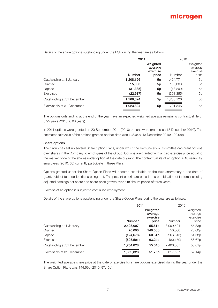Details of the share options outstanding under the PSP during the year are as follows:

|                            | 2011          |                                 | 2010       |                                 |
|----------------------------|---------------|---------------------------------|------------|---------------------------------|
|                            |               | Weighted<br>average<br>exercise |            | Weighted<br>average<br>exercise |
|                            | <b>Number</b> | price                           | Number     | price                           |
| Outstanding at 1 January   | 1,208,126     | 5p                              | 1,424,771  | 5p                              |
| Granted                    | 15,000        | 5p                              | 130,000    | 5p                              |
| Lapsed                     | (31, 385)     | 5p                              | (43,290)   | 5p                              |
| Exercised                  | (22, 917)     | 5p                              | (303, 355) | 5p                              |
| Outstanding at 31 December | 1,168,824     | 5p                              | 1,208,126  | 5p                              |
| Exercisable at 31 December | 1,023,824     | 5p                              | 701,346    | 5p                              |

The options outstanding at the end of the year have an expected weighted average remaining contractual life of 5.95 years (2010: 6.93 years).

In 2011 options were granted on 20 September 2011 (2010: options were granted on 13 December 2010). The estimated fair value of the options granted on that date was 148.94p (13 December 2010: 102.98p.)

#### **Share options**

The Group has set up several Share Option Plans, under which the Remuneration Committee can grant options over shares in the Company to employees of the Group. Options are granted with a fixed exercise price equal to the market price of the shares under option at the date of grant. The contractual life of an option is 10 years. 49 employees (2010: 60) currently participate in these Plans.

Options granted under the Share Option Plans will become exercisable on the third anniversary of the date of grant, subject to specific criteria being met. The present criteria are based on a combination of factors including adjusted earnings per share and share price growth over a minimum period of three years.

Exercise of an option is subject to continued employment.

Details of the share options outstanding under the Share Option Plans during the year are as follows:

|                            | 2011          |                                 | 2010       |                                 |
|----------------------------|---------------|---------------------------------|------------|---------------------------------|
|                            |               | Weighted<br>average<br>exercise |            | Weighted<br>average<br>exercise |
|                            | <b>Number</b> | price                           | Number     | price                           |
| Outstanding at 1 January   | 2,403,007     | 55.61 <sub>p</sub>              | 3,099,501  | 55.33p                          |
| Granted                    | 70,000        | 140.00p                         | 50,000     | 78.00p                          |
| Lapsed                     | (124, 678)    | 60.81 <sub>p</sub>              | (266, 315) | 54.68p                          |
| Exercised                  | (593, 501)    | 63.24 <sub>p</sub>              | (480, 179) | 56.67p                          |
| Outstanding at 31 December | 1,754,828     | 55.64p                          | 2,403,007  | 55.61 <sub>p</sub>              |
| Exercisable at 31 December | 1,659,828     | 51.75p                          | 817,507    | 57.14 <sub>p</sub>              |

The weighted average share price at the date of exercise for share options exercised during the year under the Share Option Plans was 144.69p (2010: 97.15p).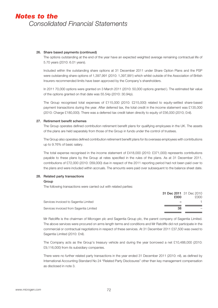# *Notes to the Consolidated Financial Statements*

# **26. Share based payments (continued)**

The options outstanding at the end of the year have an expected weighted average remaining contractual life of 5.70 years (2010: 6.01 years).

Included within the outstanding share options at 31 December 2011 under Share Option Plans and the PSP were outstanding share options of 1,397,991 (2010: 1,397,991) which whilst outside of the Association of British Insurers recommended limits have been approved by the Company's shareholders.

In 2011 70,000 options were granted on 3 March 2011 (2010: 50,000 options granted ). The estimated fair value of the options granted on that date was 55.54p (2010: 30.94p).

The Group recognised total expenses of £115,000 (2010: £215,000) related to equity-settled share-based payment transactions during the year. After deferred tax, the total credit in the income statement was £135,000 (2010: Charge £180,000). There was a deferred tax credit taken directly to equity of £56,000 (2010; £nil).

### **27. Retirement benefit schemes**

The Group operates defined contribution retirement benefit plans for qualifying employees in the UK. The assets of the plans are held separately from those of the Group in funds under the control of trustees.

The Group also operates defined contribution retirement benefit plans for its overseas employees with contributions up to 9.76% of basic salary.

The total expense recognised in the income statement of £418,000 (2010: £371,000) represents contributions payable to these plans by the Group at rates specified in the rules of the plans. As at 31 December 2011, contributions of £72,000 (2010: £69,000) due in respect of the 2011 reporting period had not been paid over to the plans and were included within accruals. The amounts were paid over subsequent to the balance sheet date.

# **28. Related party transactions**

#### **Group**

The following transactions were carried out with related parties:

| 31 Dec 2011 31 Dec 2010<br>£000               | £000 |
|-----------------------------------------------|------|
| Services invoiced to Sagentia Limited         |      |
| Services invoiced from Sagentia Limited<br>38 |      |

Mr Ratcliffe is the chairman of Microgen plc and Sagentia Group plc, the parent company of Sagentia Limited. The above services were procured on arms length terms and conditions and Mr Ratcliffe did not participate in the commercial or contractual negotiations in respect of these services. At 31 December 2011 £37,500 was owed to Sagentia Limited (2010: £nil).

The Company acts as the Group's treasury vehicle and during the year borrowed a net £10,488,000 (2010: £9,116,000) from its subsidiary companies.

There were no further related party transactions in the year ended 31 December 2011 (2010: nil), as defined by International Accounting Standard No 24 "Related Party Disclosures" other than key management compensation as disclosed in note 3.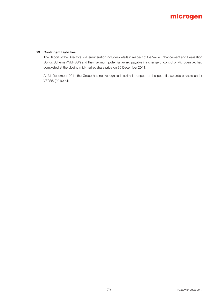# **microgen**

# **29. Contingent Liabilities**

 The Report of the Directors on Remuneration includes details in respect of the Value Enhancement and Realisation Bonus Scheme ("VERBS") and the maximum potential award payable if a change of control of Microgen plc had completed at the closing mid-market share price on 30 December 2011.

 At 31 December 2011 the Group has not recognised liability in respect of the potential awards payable under VERBS (2010: nil).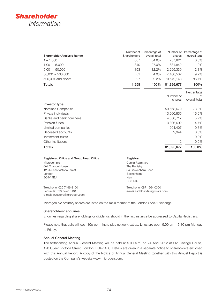# *Shareholder Information*

| <b>Shareholder Analysis Range</b>       | Shareholders | Number of Percentage of<br>overall total | shares              | Number of Percentage of<br>overall total |
|-----------------------------------------|--------------|------------------------------------------|---------------------|------------------------------------------|
|                                         | 687          | 54.6%                                    |                     |                                          |
| $1 - 1,000$                             |              |                                          | 257,821             | 0.3%                                     |
| $1,001 - 5,000$                         | 340          | 27.0%                                    | 831,842             | 1.0%                                     |
| $5,001 - 50,000$                        | 153          | 12.2%                                    | 2,295,339           | 2.8%                                     |
| $50,001 - 500,000$                      | 51           | 4.0%                                     | 7,468,532           | 9.2%                                     |
| 500,001 and above                       | 27           | 2.2%                                     | 70,542,143          | 86.7%                                    |
| <b>Totals</b>                           | 1,258        | 100%                                     | 81,395,677          | 100%                                     |
|                                         |              |                                          |                     | Percentage                               |
|                                         |              |                                          | Number of<br>shares | Ωf<br>overall total                      |
| Investor type                           |              |                                          |                     |                                          |
| Nominee Companies                       |              |                                          | 59,663,679          | 73.3%                                    |
| Private individuals                     |              |                                          | 13,060,835          | 16.0%                                    |
| Banks and bank nominees                 |              |                                          | 4,650,717           | 5.7%                                     |
| Pension funds                           |              |                                          | 3,806,692           | 4.7%                                     |
| Limited companies                       |              |                                          | 204.407             | 0.3%                                     |
| Deceased accounts                       |              |                                          | 9,344               | 0.0%                                     |
| Investment trusts                       |              |                                          | 1                   | 0.0%                                     |
| Other institutions                      |              |                                          | 2                   | 0.0%                                     |
| <b>Totals</b>                           |              |                                          | 81,395,677          | 100.0%                                   |
| Registered Office and Group Head Office | Registrar    |                                          |                     |                                          |

| Registered Office and Group Head Office | negistral                |
|-----------------------------------------|--------------------------|
| Microgen plc                            | Capita Registrars        |
| Old Change House                        | The Registry             |
| 128 Queen Victoria Street               | 34 Beckenham Road        |
| London                                  | Beckenham                |
| EC4V 4BJ                                | Kent                     |
|                                         | BR <sub>3</sub> 4TU      |
| Tolophono: 020 7408 8100                | Tolophono: 0971 664 0200 |

Telephone: 020 7496 8100 Facsimile: 020 7496 8101 e-mail: investors@microgen.com

Telephone: 0871 664 0300 e-mail ssd@capitaregistrars.com

Microgen plc ordinary shares are listed on the main market of the London Stock Exchange.

### **Shareholders' enquiries**

Enquiries regarding shareholdings or dividends should in the first instance be addressed to Capita Registrars.

Please note that calls will cost 10p per minute plus network extras. Lines are open 9.00 am – 5.30 pm Monday to Friday.

#### **Annual General Meeting**

The forthcoming Annual General Meeting will be held at 9.00 a.m. on 24 April 2012 at Old Change House, 128 Queen Victoria Street, London, EC4V 4BJ. Details are given in a separate notice to shareholders enclosed with this Annual Report. A copy of the Notice of Annual General Meeting together with this Annual Report is posted on the Company's website www.microgen.com.